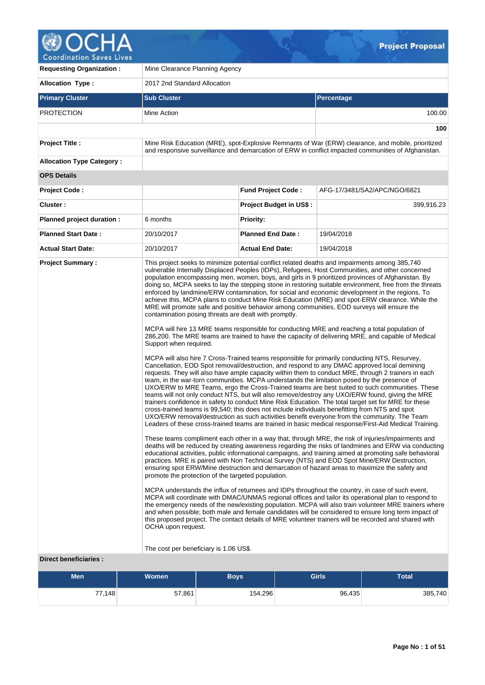

**Coordination Saves Lives** 

| <b>Requesting Organization:</b>                   | Mine Clearance Planning Agency               |                                                                                                                                                                                                                                                                                                                                                                                                                                                                                                                                                                                                                                                                                                                                                                                                                                                                                                                                                                                                                                                                                                                                                                                                                                                                                                                                                                                                                                                                                                                                                                                                                                                                                                                                                                                                                                                                                                                                                                                                                                                                                                        |                   |                                                                                                                                                                                                                                                                                                                                                                                                                                                                                                                                                                                                                                                                                                                                                                                                                                                                                                                                                                                                                                                                      |  |  |  |  |  |  |  |
|---------------------------------------------------|----------------------------------------------|--------------------------------------------------------------------------------------------------------------------------------------------------------------------------------------------------------------------------------------------------------------------------------------------------------------------------------------------------------------------------------------------------------------------------------------------------------------------------------------------------------------------------------------------------------------------------------------------------------------------------------------------------------------------------------------------------------------------------------------------------------------------------------------------------------------------------------------------------------------------------------------------------------------------------------------------------------------------------------------------------------------------------------------------------------------------------------------------------------------------------------------------------------------------------------------------------------------------------------------------------------------------------------------------------------------------------------------------------------------------------------------------------------------------------------------------------------------------------------------------------------------------------------------------------------------------------------------------------------------------------------------------------------------------------------------------------------------------------------------------------------------------------------------------------------------------------------------------------------------------------------------------------------------------------------------------------------------------------------------------------------------------------------------------------------------------------------------------------------|-------------------|----------------------------------------------------------------------------------------------------------------------------------------------------------------------------------------------------------------------------------------------------------------------------------------------------------------------------------------------------------------------------------------------------------------------------------------------------------------------------------------------------------------------------------------------------------------------------------------------------------------------------------------------------------------------------------------------------------------------------------------------------------------------------------------------------------------------------------------------------------------------------------------------------------------------------------------------------------------------------------------------------------------------------------------------------------------------|--|--|--|--|--|--|--|
| <b>Allocation Type:</b>                           | 2017 2nd Standard Allocation                 |                                                                                                                                                                                                                                                                                                                                                                                                                                                                                                                                                                                                                                                                                                                                                                                                                                                                                                                                                                                                                                                                                                                                                                                                                                                                                                                                                                                                                                                                                                                                                                                                                                                                                                                                                                                                                                                                                                                                                                                                                                                                                                        |                   |                                                                                                                                                                                                                                                                                                                                                                                                                                                                                                                                                                                                                                                                                                                                                                                                                                                                                                                                                                                                                                                                      |  |  |  |  |  |  |  |
| <b>Primary Cluster</b>                            | <b>Sub Cluster</b>                           |                                                                                                                                                                                                                                                                                                                                                                                                                                                                                                                                                                                                                                                                                                                                                                                                                                                                                                                                                                                                                                                                                                                                                                                                                                                                                                                                                                                                                                                                                                                                                                                                                                                                                                                                                                                                                                                                                                                                                                                                                                                                                                        | <b>Percentage</b> |                                                                                                                                                                                                                                                                                                                                                                                                                                                                                                                                                                                                                                                                                                                                                                                                                                                                                                                                                                                                                                                                      |  |  |  |  |  |  |  |
| <b>PROTECTION</b>                                 | Mine Action                                  |                                                                                                                                                                                                                                                                                                                                                                                                                                                                                                                                                                                                                                                                                                                                                                                                                                                                                                                                                                                                                                                                                                                                                                                                                                                                                                                                                                                                                                                                                                                                                                                                                                                                                                                                                                                                                                                                                                                                                                                                                                                                                                        |                   | 100.00                                                                                                                                                                                                                                                                                                                                                                                                                                                                                                                                                                                                                                                                                                                                                                                                                                                                                                                                                                                                                                                               |  |  |  |  |  |  |  |
|                                                   |                                              |                                                                                                                                                                                                                                                                                                                                                                                                                                                                                                                                                                                                                                                                                                                                                                                                                                                                                                                                                                                                                                                                                                                                                                                                                                                                                                                                                                                                                                                                                                                                                                                                                                                                                                                                                                                                                                                                                                                                                                                                                                                                                                        |                   | 100                                                                                                                                                                                                                                                                                                                                                                                                                                                                                                                                                                                                                                                                                                                                                                                                                                                                                                                                                                                                                                                                  |  |  |  |  |  |  |  |
| Project Title :                                   |                                              |                                                                                                                                                                                                                                                                                                                                                                                                                                                                                                                                                                                                                                                                                                                                                                                                                                                                                                                                                                                                                                                                                                                                                                                                                                                                                                                                                                                                                                                                                                                                                                                                                                                                                                                                                                                                                                                                                                                                                                                                                                                                                                        |                   | Mine Risk Education (MRE), spot-Explosive Remnants of War (ERW) clearance, and mobile, prioritized<br>and responsive surveillance and demarcation of ERW in conflict impacted communities of Afghanistan.                                                                                                                                                                                                                                                                                                                                                                                                                                                                                                                                                                                                                                                                                                                                                                                                                                                            |  |  |  |  |  |  |  |
| <b>Allocation Type Category:</b>                  |                                              |                                                                                                                                                                                                                                                                                                                                                                                                                                                                                                                                                                                                                                                                                                                                                                                                                                                                                                                                                                                                                                                                                                                                                                                                                                                                                                                                                                                                                                                                                                                                                                                                                                                                                                                                                                                                                                                                                                                                                                                                                                                                                                        |                   |                                                                                                                                                                                                                                                                                                                                                                                                                                                                                                                                                                                                                                                                                                                                                                                                                                                                                                                                                                                                                                                                      |  |  |  |  |  |  |  |
| <b>OPS Details</b>                                |                                              |                                                                                                                                                                                                                                                                                                                                                                                                                                                                                                                                                                                                                                                                                                                                                                                                                                                                                                                                                                                                                                                                                                                                                                                                                                                                                                                                                                                                                                                                                                                                                                                                                                                                                                                                                                                                                                                                                                                                                                                                                                                                                                        |                   |                                                                                                                                                                                                                                                                                                                                                                                                                                                                                                                                                                                                                                                                                                                                                                                                                                                                                                                                                                                                                                                                      |  |  |  |  |  |  |  |
| <b>Project Code:</b>                              |                                              | <b>Fund Project Code:</b>                                                                                                                                                                                                                                                                                                                                                                                                                                                                                                                                                                                                                                                                                                                                                                                                                                                                                                                                                                                                                                                                                                                                                                                                                                                                                                                                                                                                                                                                                                                                                                                                                                                                                                                                                                                                                                                                                                                                                                                                                                                                              |                   | AFG-17/3481/SA2/APC/NGO/6821                                                                                                                                                                                                                                                                                                                                                                                                                                                                                                                                                                                                                                                                                                                                                                                                                                                                                                                                                                                                                                         |  |  |  |  |  |  |  |
| Cluster:                                          |                                              | <b>Project Budget in US\$:</b>                                                                                                                                                                                                                                                                                                                                                                                                                                                                                                                                                                                                                                                                                                                                                                                                                                                                                                                                                                                                                                                                                                                                                                                                                                                                                                                                                                                                                                                                                                                                                                                                                                                                                                                                                                                                                                                                                                                                                                                                                                                                         |                   | 399,916.23                                                                                                                                                                                                                                                                                                                                                                                                                                                                                                                                                                                                                                                                                                                                                                                                                                                                                                                                                                                                                                                           |  |  |  |  |  |  |  |
| Planned project duration :                        | 6 months                                     | <b>Priority:</b>                                                                                                                                                                                                                                                                                                                                                                                                                                                                                                                                                                                                                                                                                                                                                                                                                                                                                                                                                                                                                                                                                                                                                                                                                                                                                                                                                                                                                                                                                                                                                                                                                                                                                                                                                                                                                                                                                                                                                                                                                                                                                       |                   |                                                                                                                                                                                                                                                                                                                                                                                                                                                                                                                                                                                                                                                                                                                                                                                                                                                                                                                                                                                                                                                                      |  |  |  |  |  |  |  |
| <b>Planned Start Date:</b>                        | 20/10/2017                                   | <b>Planned End Date:</b>                                                                                                                                                                                                                                                                                                                                                                                                                                                                                                                                                                                                                                                                                                                                                                                                                                                                                                                                                                                                                                                                                                                                                                                                                                                                                                                                                                                                                                                                                                                                                                                                                                                                                                                                                                                                                                                                                                                                                                                                                                                                               | 19/04/2018        |                                                                                                                                                                                                                                                                                                                                                                                                                                                                                                                                                                                                                                                                                                                                                                                                                                                                                                                                                                                                                                                                      |  |  |  |  |  |  |  |
| <b>Actual Start Date:</b>                         | 20/10/2017                                   | <b>Actual End Date:</b>                                                                                                                                                                                                                                                                                                                                                                                                                                                                                                                                                                                                                                                                                                                                                                                                                                                                                                                                                                                                                                                                                                                                                                                                                                                                                                                                                                                                                                                                                                                                                                                                                                                                                                                                                                                                                                                                                                                                                                                                                                                                                | 19/04/2018        |                                                                                                                                                                                                                                                                                                                                                                                                                                                                                                                                                                                                                                                                                                                                                                                                                                                                                                                                                                                                                                                                      |  |  |  |  |  |  |  |
| <b>Project Summary:</b><br>Direct beneficiaries : | Support when required.<br>OCHA upon request. | This project seeks to minimize potential conflict related deaths and impairments among 385,740<br>vulnerable Internally Displaced Peoples (IDPs), Refugees, Host Communities, and other concerned<br>population encompassing men, women, boys, and girls in 9 prioritized provinces of Afghanistan. By<br>enforced by landmine/ERW contamination, for social and economic development in the regions. To<br>MRE will promote safe and positive behavior among communities, EOD surveys will ensure the<br>contamination posing threats are dealt with promptly.<br>MCPA will hire 13 MRE teams responsible for conducting MRE and reaching a total population of<br>MCPA will also hire 7 Cross-Trained teams responsible for primarily conducting NTS, Resurvey,<br>Cancellation, EOD Spot removal/destruction, and respond to any DMAC approved local demining<br>requests. They will also have ample capacity within them to conduct MRE, through 2 trainers in each<br>team, in the war-torn communities. MCPA understands the limitation posed by the presence of<br>teams will not only conduct NTS, but will also remove/destroy any UXO/ERW found, giving the MRE<br>trainers confidence in safety to conduct Mine Risk Education. The total target set for MRE for these<br>cross-trained teams is 99,540; this does not include individuals benefitting from NTS and spot<br>UXO/ERW removal/destruction as such activities benefit everyone from the community. The Team<br>These teams compliment each other in a way that, through MRE, the risk of injuries/impairments and<br>practices. MRE is paired with Non Technical Survey (NTS) and EOD Spot Mine/ERW Destruction,<br>ensuring spot ERW/Mine destruction and demarcation of hazard areas to maximize the safety and<br>promote the protection of the targeted population.<br>MCPA understands the influx of returnees and IDPs throughout the country, in case of such event,<br>this proposed project. The contact details of MRE volunteer trainers will be recorded and shared with<br>The cost per beneficiary is 1.06 US\$. |                   | doing so, MCPA seeks to lay the stepping stone in restoring suitable environment, free from the threats<br>achieve this, MCPA plans to conduct Mine Risk Education (MRE) and spot-ERW clearance. While the<br>286,200. The MRE teams are trained to have the capacity of delivering MRE, and capable of Medical<br>UXO/ERW to MRE Teams, ergo the Cross-Trained teams are best suited to such communities. These<br>Leaders of these cross-trained teams are trained in basic medical response/First-Aid Medical Training.<br>deaths will be reduced by creating awareness regarding the risks of landmines and ERW via conducting<br>educational activities, public informational campaigns, and training aimed at promoting safe behavioral<br>MCPA will coordinate with DMAC/UNMAS regional offices and tailor its operational plan to respond to<br>the emergency needs of the new/existing population. MCPA will also train volunteer MRE trainers where<br>and when possible; both male and female candidates will be considered to ensure long term impact of |  |  |  |  |  |  |  |
|                                                   |                                              |                                                                                                                                                                                                                                                                                                                                                                                                                                                                                                                                                                                                                                                                                                                                                                                                                                                                                                                                                                                                                                                                                                                                                                                                                                                                                                                                                                                                                                                                                                                                                                                                                                                                                                                                                                                                                                                                                                                                                                                                                                                                                                        |                   |                                                                                                                                                                                                                                                                                                                                                                                                                                                                                                                                                                                                                                                                                                                                                                                                                                                                                                                                                                                                                                                                      |  |  |  |  |  |  |  |
| Men                                               | Women                                        | <b>Boys</b>                                                                                                                                                                                                                                                                                                                                                                                                                                                                                                                                                                                                                                                                                                                                                                                                                                                                                                                                                                                                                                                                                                                                                                                                                                                                                                                                                                                                                                                                                                                                                                                                                                                                                                                                                                                                                                                                                                                                                                                                                                                                                            | Girls             | <b>Total</b>                                                                                                                                                                                                                                                                                                                                                                                                                                                                                                                                                                                                                                                                                                                                                                                                                                                                                                                                                                                                                                                         |  |  |  |  |  |  |  |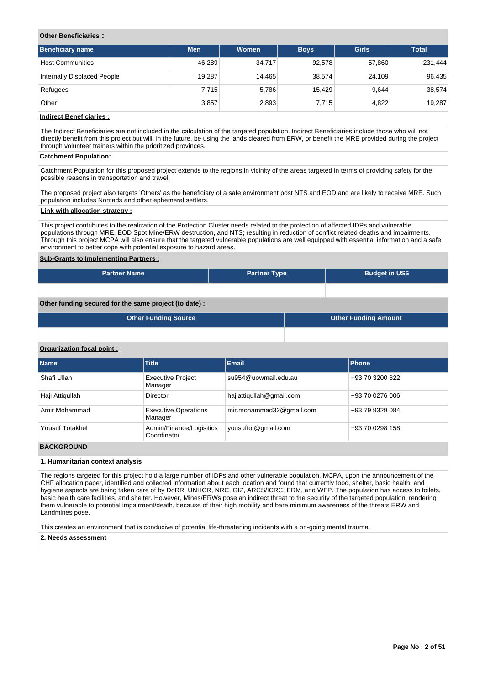# **Other Beneficiaries :**

| <b>Beneficiary name</b>     | <b>Men</b> | Women  | <b>Boys</b> | <b>Girls</b> | <b>Total</b> |
|-----------------------------|------------|--------|-------------|--------------|--------------|
| <b>Host Communities</b>     | 46,289     | 34,717 | 92,578      | 57,860       | 231,444      |
| Internally Displaced People | 19.287     | 14.465 | 38,574      | 24.109       | 96,435       |
| Refugees                    | 7,715      | 5,786  | 15.429      | 9,644        | 38,574       |
| Other                       | 3,857      | 2,893  | 7.715       | 4.822        | 19,287       |

# **Indirect Beneficiaries :**

The Indirect Beneficiaries are not included in the calculation of the targeted population. Indirect Beneficiaries include those who will not directly benefit from this project but will, in the future, be using the lands cleared from ERW, or benefit the MRE provided during the project through volunteer trainers within the prioritized provinces.

### **Catchment Population:**

Catchment Population for this proposed project extends to the regions in vicinity of the areas targeted in terms of providing safety for the possible reasons in transportation and travel.

The proposed project also targets 'Others' as the beneficiary of a safe environment post NTS and EOD and are likely to receive MRE. Such population includes Nomads and other ephemeral settlers.

# **Link with allocation strategy :**

This project contributes to the realization of the Protection Cluster needs related to the protection of affected IDPs and vulnerable populations through MRE, EOD Spot Mine/ERW destruction, and NTS; resulting in reduction of conflict related deaths and impairments. Through this project MCPA will also ensure that the targeted vulnerable populations are well equipped with essential information and a safe environment to better cope with potential exposure to hazard areas.

# **Sub-Grants to Implementing Partners :**

| <b>Partner Name</b> | <b>Partner Type</b> | <b>Budget in US\$</b> |
|---------------------|---------------------|-----------------------|
|                     |                     |                       |

# **Other funding secured for the same project (to date) :**

| <b>Other Funding Source</b> | <b>Other Funding Amount</b> |
|-----------------------------|-----------------------------|
|                             |                             |

### **Organization focal point :**

| <b>Name</b>     | <b>Title</b>                            | <b>Email</b>             | Phone           |
|-----------------|-----------------------------------------|--------------------------|-----------------|
| Shafi Ullah     | <b>Executive Project</b><br>Manager     | su954@uowmail.edu.au     | +93 70 3200 822 |
| Haji Attiqullah | Director                                | hajiattiqullah@gmail.com | +93 70 0276 006 |
| Amir Mohammad   | <b>Executive Operations</b><br>Manager  | mir.mohammad32@gmail.com | +93 79 9329 084 |
| Yousuf Totakhel | Admin/Finance/Logisitics<br>Coordinator | yousuftot@gmail.com      | +93 70 0298 158 |

# **BACKGROUND**

# **1. Humanitarian context analysis**

The regions targeted for this project hold a large number of IDPs and other vulnerable population. MCPA, upon the announcement of the CHF allocation paper, identified and collected information about each location and found that currently food, shelter, basic health, and hygiene aspects are being taken care of by DoRR, UNHCR, NRC, GIZ, ARCS/ICRC, ERM, and WFP. The population has access to toilets, basic health care facilities, and shelter. However, Mines/ERWs pose an indirect threat to the security of the targeted population, rendering them vulnerable to potential impairment/death, because of their high mobility and bare minimum awareness of the threats ERW and Landmines pose.

This creates an environment that is conducive of potential life-threatening incidents with a on-going mental trauma.

#### **2. Needs assessment**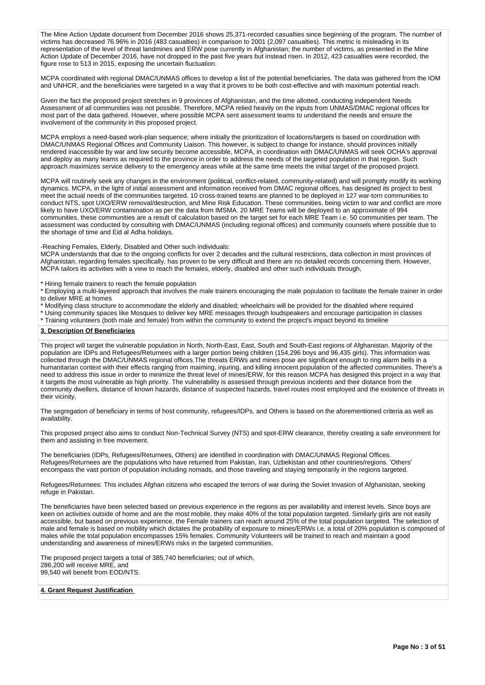The Mine Action Update document from December 2016 shows 25,371-recorded casualties since beginning of the program. The number of victims has decreased 76.96% in 2016 (483 casualties) in comparison to 2001 (2,097 casualties). This metric is misleading in its representation of the level of threat landmines and ERW pose currently in Afghanistan; the number of victims, as presented in the Mine Action Update of December 2016, have not dropped in the past five years but instead risen. In 2012, 423 casualties were recorded, the figure rose to 513 in 2015, exposing the uncertain fluctuation.

MCPA coordinated with regional DMAC/UNMAS offices to develop a list of the potential beneficiaries. The data was gathered from the IOM and UNHCR, and the beneficiaries were targeted in a way that it proves to be both cost-effective and with maximum potential reach.

Given the fact the proposed project stretches in 9 provinces of Afghanistan, and the time allotted, conducting independent Needs Assessment of all communities was not possible. Therefore, MCPA relied heavily on the inputs from UNMAS/DMAC regional offices for most part of the data gathered. However, where possible MCPA sent assessment teams to understand the needs and ensure the involvement of the community in this proposed project.

MCPA employs a need-based work-plan sequence; where initially the prioritization of locations/targets is based on coordination with DMAC/UNMAS Regional Offices and Community Liaison. This however, is subject to change for instance, should provinces initially rendered inaccessible by war and low security become accessible, MCPA, in coordination with DMAC/UNMAS will seek OCHA's approval and deploy as many teams as required to the province in order to address the needs of the targeted population in that region. Such approach maximizes service delivery to the emergency areas while at the same time meets the initial target of the proposed project.

MCPA will routinely seek any changes in the environment (political, conflict-related, community-related) and will promptly modify its working dynamics. MCPA, in the light of initial assessment and information received from DMAC regional offices, has designed its project to best meet the actual needs of the communities targeted. 10 cross-trained teams are planned to be deployed in 127 war-torn communities to conduct NTS, spot UXO/ERW removal/destruction, and Mine Risk Education. These communities, being victim to war and conflict are more likely to have UXO/ERW contamination as per the data from IMSMA. 20 MRE Teams will be deployed to an approximate of 994 communities, these communities are a result of calculation based on the target set for each MRE Team i.e. 50 communities per team. The assessment was conducted by consulting with DMAC/UNMAS (including regional offices) and community counsels where possible due to the shortage of time and Eid al Adha holidays.

-Reaching Females, Elderly, Disabled and Other such individuals:

MCPA understands that due to the ongoing conflicts for over 2 decades and the cultural restrictions, data collection in most provinces of Afghanistan, regarding females specifically, has proven to be very difficult and there are no detailed records concerning them. However, MCPA tailors its activities with a view to reach the females, elderly, disabled and other such individuals through,

\* Hiring female trainers to reach the female population

\* Employing a multi-layered approach that involves the male trainers encouraging the male population to facilitate the female trainer in order to deliver MRE at homes

\* Modifying class structure to accommodate the elderly and disabled; wheelchairs will be provided for the disabled where required

\* Using community spaces like Mosques to deliver key MRE messages through loudspeakers and encourage participation in classes

\* Training volunteers (both male and female) from within the community to extend the project's impact beyond its timeline

# **3. Description Of Beneficiaries**

This project will target the vulnerable population in North, North-East, East, South and South-East regions of Afghanistan. Majority of the population are IDPs and Refugees/Returnees with a larger portion being children (154,296 boys and 96,435 girls). This information was collected through the DMAC/UNMAS regional offices.The threats ERWs and mines pose are significant enough to ring alarm bells in a humanitarian context with their effects ranging from maiming, injuring, and killing innocent population of the affected communities. There's a need to address this issue in order to minimize the threat level of mines/ERW, for this reason MCPA has designed this project in a way that it targets the most vulnerable as high priority. The vulnerability is assessed through previous incidents and their distance from the community dwellers, distance of known hazards, distance of suspected hazards, travel routes most employed and the existence of threats in their vicinity,

The segregation of beneficiary in terms of host community, refugees/IDPs, and Others is based on the aforementioned criteria as well as availability.

This proposed project also aims to conduct Non-Technical Survey (NTS) and spot-ERW clearance, thereby creating a safe environment for them and assisting in free movement.

The beneficiaries (IDPs, Refugees/Returnees, Others) are identified in coordination with DMAC/UNMAS Regional Offices. Refugees/Returnees are the populations who have returned from Pakistan, Iran, Uzbekistan and other countries/regions. 'Others' encompass the vast portion of population including nomads, and those traveling and staying temporarily in the regions targeted.

Refugees/Returnees: This includes Afghan citizens who escaped the terrors of war during the Soviet Invasion of Afghanistan, seeking refuge in Pakistan.

The beneficiaries have been selected based on previous experience in the regions as per availability and interest levels. Since boys are keen on activities outside of home and are the most mobile, they make 40% of the total population targeted. Similarly girls are not easily accessible, but based on previous experience, the Female trainers can reach around 25% of the total population targeted. The selection of male and female is based on mobility which dictates the probability of exposure to mines/ERWs i.e. a total of 20% population is composed of males while the total population encompasses 15% females. Community Volunteers will be trained to reach and maintain a good understanding and awareness of mines/ERWs risks in the targeted communities.

The proposed project targets a total of 385,740 beneficiaries; out of which, 286,200 will receive MRE, and 99,540 will benefit from EOD/NTS.

# **4. Grant Request Justification**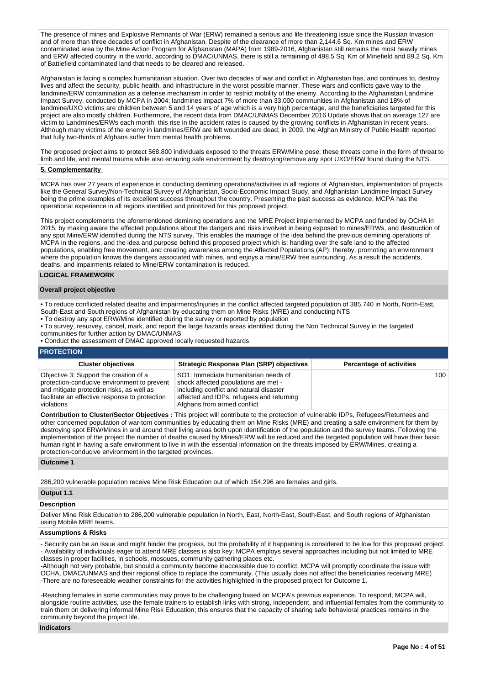The presence of mines and Explosive Remnants of War (ERW) remained a serious and life threatening issue since the Russian Invasion and of more than three decades of conflict in Afghanistan. Despite of the clearance of more than 2,144.6 Sq. Km mines and ERW contaminated area by the Mine Action Program for Afghanistan (MAPA) from 1989-2016, Afghanistan still remains the most heavily mines and ERW affected country in the world, according to DMAC/UNMAS, there is still a remaining of 498.5 Sq. Km of Minefield and 89.2 Sq. Km of Battlefield contaminated land that needs to be cleared and released.

Afghanistan is facing a complex humanitarian situation. Over two decades of war and conflict in Afghanistan has, and continues to, destroy lives and affect the security, public health, and infrastructure in the worst possible manner. These wars and conflicts gave way to the landmine/ERW contamination as a defense mechanism in order to restrict mobility of the enemy. According to the Afghanistan Landmine Impact Survey, conducted by MCPA in 2004; landmines impact 7% of more than 33,000 communities in Afghanistan and 18% of landmine/UXO victims are children between 5 and 14 years of age which is a very high percentage, and the beneficiaries targeted for this project are also mostly children. Furthermore, the recent data from DMAC/UNMAS December 2016 Update shows that on average 127 are victim to Landmines/ERWs each month, this rise in the accident rates is caused by the growing conflicts in Afghanistan in recent years. Although many victims of the enemy in landmines/ERW are left wounded are dead; in 2009, the Afghan Ministry of Public Health reported that fully two-thirds of Afghans suffer from mental health problems.

The proposed project aims to protect 568,800 individuals exposed to the threats ERW/Mine pose; these threats come in the form of threat to limb and life, and mental trauma while also ensuring safe environment by destroying/remove any spot UXO/ERW found during the NTS.

# **5. Complementarity**

MCPA has over 27 years of experience in conducting demining operations/activities in all regions of Afghanistan, implementation of projects like the General Survey/Non-Technical Survey of Afghanistan, Socio-Economic Impact Study, and Afghanistan Landmine Impact Survey being the prime examples of its excellent success throughout the country. Presenting the past success as evidence, MCPA has the operational experience in all regions identified and prioritized for this proposed project.

This project complements the aforementioned demining operations and the MRE Project implemented by MCPA and funded by OCHA in 2015, by making aware the affected populations about the dangers and risks involved in being exposed to mines/ERWs, and destruction of any spot Mine/ERW identified during the NTS survey. This enables the marriage of the idea behind the previous demining operations of MCPA in the regions, and the idea and purpose behind this proposed project which is; handing over the safe land to the affected populations, enabling free movement, and creating awareness among the Affected Populations (AP); thereby, promoting an environment where the population knows the dangers associated with mines, and enjoys a mine/ERW free surrounding. As a result the accidents, deaths, and impairments related to Mine/ERW contamination is reduced.

# **LOGICAL FRAMEWORK**

#### **Overall project objective**

- To reduce conflicted related deaths and impairments/injuries in the conflict affected targeted population of 385,740 in North, North-East, South-East and South regions of Afghanistan by educating them on Mine Risks (MRE) and conducting NTS
- To destroy any spot ERW/Mine identified during the survey or reported by population
- To survey, resurvey, cancel, mark, and report the large hazards areas identified during the Non Technical Survey in the targeted
- communities for further action by DMAC/UNMAS
- Conduct the assessment of DMAC approved locally requested hazards

# **PROTECTION**

| <b>Cluster objectives</b>                                                                                                                                                                          | <b>Strategic Response Plan (SRP) objectives</b>                                                                                                                                                     | <b>Percentage of activities</b> |
|----------------------------------------------------------------------------------------------------------------------------------------------------------------------------------------------------|-----------------------------------------------------------------------------------------------------------------------------------------------------------------------------------------------------|---------------------------------|
| Objective 3: Support the creation of a<br>protection-conducive environment to prevent<br>and mitigate protection risks, as well as<br>facilitate an effective response to protection<br>violations | SO1: Immediate humanitarian needs of<br>shock affected populations are met -<br>including conflict and natural disaster<br>affected and IDPs, refugees and returning<br>Afghans from armed conflict | 100                             |

**Contribution to Cluster/Sector Objectives :** This project will contribute to the protection of vulnerable IDPs, Refugees/Returnees and other concerned population of war-torn communities by educating them on Mine Risks (MRE) and creating a safe environment for them by destroying spot ERW/Mines in and around their living areas both upon identification of the population and the survey teams. Following the implementation of the project the number of deaths caused by Mines/ERW will be reduced and the targeted population will have their basic human right in having a safe environment to live in with the essential information on the threats imposed by ERW/Mines, creating a protection-conducive environment in the targeted provinces.

### **Outcome 1**

286,200 vulnerable population receive Mine Risk Education out of which 154,296 are females and girls.

# **Output 1.1**

#### **Description**

Deliver Mine Risk Education to 286,200 vulnerable population in North, East, North-East, South-East, and South regions of Afghanistan using Mobile MRE teams.

# **Assumptions & Risks**

- Security can be an issue and might hinder the progress, but the probability of it happening is considered to be low for this proposed project. - Availability of individuals eager to attend MRE classes is also key; MCPA employs several approaches including but not limited to MRE classes in proper facilities, in schools, mosques, community gathering places etc.

-Although not very probable, but should a community become inaccessible due to conflict, MCPA will promptly coordinate the issue with OCHA, DMAC/UNMAS and their regional office to replace the community. (This usually does not affect the beneficiaries receiving MRE) -There are no foreseeable weather constraints for the activities highlighted in the proposed project for Outcome 1.

-Reaching females in some communities may prove to be challenging based on MCPA's previous experience. To respond, MCPA will, alongside routine activities, use the female trainers to establish links with strong, independent, and influential females from the community to train them on delivering informal Mine Risk Education; this ensures that the capacity of sharing safe behavioral practices remains in the community beyond the project life.

#### **Indicators**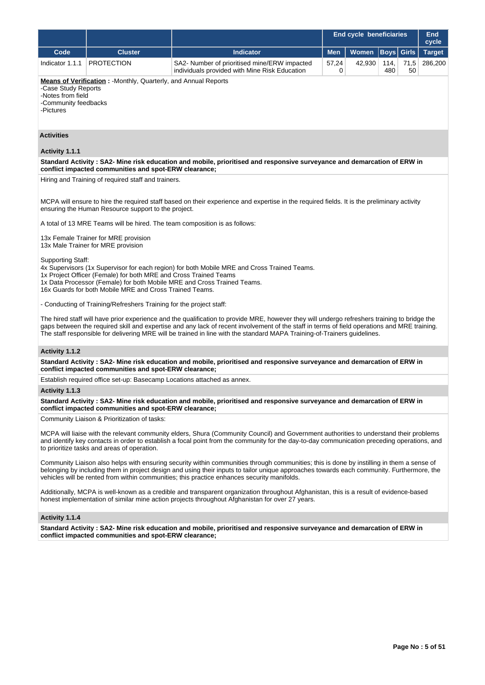|                                                                                                                                                                                                                                                                                                                            |                                                                                                                                                                                                                                                                                                                                                                                       |                                                                                                                                                                                                                                                                                                                                                                                                                          |            | <b>End cycle beneficiaries</b> |             |              | <b>End</b><br>cycle |  |  |  |  |  |
|----------------------------------------------------------------------------------------------------------------------------------------------------------------------------------------------------------------------------------------------------------------------------------------------------------------------------|---------------------------------------------------------------------------------------------------------------------------------------------------------------------------------------------------------------------------------------------------------------------------------------------------------------------------------------------------------------------------------------|--------------------------------------------------------------------------------------------------------------------------------------------------------------------------------------------------------------------------------------------------------------------------------------------------------------------------------------------------------------------------------------------------------------------------|------------|--------------------------------|-------------|--------------|---------------------|--|--|--|--|--|
| Code                                                                                                                                                                                                                                                                                                                       | <b>Cluster</b>                                                                                                                                                                                                                                                                                                                                                                        | <b>Indicator</b>                                                                                                                                                                                                                                                                                                                                                                                                         | Men        | <b>Women</b>                   | <b>Boys</b> | <b>Girls</b> | <b>Target</b>       |  |  |  |  |  |
| Indicator 1.1.1                                                                                                                                                                                                                                                                                                            | <b>PROTECTION</b>                                                                                                                                                                                                                                                                                                                                                                     | SA2- Number of prioritised mine/ERW impacted<br>individuals provided with Mine Risk Education                                                                                                                                                                                                                                                                                                                            | 57,24<br>0 | 42,930                         | 114,<br>480 | 71,5<br>50   | 286,200             |  |  |  |  |  |
|                                                                                                                                                                                                                                                                                                                            | Means of Verification: - Monthly, Quarterly, and Annual Reports                                                                                                                                                                                                                                                                                                                       |                                                                                                                                                                                                                                                                                                                                                                                                                          |            |                                |             |              |                     |  |  |  |  |  |
| -Case Study Reports<br>-Notes from field<br>-Community feedbacks<br>-Pictures                                                                                                                                                                                                                                              |                                                                                                                                                                                                                                                                                                                                                                                       |                                                                                                                                                                                                                                                                                                                                                                                                                          |            |                                |             |              |                     |  |  |  |  |  |
| <b>Activities</b>                                                                                                                                                                                                                                                                                                          |                                                                                                                                                                                                                                                                                                                                                                                       |                                                                                                                                                                                                                                                                                                                                                                                                                          |            |                                |             |              |                     |  |  |  |  |  |
| Activity 1.1.1                                                                                                                                                                                                                                                                                                             |                                                                                                                                                                                                                                                                                                                                                                                       |                                                                                                                                                                                                                                                                                                                                                                                                                          |            |                                |             |              |                     |  |  |  |  |  |
|                                                                                                                                                                                                                                                                                                                            | conflict impacted communities and spot-ERW clearance;                                                                                                                                                                                                                                                                                                                                 | Standard Activity: SA2- Mine risk education and mobile, prioritised and responsive surveyance and demarcation of ERW in                                                                                                                                                                                                                                                                                                  |            |                                |             |              |                     |  |  |  |  |  |
|                                                                                                                                                                                                                                                                                                                            | Hiring and Training of required staff and trainers.                                                                                                                                                                                                                                                                                                                                   |                                                                                                                                                                                                                                                                                                                                                                                                                          |            |                                |             |              |                     |  |  |  |  |  |
|                                                                                                                                                                                                                                                                                                                            | ensuring the Human Resource support to the project.                                                                                                                                                                                                                                                                                                                                   | MCPA will ensure to hire the required staff based on their experience and expertise in the required fields. It is the preliminary activity                                                                                                                                                                                                                                                                               |            |                                |             |              |                     |  |  |  |  |  |
|                                                                                                                                                                                                                                                                                                                            |                                                                                                                                                                                                                                                                                                                                                                                       | A total of 13 MRE Teams will be hired. The team composition is as follows:                                                                                                                                                                                                                                                                                                                                               |            |                                |             |              |                     |  |  |  |  |  |
|                                                                                                                                                                                                                                                                                                                            | 13x Female Trainer for MRE provision<br>13x Male Trainer for MRE provision                                                                                                                                                                                                                                                                                                            |                                                                                                                                                                                                                                                                                                                                                                                                                          |            |                                |             |              |                     |  |  |  |  |  |
| Supporting Staff:<br>4x Supervisors (1x Supervisor for each region) for both Mobile MRE and Cross Trained Teams.<br>1x Project Officer (Female) for both MRE and Cross Trained Teams<br>1x Data Processor (Female) for both Mobile MRE and Cross Trained Teams.<br>16x Guards for both Mobile MRE and Cross Trained Teams. |                                                                                                                                                                                                                                                                                                                                                                                       |                                                                                                                                                                                                                                                                                                                                                                                                                          |            |                                |             |              |                     |  |  |  |  |  |
|                                                                                                                                                                                                                                                                                                                            | - Conducting of Training/Refreshers Training for the project staff:                                                                                                                                                                                                                                                                                                                   |                                                                                                                                                                                                                                                                                                                                                                                                                          |            |                                |             |              |                     |  |  |  |  |  |
|                                                                                                                                                                                                                                                                                                                            |                                                                                                                                                                                                                                                                                                                                                                                       | The hired staff will have prior experience and the qualification to provide MRE, however they will undergo refreshers training to bridge the<br>gaps between the required skill and expertise and any lack of recent involvement of the staff in terms of field operations and MRE training.<br>The staff responsible for delivering MRE will be trained in line with the standard MAPA Training-of-Trainers guidelines. |            |                                |             |              |                     |  |  |  |  |  |
| Activity 1.1.2                                                                                                                                                                                                                                                                                                             |                                                                                                                                                                                                                                                                                                                                                                                       |                                                                                                                                                                                                                                                                                                                                                                                                                          |            |                                |             |              |                     |  |  |  |  |  |
|                                                                                                                                                                                                                                                                                                                            | conflict impacted communities and spot-ERW clearance;                                                                                                                                                                                                                                                                                                                                 | Standard Activity: SA2- Mine risk education and mobile, prioritised and responsive surveyance and demarcation of ERW in                                                                                                                                                                                                                                                                                                  |            |                                |             |              |                     |  |  |  |  |  |
|                                                                                                                                                                                                                                                                                                                            | Establish required office set-up: Basecamp Locations attached as annex.                                                                                                                                                                                                                                                                                                               |                                                                                                                                                                                                                                                                                                                                                                                                                          |            |                                |             |              |                     |  |  |  |  |  |
| Activity 1.1.3                                                                                                                                                                                                                                                                                                             |                                                                                                                                                                                                                                                                                                                                                                                       |                                                                                                                                                                                                                                                                                                                                                                                                                          |            |                                |             |              |                     |  |  |  |  |  |
|                                                                                                                                                                                                                                                                                                                            | conflict impacted communities and spot-ERW clearance;                                                                                                                                                                                                                                                                                                                                 | Standard Activity: SA2- Mine risk education and mobile, prioritised and responsive surveyance and demarcation of ERW in                                                                                                                                                                                                                                                                                                  |            |                                |             |              |                     |  |  |  |  |  |
|                                                                                                                                                                                                                                                                                                                            | Community Liaison & Prioritization of tasks:                                                                                                                                                                                                                                                                                                                                          |                                                                                                                                                                                                                                                                                                                                                                                                                          |            |                                |             |              |                     |  |  |  |  |  |
|                                                                                                                                                                                                                                                                                                                            | to prioritize tasks and areas of operation.                                                                                                                                                                                                                                                                                                                                           | MCPA will liaise with the relevant community elders, Shura (Community Council) and Government authorities to understand their problems<br>and identify key contacts in order to establish a focal point from the community for the day-to-day communication preceding operations, and                                                                                                                                    |            |                                |             |              |                     |  |  |  |  |  |
|                                                                                                                                                                                                                                                                                                                            | Community Liaison also helps with ensuring security within communities through communities; this is done by instilling in them a sense of<br>belonging by including them in project design and using their inputs to tailor unique approaches towards each community. Furthermore, the<br>vehicles will be rented from within communities; this practice enhances security manifolds. |                                                                                                                                                                                                                                                                                                                                                                                                                          |            |                                |             |              |                     |  |  |  |  |  |
| Additionally, MCPA is well-known as a credible and transparent organization throughout Afghanistan, this is a result of evidence-based<br>honest implementation of similar mine action projects throughout Afghanistan for over 27 years.                                                                                  |                                                                                                                                                                                                                                                                                                                                                                                       |                                                                                                                                                                                                                                                                                                                                                                                                                          |            |                                |             |              |                     |  |  |  |  |  |
| Activity 1.1.4                                                                                                                                                                                                                                                                                                             |                                                                                                                                                                                                                                                                                                                                                                                       |                                                                                                                                                                                                                                                                                                                                                                                                                          |            |                                |             |              |                     |  |  |  |  |  |
|                                                                                                                                                                                                                                                                                                                            | conflict impacted communities and spot-ERW clearance;                                                                                                                                                                                                                                                                                                                                 | Standard Activity: SA2- Mine risk education and mobile, prioritised and responsive surveyance and demarcation of ERW in                                                                                                                                                                                                                                                                                                  |            |                                |             |              |                     |  |  |  |  |  |
|                                                                                                                                                                                                                                                                                                                            |                                                                                                                                                                                                                                                                                                                                                                                       |                                                                                                                                                                                                                                                                                                                                                                                                                          |            |                                |             |              |                     |  |  |  |  |  |
|                                                                                                                                                                                                                                                                                                                            |                                                                                                                                                                                                                                                                                                                                                                                       |                                                                                                                                                                                                                                                                                                                                                                                                                          |            |                                |             |              |                     |  |  |  |  |  |
|                                                                                                                                                                                                                                                                                                                            |                                                                                                                                                                                                                                                                                                                                                                                       |                                                                                                                                                                                                                                                                                                                                                                                                                          |            |                                |             |              |                     |  |  |  |  |  |
|                                                                                                                                                                                                                                                                                                                            |                                                                                                                                                                                                                                                                                                                                                                                       |                                                                                                                                                                                                                                                                                                                                                                                                                          |            |                                |             |              |                     |  |  |  |  |  |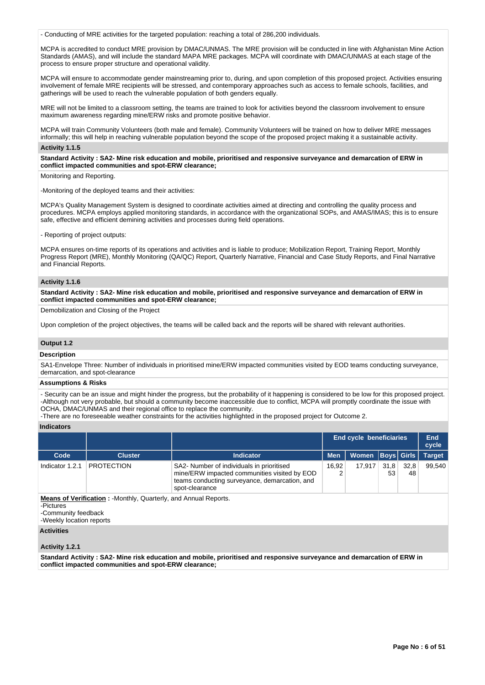- Conducting of MRE activities for the targeted population: reaching a total of 286,200 individuals.

MCPA is accredited to conduct MRE provision by DMAC/UNMAS. The MRE provision will be conducted in line with Afghanistan Mine Action Standards (AMAS), and will include the standard MAPA MRE packages. MCPA will coordinate with DMAC/UNMAS at each stage of the process to ensure proper structure and operational validity.

MCPA will ensure to accommodate gender mainstreaming prior to, during, and upon completion of this proposed project. Activities ensuring involvement of female MRE recipients will be stressed, and contemporary approaches such as access to female schools, facilities, and gatherings will be used to reach the vulnerable population of both genders equally.

MRE will not be limited to a classroom setting, the teams are trained to look for activities beyond the classroom involvement to ensure maximum awareness regarding mine/ERW risks and promote positive behavior.

MCPA will train Community Volunteers (both male and female). Community Volunteers will be trained on how to deliver MRE messages informally; this will help in reaching vulnerable population beyond the scope of the proposed project making it a sustainable activity.

### **Activity 1.1.5**

**Standard Activity : SA2- Mine risk education and mobile, prioritised and responsive surveyance and demarcation of ERW in conflict impacted communities and spot-ERW clearance;**

Monitoring and Reporting.

-Monitoring of the deployed teams and their activities:

MCPA's Quality Management System is designed to coordinate activities aimed at directing and controlling the quality process and procedures. MCPA employs applied monitoring standards, in accordance with the organizational SOPs, and AMAS/IMAS; this is to ensure safe, effective and efficient demining activities and processes during field operations.

- Reporting of project outputs:

MCPA ensures on-time reports of its operations and activities and is liable to produce; Mobilization Report, Training Report, Monthly Progress Report (MRE), Monthly Monitoring (QA/QC) Report, Quarterly Narrative, Financial and Case Study Reports, and Final Narrative and Financial Reports.

# **Activity 1.1.6**

**Standard Activity : SA2- Mine risk education and mobile, prioritised and responsive surveyance and demarcation of ERW in conflict impacted communities and spot-ERW clearance;**

Demobilization and Closing of the Project

Upon completion of the project objectives, the teams will be called back and the reports will be shared with relevant authorities.

#### **Output 1.2**

#### **Description**

SA1-Envelope Three: Number of individuals in prioritised mine/ERW impacted communities visited by EOD teams conducting surveyance, demarcation, and spot-clearance

### **Assumptions & Risks**

- Security can be an issue and might hinder the progress, but the probability of it happening is considered to be low for this proposed project. -Although not very probable, but should a community become inaccessible due to conflict, MCPA will promptly coordinate the issue with OCHA, DMAC/UNMAS and their regional office to replace the community.

-There are no foreseeable weather constraints for the activities highlighted in the proposed project for Outcome 2.

# **Indicators**

|                 |                                                                        |                                                                                                                                                              |            | <b>End cycle beneficiaries</b> |            |            | End<br>cycle  |
|-----------------|------------------------------------------------------------------------|--------------------------------------------------------------------------------------------------------------------------------------------------------------|------------|--------------------------------|------------|------------|---------------|
| Code            | <b>Cluster</b>                                                         | Indicator                                                                                                                                                    | <b>Men</b> | Women   Boys   Girls           |            |            | <b>Target</b> |
| Indicator 1.2.1 | <b>PROTECTION</b>                                                      | SA2- Number of individuals in prioritised<br>mine/ERW impacted communities visited by EOD<br>teams conducting surveyance, demarcation, and<br>spot-clearance | 16.92      | 17,917                         | 31,8<br>53 | 32,8<br>48 | 99.540        |
| -Pictures       | <b>Means of Verification:</b> -Monthly, Quarterly, and Annual Reports. |                                                                                                                                                              |            |                                |            |            |               |

-Community feedback

-Weekly location reports

# **Activities**

### **Activity 1.2.1**

**Standard Activity : SA2- Mine risk education and mobile, prioritised and responsive surveyance and demarcation of ERW in conflict impacted communities and spot-ERW clearance;**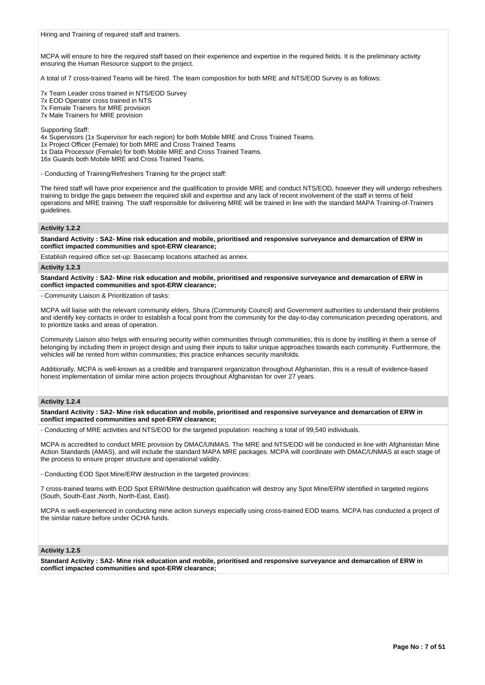MCPA will ensure to hire the required staff based on their experience and expertise in the required fields. It is the preliminary activity ensuring the Human Resource support to the project.

A total of 7 cross-trained Teams will be hired. The team composition for both MRE and NTS/EOD Survey is as follows:

7x Team Leader cross trained in NTS/EOD Survey 7x EOD Operator cross trained in NTS 7x Female Trainers for MRE provision

7x Male Trainers for MRE provision

Supporting Staff:

4x Supervisors (1x Supervisor for each region) for both Mobile MRE and Cross Trained Teams.

1x Project Officer (Female) for both MRE and Cross Trained Teams

1x Data Processor (Female) for both Mobile MRE and Cross Trained Teams.

16x Guards both Mobile MRE and Cross Trained Teams.

- Conducting of Training/Refreshers Training for the project staff:

The hired staff will have prior experience and the qualification to provide MRE and conduct NTS/EOD, however they will undergo refreshers training to bridge the gaps between the required skill and expertise and any lack of recent involvement of the staff in terms of field operations and MRE training. The staff responsible for delivering MRE will be trained in line with the standard MAPA Training-of-Trainers guidelines.

# **Activity 1.2.2**

**Standard Activity : SA2- Mine risk education and mobile, prioritised and responsive surveyance and demarcation of ERW in conflict impacted communities and spot-ERW clearance;**

Establish required office set-up: Basecamp locations attached as annex.

### **Activity 1.2.3**

**Standard Activity : SA2- Mine risk education and mobile, prioritised and responsive surveyance and demarcation of ERW in conflict impacted communities and spot-ERW clearance;**

- Community Liaison & Prioritization of tasks:

MCPA will liaise with the relevant community elders, Shura (Community Council) and Government authorities to understand their problems and identify key contacts in order to establish a focal point from the community for the day-to-day communication preceding operations, and to prioritize tasks and areas of operation.

Community Liaison also helps with ensuring security within communities through communities; this is done by instilling in them a sense of belonging by including them in project design and using their inputs to tailor unique approaches towards each community. Furthermore, the vehicles will be rented from within communities; this practice enhances security manifolds.

Additionally, MCPA is well-known as a credible and transparent organization throughout Afghanistan, this is a result of evidence-based honest implementation of similar mine action projects throughout Afghanistan for over 27 years.

# **Activity 1.2.4**

**Standard Activity : SA2- Mine risk education and mobile, prioritised and responsive surveyance and demarcation of ERW in conflict impacted communities and spot-ERW clearance;**

- Conducting of MRE activities and NTS/EOD for the targeted population: reaching a total of 99,540 individuals.

MCPA is accredited to conduct MRE provision by DMAC/UNMAS. The MRE and NTS/EOD will be conducted in line with Afghanistan Mine Action Standards (AMAS), and will include the standard MAPA MRE packages. MCPA will coordinate with DMAC/UNMAS at each stage of the process to ensure proper structure and operational validity.

- Conducting EOD Spot Mine/ERW destruction in the targeted provinces:

7 cross-trained teams with EOD Spot ERW/Mine destruction qualification will destroy any Spot Mine/ERW identified in targeted regions (South, South-East ,North, North-East, East).

MCPA is well-experienced in conducting mine action surveys especially using cross-trained EOD teams. MCPA has conducted a project of the similar nature before under OCHA funds.

# **Activity 1.2.5**

**Standard Activity : SA2- Mine risk education and mobile, prioritised and responsive surveyance and demarcation of ERW in conflict impacted communities and spot-ERW clearance;**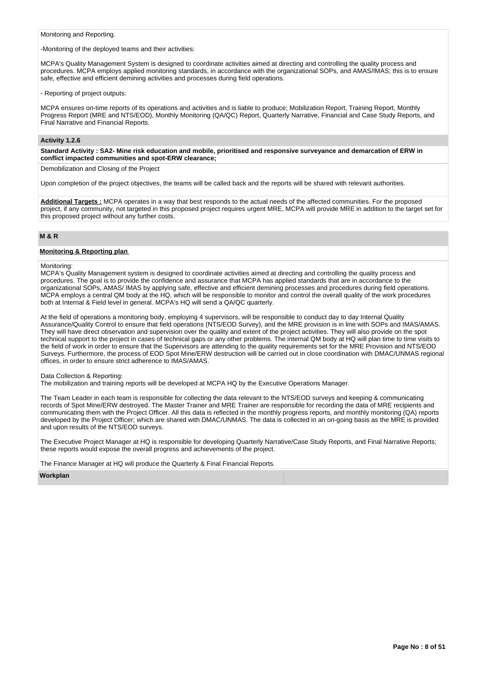Monitoring and Reporting.

-Monitoring of the deployed teams and their activities:

MCPA's Quality Management System is designed to coordinate activities aimed at directing and controlling the quality process and procedures. MCPA employs applied monitoring standards, in accordance with the organizational SOPs, and AMAS/IMAS; this is to ensure safe, effective and efficient demining activities and processes during field operations.

- Reporting of project outputs:

MCPA ensures on-time reports of its operations and activities and is liable to produce; Mobilization Report, Training Report, Monthly Progress Report (MRE and NTS/EOD), Monthly Monitoring (QA/QC) Report, Quarterly Narrative, Financial and Case Study Reports, and Final Narrative and Financial Reports.

### **Activity 1.2.6**

**Standard Activity : SA2- Mine risk education and mobile, prioritised and responsive surveyance and demarcation of ERW in conflict impacted communities and spot-ERW clearance;**

Demobilization and Closing of the Project

Upon completion of the project objectives, the teams will be called back and the reports will be shared with relevant authorities.

**Additional Targets :** MCPA operates in a way that best responds to the actual needs of the affected communities. For the proposed project, if any community, not targeted in this proposed project requires urgent MRE, MCPA will provide MRE in addition to the target set for this proposed project without any further costs.

# **M & R**

### **Monitoring & Reporting plan**

Monitoring:

MCPA's Quality Management system is designed to coordinate activities aimed at directing and controlling the quality process and procedures. The goal is to provide the confidence and assurance that MCPA has applied standards that are in accordance to the organizational SOPs, AMAS/ IMAS by applying safe, effective and efficient demining processes and procedures during field operations. MCPA employs a central QM body at the HQ, which will be responsible to monitor and control the overall quality of the work procedures both at Internal & Field level in general. MCPA's HQ will send a QA/QC quarterly.

At the field of operations a monitoring body, employing 4 supervisors, will be responsible to conduct day to day Internal Quality Assurance/Quality Control to ensure that field operations (NTS/EOD Survey), and the MRE provision is in line with SOPs and IMAS/AMAS. They will have direct observation and supervision over the quality and extent of the project activities. They will also provide on the spot technical support to the project in cases of technical gaps or any other problems. The internal QM body at HQ will plan time to time visits to the field of work in order to ensure that the Supervisors are attending to the quality requirements set for the MRE Provision and NTS/EOD Surveys. Furthermore, the process of EOD Spot Mine/ERW destruction will be carried out in close coordination with DMAC/UNMAS regional offices, in order to ensure strict adherence to IMAS/AMAS.

#### Data Collection & Reporting:

The mobilization and training reports will be developed at MCPA HQ by the Executive Operations Manager.

The Team Leader in each team is responsible for collecting the data relevant to the NTS/EOD surveys and keeping & communicating records of Spot Mine/ERW destroyed. The Master Trainer and MRE Trainer are responsible for recording the data of MRE recipients and communicating them with the Project Officer. All this data is reflected in the monthly progress reports, and monthly monitoring (QA) reports developed by the Project Officer; which are shared with DMAC/UNMAS. The data is collected in an on-going basis as the MRE is provided and upon results of the NTS/EOD surveys.

The Executive Project Manager at HQ is responsible for developing Quarterly Narrative/Case Study Reports, and Final Narrative Reports; these reports would expose the overall progress and achievements of the project.

The Finance Manager at HQ will produce the Quarterly & Final Financial Reports.

**Workplan**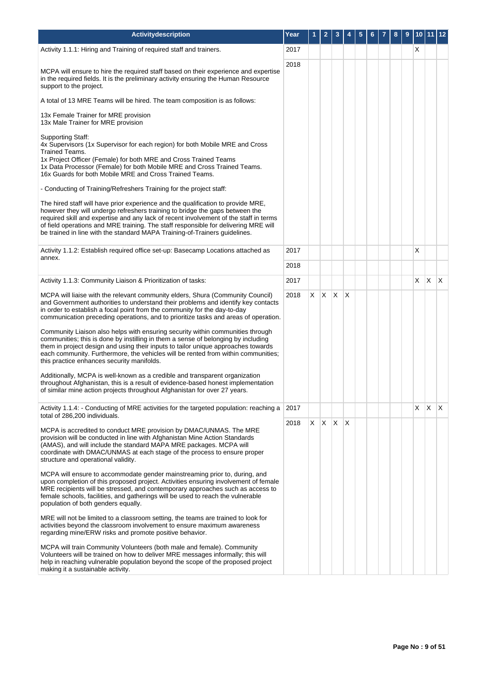| Activitydescription                                                                                                                                                                                                                                                                                                                                                                                                            | Year |   |                          |              |   |  | 8 | 9 |   | 10 11 12     |              |
|--------------------------------------------------------------------------------------------------------------------------------------------------------------------------------------------------------------------------------------------------------------------------------------------------------------------------------------------------------------------------------------------------------------------------------|------|---|--------------------------|--------------|---|--|---|---|---|--------------|--------------|
| Activity 1.1.1: Hiring and Training of required staff and trainers.                                                                                                                                                                                                                                                                                                                                                            | 2017 |   |                          |              |   |  |   |   | X |              |              |
| MCPA will ensure to hire the required staff based on their experience and expertise<br>in the required fields. It is the preliminary activity ensuring the Human Resource<br>support to the project.                                                                                                                                                                                                                           | 2018 |   |                          |              |   |  |   |   |   |              |              |
| A total of 13 MRE Teams will be hired. The team composition is as follows:                                                                                                                                                                                                                                                                                                                                                     |      |   |                          |              |   |  |   |   |   |              |              |
| 13x Female Trainer for MRE provision<br>13x Male Trainer for MRE provision                                                                                                                                                                                                                                                                                                                                                     |      |   |                          |              |   |  |   |   |   |              |              |
| <b>Supporting Staff:</b><br>4x Supervisors (1x Supervisor for each region) for both Mobile MRE and Cross<br>Trained Teams.<br>1x Project Officer (Female) for both MRE and Cross Trained Teams<br>1x Data Processor (Female) for both Mobile MRE and Cross Trained Teams.<br>16x Guards for both Mobile MRE and Cross Trained Teams.                                                                                           |      |   |                          |              |   |  |   |   |   |              |              |
| - Conducting of Training/Refreshers Training for the project staff:                                                                                                                                                                                                                                                                                                                                                            |      |   |                          |              |   |  |   |   |   |              |              |
| The hired staff will have prior experience and the qualification to provide MRE,<br>however they will undergo refreshers training to bridge the gaps between the<br>required skill and expertise and any lack of recent involvement of the staff in terms<br>of field operations and MRE training. The staff responsible for delivering MRE will<br>be trained in line with the standard MAPA Training-of-Trainers guidelines. |      |   |                          |              |   |  |   |   |   |              |              |
| Activity 1.1.2: Establish required office set-up: Basecamp Locations attached as<br>annex.                                                                                                                                                                                                                                                                                                                                     | 2017 |   |                          |              |   |  |   |   | X |              |              |
|                                                                                                                                                                                                                                                                                                                                                                                                                                | 2018 |   |                          |              |   |  |   |   |   |              |              |
| Activity 1.1.3: Community Liaison & Prioritization of tasks:                                                                                                                                                                                                                                                                                                                                                                   | 2017 |   |                          |              |   |  |   |   | X | $\mathsf{X}$ | $\mathsf{X}$ |
| MCPA will liaise with the relevant community elders, Shura (Community Council)<br>and Government authorities to understand their problems and identify key contacts<br>in order to establish a focal point from the community for the day-to-day<br>communication preceding operations, and to prioritize tasks and areas of operation.                                                                                        | 2018 | X | X                        | $\mathsf{X}$ | X |  |   |   |   |              |              |
| Community Liaison also helps with ensuring security within communities through<br>communities; this is done by instilling in them a sense of belonging by including<br>them in project design and using their inputs to tailor unique approaches towards<br>each community. Furthermore, the vehicles will be rented from within communities;<br>this practice enhances security manifolds.                                    |      |   |                          |              |   |  |   |   |   |              |              |
| Additionally, MCPA is well-known as a credible and transparent organization<br>throughout Afghanistan, this is a result of evidence-based honest implementation<br>of similar mine action projects throughout Afghanistan for over 27 years.                                                                                                                                                                                   |      |   |                          |              |   |  |   |   |   |              |              |
| Activity 1.1.4: - Conducting of MRE activities for the targeted population: reaching a<br>total of 286,200 individuals.                                                                                                                                                                                                                                                                                                        | 2017 |   |                          |              |   |  |   |   | Χ | X.           | $\mathsf{X}$ |
| MCPA is accredited to conduct MRE provision by DMAC/UNMAS. The MRE<br>provision will be conducted in line with Afghanistan Mine Action Standards<br>(AMAS), and will include the standard MAPA MRE packages. MCPA will<br>coordinate with DMAC/UNMAS at each stage of the process to ensure proper<br>structure and operational validity.                                                                                      | 2018 |   | $X \mid X \mid X \mid X$ |              |   |  |   |   |   |              |              |
| MCPA will ensure to accommodate gender mainstreaming prior to, during, and<br>upon completion of this proposed project. Activities ensuring involvement of female<br>MRE recipients will be stressed, and contemporary approaches such as access to<br>female schools, facilities, and gatherings will be used to reach the vulnerable<br>population of both genders equally.                                                  |      |   |                          |              |   |  |   |   |   |              |              |
| MRE will not be limited to a classroom setting, the teams are trained to look for<br>activities beyond the classroom involvement to ensure maximum awareness<br>regarding mine/ERW risks and promote positive behavior.                                                                                                                                                                                                        |      |   |                          |              |   |  |   |   |   |              |              |
| MCPA will train Community Volunteers (both male and female). Community<br>Volunteers will be trained on how to deliver MRE messages informally; this will<br>help in reaching vulnerable population beyond the scope of the proposed project<br>making it a sustainable activity.                                                                                                                                              |      |   |                          |              |   |  |   |   |   |              |              |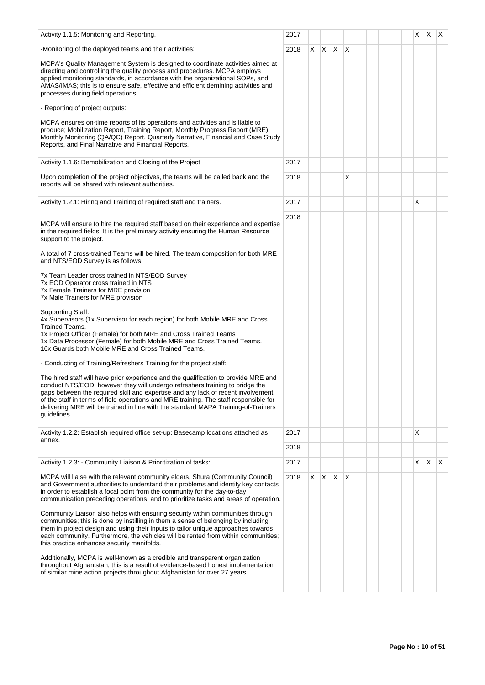| Activity 1.1.5: Monitoring and Reporting.                                                                                                                                                                                                                                                                                                                                                                                                             | 2017 |    |             |   |              |  |  | X  | $X$ $X$      |              |
|-------------------------------------------------------------------------------------------------------------------------------------------------------------------------------------------------------------------------------------------------------------------------------------------------------------------------------------------------------------------------------------------------------------------------------------------------------|------|----|-------------|---|--------------|--|--|----|--------------|--------------|
| -Monitoring of the deployed teams and their activities:                                                                                                                                                                                                                                                                                                                                                                                               | 2018 | X. | $X$ $X$ $X$ |   |              |  |  |    |              |              |
| MCPA's Quality Management System is designed to coordinate activities aimed at<br>directing and controlling the quality process and procedures. MCPA employs<br>applied monitoring standards, in accordance with the organizational SOPs, and<br>AMAS/IMAS; this is to ensure safe, effective and efficient demining activities and<br>processes during field operations.                                                                             |      |    |             |   |              |  |  |    |              |              |
| - Reporting of project outputs:                                                                                                                                                                                                                                                                                                                                                                                                                       |      |    |             |   |              |  |  |    |              |              |
| MCPA ensures on-time reports of its operations and activities and is liable to<br>produce; Mobilization Report, Training Report, Monthly Progress Report (MRE),<br>Monthly Monitoring (QA/QC) Report, Quarterly Narrative, Financial and Case Study<br>Reports, and Final Narrative and Financial Reports.                                                                                                                                            |      |    |             |   |              |  |  |    |              |              |
| Activity 1.1.6: Demobilization and Closing of the Project                                                                                                                                                                                                                                                                                                                                                                                             | 2017 |    |             |   |              |  |  |    |              |              |
| Upon completion of the project objectives, the teams will be called back and the<br>reports will be shared with relevant authorities.                                                                                                                                                                                                                                                                                                                 | 2018 |    |             |   | х            |  |  |    |              |              |
| Activity 1.2.1: Hiring and Training of required staff and trainers.                                                                                                                                                                                                                                                                                                                                                                                   | 2017 |    |             |   |              |  |  | X  |              |              |
| MCPA will ensure to hire the required staff based on their experience and expertise<br>in the required fields. It is the preliminary activity ensuring the Human Resource<br>support to the project.                                                                                                                                                                                                                                                  | 2018 |    |             |   |              |  |  |    |              |              |
| A total of 7 cross-trained Teams will be hired. The team composition for both MRE<br>and NTS/EOD Survey is as follows:                                                                                                                                                                                                                                                                                                                                |      |    |             |   |              |  |  |    |              |              |
| 7x Team Leader cross trained in NTS/EOD Survey<br>7x EOD Operator cross trained in NTS<br>7x Female Trainers for MRE provision<br>7x Male Trainers for MRE provision                                                                                                                                                                                                                                                                                  |      |    |             |   |              |  |  |    |              |              |
| <b>Supporting Staff:</b><br>4x Supervisors (1x Supervisor for each region) for both Mobile MRE and Cross<br>Trained Teams.<br>1x Project Officer (Female) for both MRE and Cross Trained Teams<br>1x Data Processor (Female) for both Mobile MRE and Cross Trained Teams.<br>16x Guards both Mobile MRE and Cross Trained Teams.                                                                                                                      |      |    |             |   |              |  |  |    |              |              |
| - Conducting of Training/Refreshers Training for the project staff:                                                                                                                                                                                                                                                                                                                                                                                   |      |    |             |   |              |  |  |    |              |              |
| The hired staff will have prior experience and the qualification to provide MRE and<br>conduct NTS/EOD, however they will undergo refreshers training to bridge the<br>gaps between the required skill and expertise and any lack of recent involvement<br>of the staff in terms of field operations and MRE training. The staff responsible for<br>delivering MRE will be trained in line with the standard MAPA Training-of-Trainers<br>guidelines. |      |    |             |   |              |  |  |    |              |              |
| Activity 1.2.2: Establish required office set-up: Basecamp locations attached as                                                                                                                                                                                                                                                                                                                                                                      | 2017 |    |             |   |              |  |  | X  |              |              |
| annex.                                                                                                                                                                                                                                                                                                                                                                                                                                                | 2018 |    |             |   |              |  |  |    |              |              |
| Activity 1.2.3: - Community Liaison & Prioritization of tasks:                                                                                                                                                                                                                                                                                                                                                                                        | 2017 |    |             |   |              |  |  | X. | $\mathsf{X}$ | $\mathsf{X}$ |
| MCPA will liaise with the relevant community elders, Shura (Community Council)<br>and Government authorities to understand their problems and identify key contacts<br>in order to establish a focal point from the community for the day-to-day<br>communication preceding operations, and to prioritize tasks and areas of operation.                                                                                                               | 2018 | X. | X           | X | $\mathsf{X}$ |  |  |    |              |              |
| Community Liaison also helps with ensuring security within communities through<br>communities; this is done by instilling in them a sense of belonging by including<br>them in project design and using their inputs to tailor unique approaches towards<br>each community. Furthermore, the vehicles will be rented from within communities;<br>this practice enhances security manifolds.                                                           |      |    |             |   |              |  |  |    |              |              |
| Additionally, MCPA is well-known as a credible and transparent organization<br>throughout Afghanistan, this is a result of evidence-based honest implementation<br>of similar mine action projects throughout Afghanistan for over 27 years.                                                                                                                                                                                                          |      |    |             |   |              |  |  |    |              |              |
|                                                                                                                                                                                                                                                                                                                                                                                                                                                       |      |    |             |   |              |  |  |    |              |              |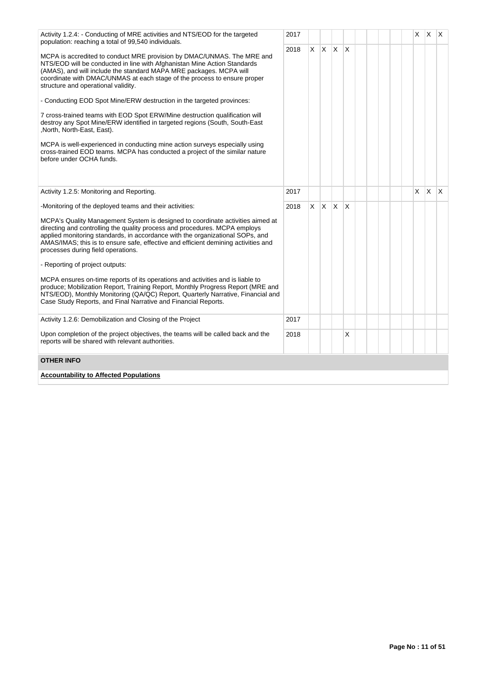| Activity 1.2.4: - Conducting of MRE activities and NTS/EOD for the targeted<br>population: reaching a total of 99,540 individuals.                                                                                                                                                                                                                                        | 2017 |    |                         |          |              |  |  | X. | X.           | IX. |
|---------------------------------------------------------------------------------------------------------------------------------------------------------------------------------------------------------------------------------------------------------------------------------------------------------------------------------------------------------------------------|------|----|-------------------------|----------|--------------|--|--|----|--------------|-----|
| MCPA is accredited to conduct MRE provision by DMAC/UNMAS. The MRE and<br>NTS/EOD will be conducted in line with Afghanistan Mine Action Standards<br>(AMAS), and will include the standard MAPA MRE packages. MCPA will<br>coordinate with DMAC/UNMAS at each stage of the process to ensure proper<br>structure and operational validity.                               | 2018 | X. | $\mathsf{I} \mathsf{X}$ | <b>X</b> | $\mathsf{x}$ |  |  |    |              |     |
| - Conducting EOD Spot Mine/ERW destruction in the targeted provinces:                                                                                                                                                                                                                                                                                                     |      |    |                         |          |              |  |  |    |              |     |
| 7 cross-trained teams with EOD Spot ERW/Mine destruction qualification will<br>destroy any Spot Mine/ERW identified in targeted regions (South, South-East<br>,North, North-East, East).                                                                                                                                                                                  |      |    |                         |          |              |  |  |    |              |     |
| MCPA is well-experienced in conducting mine action surveys especially using<br>cross-trained EOD teams. MCPA has conducted a project of the similar nature<br>before under OCHA funds.                                                                                                                                                                                    |      |    |                         |          |              |  |  |    |              |     |
| Activity 1.2.5: Monitoring and Reporting.                                                                                                                                                                                                                                                                                                                                 | 2017 |    |                         |          |              |  |  | X  | $\mathsf{X}$ | ΙX. |
| -Monitoring of the deployed teams and their activities:                                                                                                                                                                                                                                                                                                                   | 2018 |    | $x \mid x \mid x$       |          | X            |  |  |    |              |     |
| MCPA's Quality Management System is designed to coordinate activities aimed at<br>directing and controlling the quality process and procedures. MCPA employs<br>applied monitoring standards, in accordance with the organizational SOPs, and<br>AMAS/IMAS; this is to ensure safe, effective and efficient demining activities and<br>processes during field operations. |      |    |                         |          |              |  |  |    |              |     |
| - Reporting of project outputs:                                                                                                                                                                                                                                                                                                                                           |      |    |                         |          |              |  |  |    |              |     |
| MCPA ensures on-time reports of its operations and activities and is liable to<br>produce; Mobilization Report, Training Report, Monthly Progress Report (MRE and<br>NTS/EOD), Monthly Monitoring (QA/QC) Report, Quarterly Narrative, Financial and<br>Case Study Reports, and Final Narrative and Financial Reports.                                                    |      |    |                         |          |              |  |  |    |              |     |
| Activity 1.2.6: Demobilization and Closing of the Project                                                                                                                                                                                                                                                                                                                 | 2017 |    |                         |          |              |  |  |    |              |     |
| Upon completion of the project objectives, the teams will be called back and the<br>reports will be shared with relevant authorities.                                                                                                                                                                                                                                     | 2018 |    |                         |          | X            |  |  |    |              |     |
| <b>OTHER INFO</b>                                                                                                                                                                                                                                                                                                                                                         |      |    |                         |          |              |  |  |    |              |     |
| <b>Accountability to Affected Populations</b>                                                                                                                                                                                                                                                                                                                             |      |    |                         |          |              |  |  |    |              |     |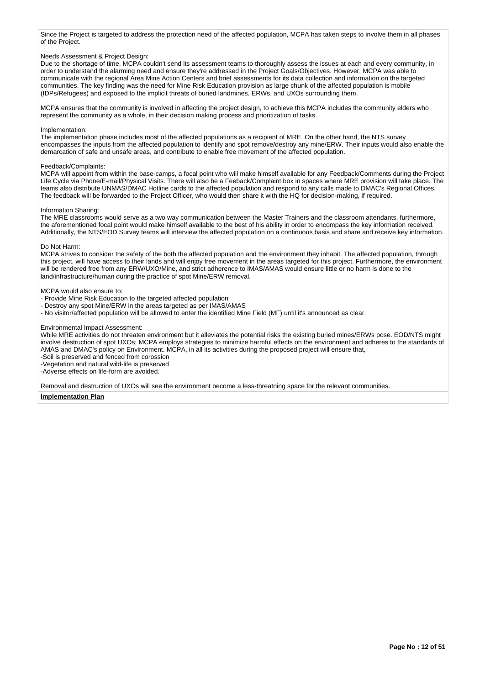Since the Project is targeted to address the protection need of the affected population, MCPA has taken steps to involve them in all phases of the Project.

### Needs Assessment & Project Design:

Due to the shortage of time, MCPA couldn't send its assessment teams to thoroughly assess the issues at each and every community, in order to understand the alarming need and ensure they're addressed in the Project Goals/Objectives. However, MCPA was able to communicate with the regional Area Mine Action Centers and brief assessments for its data collection and information on the targeted communities. The key finding was the need for Mine Risk Education provision as large chunk of the affected population is mobile (IDPs/Refugees) and exposed to the implicit threats of buried landmines, ERWs, and UXOs surrounding them.

MCPA ensures that the community is involved in affecting the project design, to achieve this MCPA includes the community elders who represent the community as a whole, in their decision making process and prioritization of tasks.

# Implementation:

The implementation phase includes most of the affected populations as a recipient of MRE. On the other hand, the NTS survey encompasses the inputs from the affected population to identify and spot remove/destroy any mine/ERW. Their inputs would also enable the demarcation of safe and unsafe areas, and contribute to enable free movement of the affected population.

## Feedback/Complaints:

MCPA will appoint from within the base-camps, a focal point who will make himself available for any Feedback/Comments during the Project Life Cycle via Phone/E-mail/Physical Visits. There will also be a Feeback/Complaint box in spaces where MRE provision will take place. The teams also distribute UNMAS/DMAC Hotline cards to the affected population and respond to any calls made to DMAC's Regional Offices. The feedback will be forwarded to the Project Officer, who would then share it with the HQ for decision-making, if required.

## Information Sharing:

The MRE classrooms would serve as a two way communication between the Master Trainers and the classroom attendants, furthermore, the aforementioned focal point would make himself available to the best of his ability in order to encompass the key information received. Additionally, the NTS/EOD Survey teams will interview the affected population on a continuous basis and share and receive key information.

### Do Not Harm:

MCPA strives to consider the safety of the both the affected population and the environment they inhabit. The affected population, through this project, will have access to their lands and will enjoy free movement in the areas targeted for this project. Furthermore, the environment will be rendered free from any ERW/UXO/Mine, and strict adherence to IMAS/AMAS would ensure little or no harm is done to the land/infrastructure/human during the practice of spot Mine/ERW removal.

### MCPA would also ensure to:

- Provide Mine Risk Education to the targeted affected population
- Destroy any spot Mine/ERW in the areas targeted as per IMAS/AMAS
- No visitor/affected population will be allowed to enter the identified Mine Field (MF) until it's announced as clear.

#### Environmental Impact Assessment:

While MRE activities do not threaten environment but it alleviates the potential risks the existing buried mines/ERWs pose. EOD/NTS might involve destruction of spot UXOs; MCPA employs strategies to minimize harmful effects on the environment and adheres to the standards of AMAS and DMAC's policy on Environment. MCPA, in all its activities during the proposed project will ensure that,

-Soil is preserved and fenced from corossion

-Vegetation and natural wild-life is preserved

-Adverse effects on life-form are avoided.

Removal and destruction of UXOs will see the environment become a less-threatning space for the relevant communities.

# **Implementation Plan**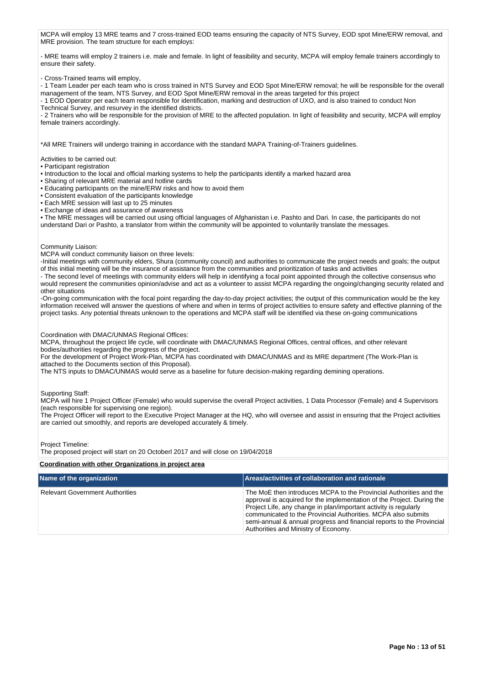MCPA will employ 13 MRE teams and 7 cross-trained EOD teams ensuring the capacity of NTS Survey, EOD spot Mine/ERW removal, and MRE provision. The team structure for each employs:

- MRE teams will employ 2 trainers i.e. male and female. In light of feasibility and security, MCPA will employ female trainers accordingly to ensure their safety.

- Cross-Trained teams will employ,

- 1 Team Leader per each team who is cross trained in NTS Survey and EOD Spot Mine/ERW removal; he will be responsible for the overall management of the team, NTS Survey, and EOD Spot Mine/ERW removal in the areas targeted for this project

- 1 EOD Operator per each team responsible for identification, marking and destruction of UXO, and is also trained to conduct Non Technical Survey, and resurvey in the identified districts.

- 2 Trainers who will be responsible for the provision of MRE to the affected population. In light of feasibility and security, MCPA will employ female trainers accordingly.

\*All MRE Trainers will undergo training in accordance with the standard MAPA Training-of-Trainers guidelines.

Activities to be carried out:

- Participant registration
- Introduction to the local and official marking systems to help the participants identify a marked hazard area
- Sharing of relevant MRE material and hotline cards
- Educating participants on the mine/ERW risks and how to avoid them
- Consistent evaluation of the participants knowledge
- Each MRE session will last up to 25 minutes
- Exchange of ideas and assurance of awareness

• The MRE messages will be carried out using official languages of Afghanistan i.e. Pashto and Dari. In case, the participants do not understand Dari or Pashto, a translator from within the community will be appointed to voluntarily translate the messages.

### Community Liaison:

MCPA will conduct community liaison on three levels:

-Initial meetings with community elders, Shura (community council) and authorities to communicate the project needs and goals; the output of this initial meeting will be the insurance of assistance from the communities and prioritization of tasks and activities

- The second level of meetings with community elders will help in identifying a focal point appointed through the collective consensus who would represent the communities opinion/advise and act as a volunteer to assist MCPA regarding the ongoing/changing security related and other situations

-On-going communication with the focal point regarding the day-to-day project activities; the output of this communication would be the key information received will answer the questions of where and when in terms of project activities to ensure safety and effective planning of the project tasks. Any potential threats unknown to the operations and MCPA staff will be identified via these on-going communications

Coordination with DMAC/UNMAS Regional Offices:

MCPA, throughout the project life cycle, will coordinate with DMAC/UNMAS Regional Offices, central offices, and other relevant bodies/authorities regarding the progress of the project.

For the development of Project Work-Plan, MCPA has coordinated with DMAC/UNMAS and its MRE department (The Work-Plan is attached to the Documents section of this Proposal).

The NTS inputs to DMAC/UNMAS would serve as a baseline for future decision-making regarding demining operations.

Supporting Staff:

MCPA will hire 1 Project Officer (Female) who would supervise the overall Project activities, 1 Data Processor (Female) and 4 Supervisors (each responsible for supervising one region).

The Project Officer will report to the Executive Project Manager at the HQ, who will oversee and assist in ensuring that the Project activities are carried out smoothly, and reports are developed accurately & timely.

Project Timeline:

The proposed project will start on 20 Octoberl 2017 and will close on 19/04/2018

#### **Coordination with other Organizations in project area**

| Name of the organization               | Areas/activities of collaboration and rationale                                                                                                                                                                                                                                                                                                                                                    |
|----------------------------------------|----------------------------------------------------------------------------------------------------------------------------------------------------------------------------------------------------------------------------------------------------------------------------------------------------------------------------------------------------------------------------------------------------|
| <b>Relevant Government Authorities</b> | The MoE then introduces MCPA to the Provincial Authorities and the<br>approval is acquired for the implementation of the Project. During the<br>Project Life, any change in plan/important activity is regularly<br>communicated to the Provincial Authorities. MCPA also submits<br>semi-annual & annual progress and financial reports to the Provincial<br>Authorities and Ministry of Economy. |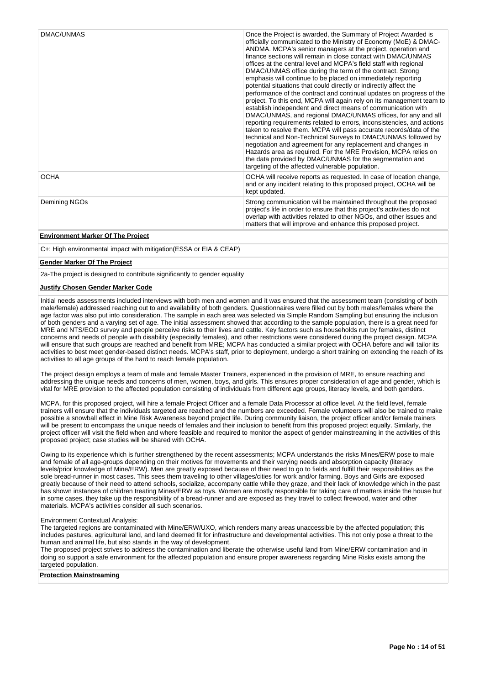| DMAC/UNMAS    | Once the Project is awarded, the Summary of Project Awarded is<br>officially communicated to the Ministry of Economy (MoE) & DMAC-<br>ANDMA. MCPA's senior managers at the project, operation and<br>finance sections will remain in close contact with DMAC/UNMAS<br>offices at the central level and MCPA's field staff with regional<br>DMAC/UNMAS office during the term of the contract. Strong<br>emphasis will continue to be placed on immediately reporting<br>potential situations that could directly or indirectly affect the<br>performance of the contract and continual updates on progress of the<br>project. To this end, MCPA will again rely on its management team to<br>establish independent and direct means of communication with<br>DMAC/UNMAS, and regional DMAC/UNMAS offices, for any and all<br>reporting requirements related to errors, inconsistencies, and actions<br>taken to resolve them. MCPA will pass accurate records/data of the<br>technical and Non-Technical Surveys to DMAC/UNMAS followed by<br>negotiation and agreement for any replacement and changes in<br>Hazards area as required. For the MRE Provision, MCPA relies on<br>the data provided by DMAC/UNMAS for the segmentation and<br>targeting of the affected vulnerable population. |
|---------------|-----------------------------------------------------------------------------------------------------------------------------------------------------------------------------------------------------------------------------------------------------------------------------------------------------------------------------------------------------------------------------------------------------------------------------------------------------------------------------------------------------------------------------------------------------------------------------------------------------------------------------------------------------------------------------------------------------------------------------------------------------------------------------------------------------------------------------------------------------------------------------------------------------------------------------------------------------------------------------------------------------------------------------------------------------------------------------------------------------------------------------------------------------------------------------------------------------------------------------------------------------------------------------------------------|
| <b>OCHA</b>   | OCHA will receive reports as requested. In case of location change,<br>and or any incident relating to this proposed project, OCHA will be<br>kept updated.                                                                                                                                                                                                                                                                                                                                                                                                                                                                                                                                                                                                                                                                                                                                                                                                                                                                                                                                                                                                                                                                                                                                   |
| Demining NGOs | Strong communication will be maintained throughout the proposed<br>project's life in order to ensure that this project's activities do not<br>overlap with activities related to other NGOs, and other issues and<br>matters that will improve and enhance this proposed project.                                                                                                                                                                                                                                                                                                                                                                                                                                                                                                                                                                                                                                                                                                                                                                                                                                                                                                                                                                                                             |

# **Environment Marker Of The Project**

C+: High environmental impact with mitigation(ESSA or EIA & CEAP)

# **Gender Marker Of The Project**

2a-The project is designed to contribute significantly to gender equality

# **Justify Chosen Gender Marker Code**

Initial needs assessments included interviews with both men and women and it was ensured that the assessment team (consisting of both male/female) addressed reaching out to and availability of both genders. Questionnaires were filled out by both males/females where the age factor was also put into consideration. The sample in each area was selected via Simple Random Sampling but ensuring the inclusion of both genders and a varying set of age. The initial assessment showed that according to the sample population, there is a great need for MRE and NTS/EOD survey and people perceive risks to their lives and cattle. Key factors such as households run by females, distinct concerns and needs of people with disability (especially females), and other restrictions were considered during the project design. MCPA will ensure that such groups are reached and benefit from MRE; MCPA has conducted a similar project with OCHA before and will tailor its activities to best meet gender-based distinct needs. MCPA's staff, prior to deployment, undergo a short training on extending the reach of its activities to all age groups of the hard to reach female population.

The project design employs a team of male and female Master Trainers, experienced in the provision of MRE, to ensure reaching and addressing the unique needs and concerns of men, women, boys, and girls. This ensures proper consideration of age and gender, which is vital for MRE provision to the affected population consisting of individuals from different age groups, literacy levels, and both genders.

MCPA, for this proposed project, will hire a female Project Officer and a female Data Processor at office level. At the field level, female trainers will ensure that the individuals targeted are reached and the numbers are exceeded. Female volunteers will also be trained to make possible a snowball effect in Mine Risk Awareness beyond project life. During community liaison, the project officer and/or female trainers will be present to encompass the unique needs of females and their inclusion to benefit from this proposed project equally. Similarly, the project officer will visit the field when and where feasible and required to monitor the aspect of gender mainstreaming in the activities of this proposed project; case studies will be shared with OCHA.

Owing to its experience which is further strengthened by the recent assessments; MCPA understands the risks Mines/ERW pose to male and female of all age-groups depending on their motives for movements and their varying needs and absorption capacity (literacy levels/prior knowledge of Mine/ERW). Men are greatly exposed because of their need to go to fields and fulfill their responsibilities as the sole bread-runner in most cases. This sees them traveling to other villages/cities for work and/or farming. Boys and Girls are exposed greatly because of their need to attend schools, socialize, accompany cattle while they graze, and their lack of knowledge which in the past has shown instances of children treating Mines/ERW as toys. Women are mostly responsible for taking care of matters inside the house but in some cases, they take up the responsibility of a bread-runner and are exposed as they travel to collect firewood, water and other m seme cases, may take up the responsioning or a sheat materials. MCPA's activities consider all such scenarios.

## Environment Contextual Analysis:

The targeted regions are contaminated with Mine/ERW/UXO, which renders many areas unaccessible by the affected population; this includes pastures, agricultural land, and land deemed fit for infrastructure and developmental activities. This not only pose a threat to the human and animal life, but also stands in the way of development.

The proposed project strives to address the contamination and liberate the otherwise useful land from Mine/ERW contamination and in doing so support a safe environment for the affected population and ensure proper awareness regarding Mine Risks exists among the targeted population.

# **Protection Mainstreaming**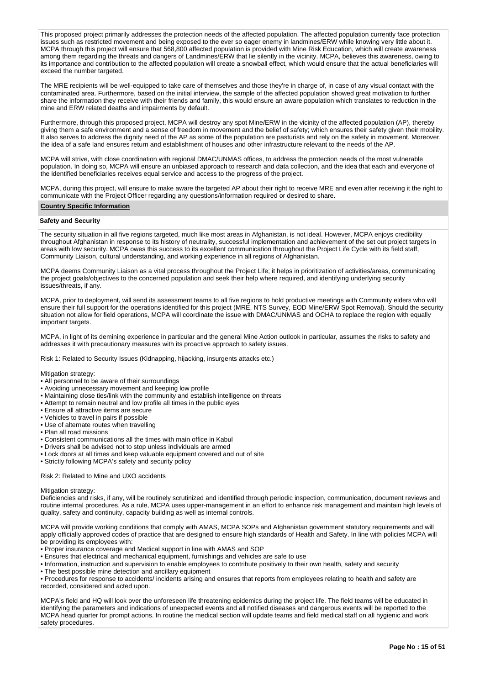This proposed project primarily addresses the protection needs of the affected population. The affected population currently face protection issues such as restricted movement and being exposed to the ever so eager enemy in landmines/ERW while knowing very little about it. MCPA through this project will ensure that 568,800 affected population is provided with Mine Risk Education, which will create awareness among them regarding the threats and dangers of Landmines/ERW that lie silently in the vicinity. MCPA, believes this awareness, owing to its importance and contribution to the affected population will create a snowball effect, which would ensure that the actual beneficiaries will exceed the number targeted.

The MRE recipients will be well-equipped to take care of themselves and those they're in charge of, in case of any visual contact with the contaminated area. Furthermore, based on the initial interview, the sample of the affected population showed great motivation to further share the information they receive with their friends and family, this would ensure an aware population which translates to reduction in the mine and ERW related deaths and impairments by default.

Furthermore, through this proposed project, MCPA will destroy any spot Mine/ERW in the vicinity of the affected population (AP), thereby giving them a safe environment and a sense of freedom in movement and the belief of safety; which ensures their safety given their mobility. It also serves to address the dignity need of the AP as some of the population are pasturists and rely on the safety in movement. Moreover, the idea of a safe land ensures return and establishment of houses and other infrastructure relevant to the needs of the AP.

MCPA will strive, with close coordination with regional DMAC/UNMAS offices, to address the protection needs of the most vulnerable population. In doing so, MCPA will ensure an unbiased approach to research and data collection, and the idea that each and everyone of the identified beneficiaries receives equal service and access to the progress of the project.

MCPA, during this project, will ensure to make aware the targeted AP about their right to receive MRE and even after receiving it the right to communicate with the Project Officer regarding any questions/information required or desired to share.

#### **Country Specific Information**

#### **Safety and Security**

The security situation in all five regions targeted, much like most areas in Afghanistan, is not ideal. However, MCPA enjoys credibility throughout Afghanistan in response to its history of neutrality, successful implementation and achievement of the set out project targets in areas with low security. MCPA owes this success to its excellent communication throughout the Project Life Cycle with its field staff, Community Liaison, cultural understanding, and working experience in all regions of Afghanistan.

MCPA deems Community Liaison as a vital process throughout the Project Life; it helps in prioritization of activities/areas, communicating the project goals/objectives to the concerned population and seek their help where required, and identifying underlying security issues/threats, if any.

MCPA, prior to deployment, will send its assessment teams to all five regions to hold productive meetings with Community elders who will ensure their full support for the operations identified for this project (MRE, NTS Survey, EOD Mine/ERW Spot Removal). Should the security situation not allow for field operations, MCPA will coordinate the issue with DMAC/UNMAS and OCHA to replace the region with equally important targets.

MCPA, in light of its demining experience in particular and the general Mine Action outlook in particular, assumes the risks to safety and addresses it with precautionary measures with its proactive approach to safety issues.

Risk 1: Related to Security Issues (Kidnapping, hijacking, insurgents attacks etc.)

Mitigation strategy:

- All personnel to be aware of their surroundings
- Avoiding unnecessary movement and keeping low profile
- Maintaining close ties/link with the community and establish intelligence on threats
- Attempt to remain neutral and low profile all times in the public eyes
- Ensure all attractive items are secure
- Vehicles to travel in pairs if possible
- Use of alternate routes when travelling
- Plan all road missions
- Consistent communications all the times with main office in Kabul
- Drivers shall be advised not to stop unless individuals are armed
- Lock doors at all times and keep valuable equipment covered and out of site
- Strictly following MCPA's safety and security policy

# Risk 2: Related to Mine and UXO accidents

#### Mitigation strategy:

Deficiencies and risks, if any, will be routinely scrutinized and identified through periodic inspection, communication, document reviews and routine internal procedures. As a rule, MCPA uses upper-management in an effort to enhance risk management and maintain high levels of quality, safety and continuity, capacity building as well as internal controls.

MCPA will provide working conditions that comply with AMAS, MCPA SOPs and Afghanistan government statutory requirements and will apply officially approved codes of practice that are designed to ensure high standards of Health and Safety. In line with policies MCPA will be providing its employees with:

- Proper insurance coverage and Medical support in line with AMAS and SOP
- Ensures that electrical and mechanical equipment, furnishings and vehicles are safe to use
- Information, instruction and supervision to enable employees to contribute positively to their own health, safety and security
- The best possible mine detection and ancillary equipment

• Procedures for response to accidents/ incidents arising and ensures that reports from employees relating to health and safety are recorded, considered and acted upon.

MCPA's field and HQ will look over the unforeseen life threatening epidemics during the project life. The field teams will be educated in identifying the parameters and indications of unexpected events and all notified diseases and dangerous events will be reported to the MCPA head quarter for prompt actions. In routine the medical section will update teams and field medical staff on all hygienic and work safety procedures.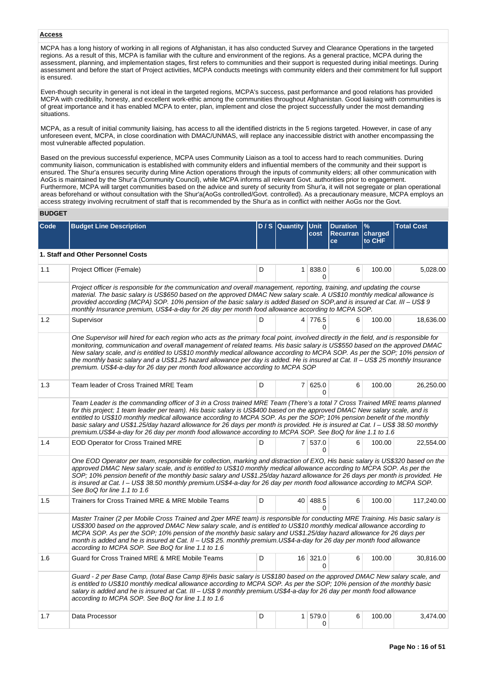# **Access**

MCPA has a long history of working in all regions of Afghanistan, it has also conducted Survey and Clearance Operations in the targeted regions. As a result of this, MCPA is familiar with the culture and environment of the regions. As a general practice, MCPA during the assessment, planning, and implementation stages, first refers to communities and their support is requested during initial meetings. During assessment and before the start of Project activities, MCPA conducts meetings with community elders and their commitment for full support is ensured.

Even-though security in general is not ideal in the targeted regions, MCPA's success, past performance and good relations has provided MCPA with credibility, honesty, and excellent work-ethic among the communities throughout Afghanistan. Good liaising with communities is of great importance and it has enabled MCPA to enter, plan, implement and close the project successfully under the most demanding situations.

MCPA, as a result of initial community liaising, has access to all the identified districts in the 5 regions targeted. However, in case of any unforeseen event, MCPA, in close coordination with DMAC/UNMAS, will replace any inaccessible district with another encompassing the most vulnerable affected population.

Based on the previous successful experience, MCPA uses Community Liaison as a tool to access hard to reach communities. During community liaison, communication is established with community elders and influential members of the community and their support is ensured. The Shur'a ensures security during Mine Action operations through the inputs of community elders; all other communication with AoGs is maintained by the Shur'a (Community Council), while MCPA informs all relevant Govt. authorities prior to engagement. Furthermore, MCPA will target communities based on the advice and surety of security from Shur'a, it will not segregate or plan operational areas beforehand or without consultation with the Shur'a(AoGs controlled/Govt. controlled). As a precautionary measure, MCPA employs an access strategy involving recruitment of staff that is recommended by the Shur'a as in conflict with neither AoGs nor the Govt.

# **BUDGET**

| Code | <b>Budget Line Description</b>                                                                                                                                                                                                                                                                                                                                                                                                                                                                                                                                                                                                    |   | D/S Quantity   | <b>Unit</b><br>cost | <b>Duration</b><br><b>Recurran</b><br>ce | %<br>charged<br>to CHF | <b>Total Cost</b> |
|------|-----------------------------------------------------------------------------------------------------------------------------------------------------------------------------------------------------------------------------------------------------------------------------------------------------------------------------------------------------------------------------------------------------------------------------------------------------------------------------------------------------------------------------------------------------------------------------------------------------------------------------------|---|----------------|---------------------|------------------------------------------|------------------------|-------------------|
|      | 1. Staff and Other Personnel Costs                                                                                                                                                                                                                                                                                                                                                                                                                                                                                                                                                                                                |   |                |                     |                                          |                        |                   |
| 1.1  | Project Officer (Female)                                                                                                                                                                                                                                                                                                                                                                                                                                                                                                                                                                                                          | D |                | 1 838.0<br>0        | 6                                        | 100.00                 | 5,028.00          |
|      | Project officer is responsible for the communication and overall management, reporting, training, and updating the course<br>material. The basic salary is US\$650 based on the approved DMAC New salary scale. A US\$10 monthly medical allowance is<br>provided according (MCPA) SOP. 10% pension of the basic salary is added Based on SOP, and is insured at Cat. III - US\$ 9<br>monthly Insurance premium, US\$4-a-day for 26 day per month food allowance according to MCPA SOP.                                                                                                                                           |   |                |                     |                                          |                        |                   |
| 1.2  | Supervisor                                                                                                                                                                                                                                                                                                                                                                                                                                                                                                                                                                                                                        | D |                | 4 776.5<br>$\Omega$ | 6                                        | 100.00                 | 18,636.00         |
|      | One Supervisor will hired for each region who acts as the primary focal point, involved directly in the field, and is responsible for<br>monitoring, communication and overall management of related teams. His basic salary is US\$550 based on the approved DMAC<br>New salary scale, and is entitled to US\$10 monthly medical allowance according to MCPA SOP. As per the SOP; 10% pension of<br>the monthly basic salary and a US\$1.25 hazard allowance per day is added. He is insured at Cat. II – US\$ 25 monthly Insurance<br>premium. US\$4-a-day for 26 day per month food allowance according to MCPA SOP            |   |                |                     |                                          |                        |                   |
| 1.3  | Team leader of Cross Trained MRE Team                                                                                                                                                                                                                                                                                                                                                                                                                                                                                                                                                                                             | D |                | 7 625.0<br>0        | 6                                        | 100.00                 | 26,250.00         |
|      | Team Leader is the commanding officer of 3 in a Cross trained MRE Team (There's a total 7 Cross Trained MRE teams planned<br>for this project; 1 team leader per team). His basic salary is US\$400 based on the approved DMAC New salary scale, and is<br>entitled to US\$10 monthly medical allowance according to MCPA SOP. As per the SOP: 10% pension benefit of the monthly<br>basic salary and US\$1.25/day hazard allowance for 26 days per month is provided. He is insured at Cat. I – US\$ 38.50 monthly<br>premium.US\$4-a-day for 26 day per month food allowance according to MCPA SOP. See BoQ for line 1.1 to 1.6 |   |                |                     |                                          |                        |                   |
| 1.4  | <b>EOD Operator for Cross Trained MRE</b>                                                                                                                                                                                                                                                                                                                                                                                                                                                                                                                                                                                         | D |                | 7 537.0<br>0        | 6                                        | 100.00                 | 22,554.00         |
|      | One EOD Operator per team, responsible for collection, marking and distraction of EXO, His basic salary is US\$320 based on the<br>approved DMAC New salary scale, and is entitled to US\$10 monthly medical allowance according to MCPA SOP. As per the<br>SOP; 10% pension benefit of the monthly basic salary and US\$1.25/day hazard allowance for 26 days per month is provided. He<br>is insured at Cat. I – US\$ 38.50 monthly premium.US\$4-a-day for 26 day per month food allowance according to MCPA SOP.<br>See BoQ for line 1.1 to 1.6                                                                               |   |                |                     |                                          |                        |                   |
| 1.5  | Trainers for Cross Trained MRE & MRE Mobile Teams                                                                                                                                                                                                                                                                                                                                                                                                                                                                                                                                                                                 | D |                | 40 488.5<br>0       | 6                                        | 100.00                 | 117,240.00        |
|      | Master Trainer (2 per Mobile Cross Trained and 2per MRE team) is responsible for conducting MRE Training. His basic salary is<br>US\$300 based on the approved DMAC New salary scale, and is entitled to US\$10 monthly medical allowance according to<br>MCPA SOP. As per the SOP; 10% pension of the monthly basic salary and US\$1.25/day hazard allowance for 26 days per<br>month is added and he is insured at Cat. II – US\$ 25. monthly premium.US\$4-a-day for 26 day per month food allowance<br>according to MCPA SOP. See BoQ for line 1.1 to 1.6                                                                     |   |                |                     |                                          |                        |                   |
| 1.6  | Guard for Cross Trained MRE & MRE Mobile Teams                                                                                                                                                                                                                                                                                                                                                                                                                                                                                                                                                                                    | D |                | 16 321.0<br>0       | 6                                        | 100.00                 | 30,816.00         |
|      | Guard - 2 per Base Camp, (total Base Camp 8)His basic salary is US\$180 based on the approved DMAC New salary scale, and<br>is entitled to US\$10 monthly medical allowance according to MCPA SOP. As per the SOP; 10% pension of the monthly basic<br>salary is added and he is insured at Cat. III – US\$ 9 monthly premium.US\$4-a-day for 26 day per month food allowance<br>according to MCPA SOP. See BoQ for line 1.1 to 1.6                                                                                                                                                                                               |   |                |                     |                                          |                        |                   |
| 1.7  | Data Processor                                                                                                                                                                                                                                                                                                                                                                                                                                                                                                                                                                                                                    | D | 1 <sup>1</sup> | 579.0<br>0          | 6                                        | 100.00                 | 3,474.00          |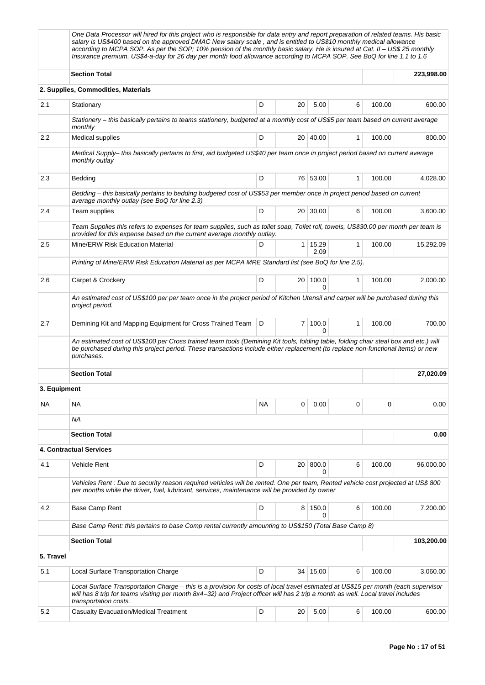|              | One Data Processor will hired for this project who is responsible for data entry and report preparation of related teams. His basic<br>salary is US\$400 based on the approved DMAC New salary scale, and is entitled to US\$10 monthly medical allowance<br>according to MCPA SOP. As per the SOP; 10% pension of the monthly basic salary. He is insured at Cat. II - US\$ 25 monthly<br>Insurance premium. US\$4-a-day for 26 day per month food allowance according to MCPA SOP. See BoQ for line 1.1 to 1.6 |        |                 |                        |              |          |            |  |  |  |  |
|--------------|------------------------------------------------------------------------------------------------------------------------------------------------------------------------------------------------------------------------------------------------------------------------------------------------------------------------------------------------------------------------------------------------------------------------------------------------------------------------------------------------------------------|--------|-----------------|------------------------|--------------|----------|------------|--|--|--|--|
|              | <b>Section Total</b>                                                                                                                                                                                                                                                                                                                                                                                                                                                                                             |        |                 |                        |              |          | 223,998.00 |  |  |  |  |
|              | 2. Supplies, Commodities, Materials                                                                                                                                                                                                                                                                                                                                                                                                                                                                              |        |                 |                        |              |          |            |  |  |  |  |
| 2.1          | Stationary                                                                                                                                                                                                                                                                                                                                                                                                                                                                                                       | D      | 20              | 5.00                   | 6            | 100.00   | 600.00     |  |  |  |  |
|              | Stationery - this basically pertains to teams stationery, budgeted at a monthly cost of US\$5 per team based on current average<br>monthly                                                                                                                                                                                                                                                                                                                                                                       |        |                 |                        |              |          |            |  |  |  |  |
| $2.2\,$      | Medical supplies                                                                                                                                                                                                                                                                                                                                                                                                                                                                                                 | D      |                 | 20   40.00             | $\mathbf{1}$ | 100.00   | 800.00     |  |  |  |  |
|              | Medical Supply– this basically pertains to first, aid budgeted US\$40 per team once in project period based on current average<br>monthly outlay                                                                                                                                                                                                                                                                                                                                                                 |        |                 |                        |              |          |            |  |  |  |  |
| 2.3          | Bedding                                                                                                                                                                                                                                                                                                                                                                                                                                                                                                          | D      |                 | 76 53.00               | $\mathbf{1}$ | 100.00   | 4,028.00   |  |  |  |  |
|              | Bedding - this basically pertains to bedding budgeted cost of US\$53 per member once in project period based on current<br>average monthly outlay (see BoQ for line 2.3)                                                                                                                                                                                                                                                                                                                                         |        |                 |                        |              |          |            |  |  |  |  |
| 2.4          | Team supplies                                                                                                                                                                                                                                                                                                                                                                                                                                                                                                    | D      |                 | 20 30.00               | 6            | 100.00   | 3,600.00   |  |  |  |  |
|              | Team Supplies this refers to expenses for team supplies, such as toilet soap, Toilet roll, towels, US\$30.00 per month per team is<br>provided for this expense based on the current average monthly outlay.                                                                                                                                                                                                                                                                                                     |        |                 |                        |              |          |            |  |  |  |  |
| 2.5          | Mine/ERW Risk Education Material                                                                                                                                                                                                                                                                                                                                                                                                                                                                                 | D      |                 | $1 \mid 15,29$<br>2.09 | 1            | 100.00   | 15,292.09  |  |  |  |  |
|              | Printing of Mine/ERW Risk Education Material as per MCPA MRE Standard list (see BoQ for line 2.5).                                                                                                                                                                                                                                                                                                                                                                                                               |        |                 |                        |              |          |            |  |  |  |  |
| 2.6          | Carpet & Crockery                                                                                                                                                                                                                                                                                                                                                                                                                                                                                                | 100.00 | 2,000.00        |                        |              |          |            |  |  |  |  |
|              | An estimated cost of US\$100 per per team once in the project period of Kitchen Utensil and carpet will be purchased during this<br>project period.                                                                                                                                                                                                                                                                                                                                                              |        |                 |                        |              |          |            |  |  |  |  |
| 2.7          | Demining Kit and Mapping Equipment for Cross Trained Team                                                                                                                                                                                                                                                                                                                                                                                                                                                        | D      | 7               | 100.0<br>$\Omega$      | 1            | 100.00   | 700.00     |  |  |  |  |
|              | An estimated cost of US\$100 per Cross trained team tools (Demining Kit tools, folding table, folding chair steal box and etc.) will<br>be purchased during this project period. These transactions include either replacement (to replace non-functional items) or new<br>purchases.                                                                                                                                                                                                                            |        |                 |                        |              |          |            |  |  |  |  |
|              | <b>Section Total</b>                                                                                                                                                                                                                                                                                                                                                                                                                                                                                             |        |                 |                        |              |          | 27,020.09  |  |  |  |  |
| 3. Equipment |                                                                                                                                                                                                                                                                                                                                                                                                                                                                                                                  |        |                 |                        |              |          |            |  |  |  |  |
| ΝA           | <b>NA</b>                                                                                                                                                                                                                                                                                                                                                                                                                                                                                                        | NA     | 0               | 0.00                   | $\mathbf 0$  | $\Omega$ | 0.00       |  |  |  |  |
|              | ΝA                                                                                                                                                                                                                                                                                                                                                                                                                                                                                                               |        |                 |                        |              |          |            |  |  |  |  |
|              | <b>Section Total</b>                                                                                                                                                                                                                                                                                                                                                                                                                                                                                             |        |                 |                        |              |          | 0.00       |  |  |  |  |
|              | 4. Contractual Services                                                                                                                                                                                                                                                                                                                                                                                                                                                                                          |        |                 |                        |              |          |            |  |  |  |  |
| 4.1          | <b>Vehicle Rent</b>                                                                                                                                                                                                                                                                                                                                                                                                                                                                                              | D      | 20 <sup>1</sup> | 800.0<br>$\Omega$      | 6            | 100.00   | 96,000.00  |  |  |  |  |
|              | Vehicles Rent : Due to security reason required vehicles will be rented. One per team, Rented vehicle cost projected at US\$ 800<br>per months while the driver, fuel, lubricant, services, maintenance will be provided by owner                                                                                                                                                                                                                                                                                |        |                 |                        |              |          |            |  |  |  |  |
| 4.2          | Base Camp Rent                                                                                                                                                                                                                                                                                                                                                                                                                                                                                                   | D      |                 | 8 150.0<br>0           | 6            | 100.00   | 7,200.00   |  |  |  |  |
|              | Base Camp Rent: this pertains to base Comp rental currently amounting to US\$150 (Total Base Camp 8)                                                                                                                                                                                                                                                                                                                                                                                                             |        |                 |                        |              |          |            |  |  |  |  |
|              | <b>Section Total</b>                                                                                                                                                                                                                                                                                                                                                                                                                                                                                             |        |                 |                        |              |          | 103,200.00 |  |  |  |  |
| 5. Travel    |                                                                                                                                                                                                                                                                                                                                                                                                                                                                                                                  |        |                 |                        |              |          |            |  |  |  |  |
| 5.1          | Local Surface Transportation Charge                                                                                                                                                                                                                                                                                                                                                                                                                                                                              | D      |                 | 34 15.00               | 6            | 100.00   | 3,060.00   |  |  |  |  |
|              | Local Surface Transportation Charge – this is a provision for costs of local travel estimated at US\$15 per month (each supervisor<br>will has 8 trip for teams visiting per month 8x4=32) and Project officer will has 2 trip a month as well. Local travel includes<br>transportation costs.                                                                                                                                                                                                                   |        |                 |                        |              |          |            |  |  |  |  |
| 5.2          | <b>Casualty Evacuation/Medical Treatment</b>                                                                                                                                                                                                                                                                                                                                                                                                                                                                     | D      | 20              | 5.00                   | 6            | 100.00   | 600.00     |  |  |  |  |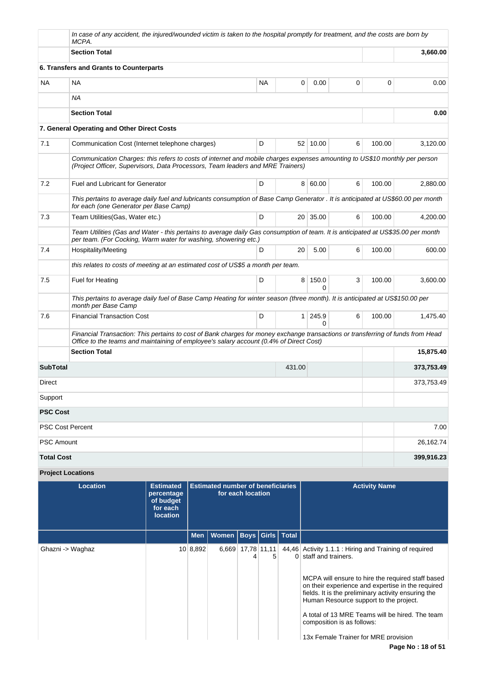|                   | MCPA.                                                           |                                                                       | In case of any accident, the injured/wounded victim is taken to the hospital promptly for treatment, and the costs are born by                                                                                            |        |                              |   |                      |            |  |  |
|-------------------|-----------------------------------------------------------------|-----------------------------------------------------------------------|---------------------------------------------------------------------------------------------------------------------------------------------------------------------------------------------------------------------------|--------|------------------------------|---|----------------------|------------|--|--|
|                   | <b>Section Total</b>                                            |                                                                       |                                                                                                                                                                                                                           |        |                              |   |                      | 3,660.00   |  |  |
|                   | 6. Transfers and Grants to Counterparts                         |                                                                       |                                                                                                                                                                                                                           |        |                              |   |                      |            |  |  |
| <b>NA</b>         | <b>NA</b>                                                       |                                                                       | <b>NA</b>                                                                                                                                                                                                                 |        | 0<br>0.00                    | 0 | 0                    | 0.00       |  |  |
|                   | <b>NA</b>                                                       |                                                                       |                                                                                                                                                                                                                           |        |                              |   |                      |            |  |  |
|                   | <b>Section Total</b>                                            |                                                                       |                                                                                                                                                                                                                           |        |                              |   |                      | 0.00       |  |  |
|                   | 7. General Operating and Other Direct Costs                     |                                                                       |                                                                                                                                                                                                                           |        |                              |   |                      |            |  |  |
| 7.1               |                                                                 | D<br>6<br>Communication Cost (Internet telephone charges)<br>52 10.00 |                                                                                                                                                                                                                           |        |                              |   |                      |            |  |  |
|                   |                                                                 |                                                                       | Communication Charges: this refers to costs of internet and mobile charges expenses amounting to US\$10 monthly per person<br>(Project Officer, Supervisors, Data Processors, Team leaders and MRE Trainers)              |        |                              |   |                      |            |  |  |
| 7.2               | <b>Fuel and Lubricant for Generator</b>                         |                                                                       | D                                                                                                                                                                                                                         |        | 8 60.00                      | 6 | 100.00               | 2,880.00   |  |  |
|                   | for each (one Generator per Base Camp)                          |                                                                       | This pertains to average daily fuel and lubricants consumption of Base Camp Generator . It is anticipated at US\$60.00 per month                                                                                          |        |                              |   |                      |            |  |  |
| 7.3               | Team Utilities (Gas, Water etc.)                                |                                                                       | D                                                                                                                                                                                                                         |        | 20 35.00                     | 6 | 100.00               | 4,200.00   |  |  |
|                   | per team. (For Cocking, Warm water for washing, showering etc.) |                                                                       | Team Utilities (Gas and Water - this pertains to average daily Gas consumption of team. It is anticipated at US\$35.00 per month                                                                                          |        |                              |   |                      |            |  |  |
| 7.4               | Hospitality/Meeting                                             | 100.00                                                                | 600.00                                                                                                                                                                                                                    |        |                              |   |                      |            |  |  |
|                   |                                                                 |                                                                       | this relates to costs of meeting at an estimated cost of US\$5 a month per team.                                                                                                                                          |        |                              |   |                      |            |  |  |
| 7.5               | Fuel for Heating                                                |                                                                       | D                                                                                                                                                                                                                         |        | 150.0<br>8<br>0              | 3 | 100.00               | 3,600.00   |  |  |
|                   | month per Base Camp                                             |                                                                       | This pertains to average daily fuel of Base Camp Heating for winter season (three month). It is anticipated at US\$150.00 per                                                                                             |        |                              |   |                      |            |  |  |
| 7.6               | <b>Financial Transaction Cost</b>                               |                                                                       | D                                                                                                                                                                                                                         |        | 245.9<br>1 <sup>1</sup><br>0 | 6 | 100.00               | 1,475.40   |  |  |
|                   |                                                                 |                                                                       | Financial Transaction: This pertains to cost of Bank charges for money exchange transactions or transferring of funds from Head<br>Office to the teams and maintaining of employee's salary account (0.4% of Direct Cost) |        |                              |   |                      |            |  |  |
|                   | <b>Section Total</b>                                            |                                                                       |                                                                                                                                                                                                                           |        |                              |   |                      | 15,875.40  |  |  |
| <b>SubTotal</b>   |                                                                 |                                                                       |                                                                                                                                                                                                                           | 431.00 |                              |   |                      | 373,753.49 |  |  |
| Direct            |                                                                 |                                                                       |                                                                                                                                                                                                                           |        |                              |   |                      | 373,753.49 |  |  |
| Support           |                                                                 |                                                                       |                                                                                                                                                                                                                           |        |                              |   |                      |            |  |  |
| <b>PSC Cost</b>   |                                                                 |                                                                       |                                                                                                                                                                                                                           |        |                              |   |                      |            |  |  |
|                   | <b>PSC Cost Percent</b>                                         |                                                                       |                                                                                                                                                                                                                           |        |                              |   |                      | 7.00       |  |  |
| <b>PSC Amount</b> |                                                                 |                                                                       |                                                                                                                                                                                                                           |        |                              |   |                      | 26,162.74  |  |  |
| <b>Total Cost</b> |                                                                 |                                                                       |                                                                                                                                                                                                                           |        |                              |   |                      | 399,916.23 |  |  |
|                   | <b>Project Locations</b>                                        |                                                                       |                                                                                                                                                                                                                           |        |                              |   |                      |            |  |  |
|                   | <b>Location</b>                                                 | <b>Estimated</b><br>percentage                                        | <b>Estimated number of beneficiaries</b><br>for each location                                                                                                                                                             |        |                              |   | <b>Activity Name</b> |            |  |  |

|                  | percentage<br>of budget<br>for each<br><b>location</b> |          | for each location                  |                          |   |                                                                                                                                                                                                                                                                                                                                                                                                                     |
|------------------|--------------------------------------------------------|----------|------------------------------------|--------------------------|---|---------------------------------------------------------------------------------------------------------------------------------------------------------------------------------------------------------------------------------------------------------------------------------------------------------------------------------------------------------------------------------------------------------------------|
|                  |                                                        |          | Men   Women   Boys   Girls   Total |                          |   |                                                                                                                                                                                                                                                                                                                                                                                                                     |
| Ghazni -> Waghaz |                                                        | 10 8,892 |                                    | $6,669$ 17,78 11,11<br>4 | 5 | 44,46 Activity 1.1.1 : Hiring and Training of required<br>0 staff and trainers.<br>MCPA will ensure to hire the required staff based<br>on their experience and expertise in the required<br>fields. It is the preliminary activity ensuring the<br>Human Resource support to the project.<br>A total of 13 MRE Teams will be hired. The team<br>composition is as follows:<br>13x Female Trainer for MRE provision |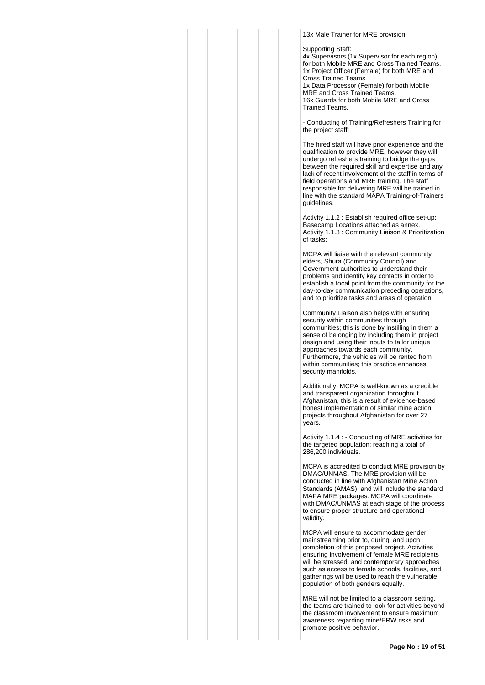13x Male Trainer for MRE provision

Supporting Staff:

4x Supervisors (1x Supervisor for each region) for both Mobile MRE and Cross Trained Teams. 1x Project Officer (Female) for both MRE and Cross Trained Teams 1x Data Processor (Female) for both Mobile MRE and Cross Trained Teams. 16x Guards for both Mobile MRE and Cross Trained Teams.

- Conducting of Training/Refreshers Training for the project staff:

The hired staff will have prior experience and the qualification to provide MRE, however they will undergo refreshers training to bridge the gaps between the required skill and expertise and any lack of recent involvement of the staff in terms of field operations and MRE training. The staff responsible for delivering MRE will be trained in line with the standard MAPA Training-of-Trainers guidelines.

Activity 1.1.2 : Establish required office set-up: Basecamp Locations attached as annex. Activity 1.1.3 : Community Liaison & Prioritization of tasks:

MCPA will liaise with the relevant community elders, Shura (Community Council) and Government authorities to understand their problems and identify key contacts in order to establish a focal point from the community for the day-to-day communication preceding operations, and to prioritize tasks and areas of operation.

Community Liaison also helps with ensuring security within communities through communities; this is done by instilling in them a sense of belonging by including them in project design and using their inputs to tailor unique approaches towards each community. Furthermore, the vehicles will be rented from within communities; this practice enhances security manifolds.

Additionally, MCPA is well-known as a credible and transparent organization throughout Afghanistan, this is a result of evidence-based honest implementation of similar mine action projects throughout Afghanistan for over 27 years.

Activity 1.1.4 : - Conducting of MRE activities for the targeted population: reaching a total of 286,200 individuals.

MCPA is accredited to conduct MRE provision by DMAC/UNMAS. The MRE provision will be conducted in line with Afghanistan Mine Action Standards (AMAS), and will include the standard MAPA MRE packages. MCPA will coordinate with DMAC/UNMAS at each stage of the process to ensure proper structure and operational validity.

MCPA will ensure to accommodate gender mainstreaming prior to, during, and upon completion of this proposed project. Activities ensuring involvement of female MRE recipients will be stressed, and contemporary approaches such as access to female schools, facilities, and gatherings will be used to reach the vulnerable population of both genders equally.

MRE will not be limited to a classroom setting, the teams are trained to look for activities beyond the classroom involvement to ensure maximum awareness regarding mine/ERW risks and promote positive behavior.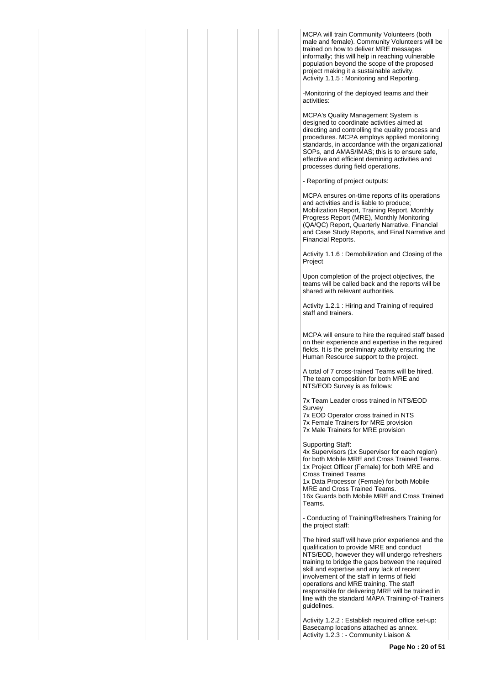MCPA will train Community Volunteers (both male and female). Community Volunteers will be trained on how to deliver MRE messages informally; this will help in reaching vulnerable population beyond the scope of the proposed project making it a sustainable activity. Activity 1.1.5 : Monitoring and Reporting.

-Monitoring of the deployed teams and their activities:

MCPA's Quality Management System is designed to coordinate activities aimed at directing and controlling the quality process and procedures. MCPA employs applied monitoring standards, in accordance with the organizational SOPs, and AMAS/IMAS; this is to ensure safe, effective and efficient demining activities and processes during field operations.

- Reporting of project outputs:

MCPA ensures on-time reports of its operations and activities and is liable to produce; Mobilization Report, Training Report, Monthly Progress Report (MRE), Monthly Monitoring (QA/QC) Report, Quarterly Narrative, Financial and Case Study Reports, and Final Narrative and Financial Reports.

Activity 1.1.6 : Demobilization and Closing of the Project

Upon completion of the project objectives, the teams will be called back and the reports will be shared with relevant authorities.

Activity 1.2.1 : Hiring and Training of required staff and trainers.

MCPA will ensure to hire the required staff based on their experience and expertise in the required fields. It is the preliminary activity ensuring the Human Resource support to the project.

A total of 7 cross-trained Teams will be hired. The team composition for both MRE and NTS/EOD Survey is as follows:

7x Team Leader cross trained in NTS/EOD Survey

7x EOD Operator cross trained in NTS 7x Female Trainers for MRE provision 7x Male Trainers for MRE provision

Supporting Staff:

4x Supervisors (1x Supervisor for each region) for both Mobile MRE and Cross Trained Teams. 1x Project Officer (Female) for both MRE and Cross Trained Teams 1x Data Processor (Female) for both Mobile MRE and Cross Trained Teams.

16x Guards both Mobile MRE and Cross Trained Teams.

- Conducting of Training/Refreshers Training for the project staff:

The hired staff will have prior experience and the qualification to provide MRE and conduct NTS/EOD, however they will undergo refreshers training to bridge the gaps between the required skill and expertise and any lack of recent involvement of the staff in terms of field operations and MRE training. The staff responsible for delivering MRE will be trained in line with the standard MAPA Training-of-Trainers guidelines.

Activity 1.2.2 : Establish required office set-up: Basecamp locations attached as annex. Activity 1.2.3 : - Community Liaison &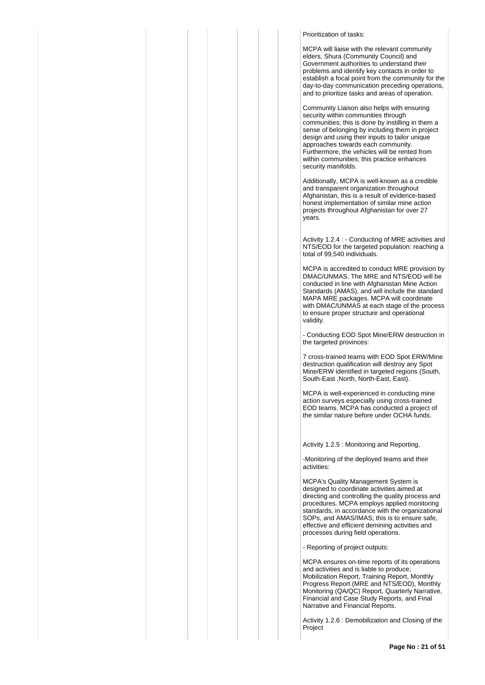# Prioritization of tasks:

MCPA will liaise with the relevant community elders, Shura (Community Council) and Government authorities to understand their problems and identify key contacts in order to establish a focal point from the community for the day-to-day communication preceding operations, and to prioritize tasks and areas of operation.

Community Liaison also helps with ensuring security within communities through communities; this is done by instilling in them a sense of belonging by including them in project design and using their inputs to tailor unique approaches towards each community. Furthermore, the vehicles will be rented from within communities; this practice enhances security manifolds.

Additionally, MCPA is well-known as a credible and transparent organization throughout Afghanistan, this is a result of evidence-based honest implementation of similar mine action projects throughout Afghanistan for over 27 years.

Activity 1.2.4 : - Conducting of MRE activities and NTS/EOD for the targeted population: reaching a total of 99,540 individuals.

MCPA is accredited to conduct MRE provision by DMAC/UNMAS. The MRE and NTS/EOD will be conducted in line with Afghanistan Mine Action Standards (AMAS), and will include the standard MAPA MRE packages. MCPA will coordinate with DMAC/UNMAS at each stage of the process to ensure proper structure and operational validity.

- Conducting EOD Spot Mine/ERW destruction in the targeted provinces:

7 cross-trained teams with EOD Spot ERW/Mine destruction qualification will destroy any Spot Mine/ERW identified in targeted regions (South, South-East ,North, North-East, East).

MCPA is well-experienced in conducting mine action surveys especially using cross-trained EOD teams. MCPA has conducted a project of the similar nature before under OCHA funds.

Activity 1.2.5 : Monitoring and Reporting.

-Monitoring of the deployed teams and their activities:

MCPA's Quality Management System is designed to coordinate activities aimed at directing and controlling the quality process and procedures. MCPA employs applied monitoring standards, in accordance with the organizational SOPs, and AMAS/IMAS; this is to ensure safe, effective and efficient demining activities and processes during field operations.

- Reporting of project outputs:

MCPA ensures on-time reports of its operations and activities and is liable to produce; Mobilization Report, Training Report, Monthly Progress Report (MRE and NTS/EOD), Monthly Monitoring (QA/QC) Report, Quarterly Narrative, Financial and Case Study Reports, and Final Narrative and Financial Reports.

Activity 1.2.6 : Demobilization and Closing of the Project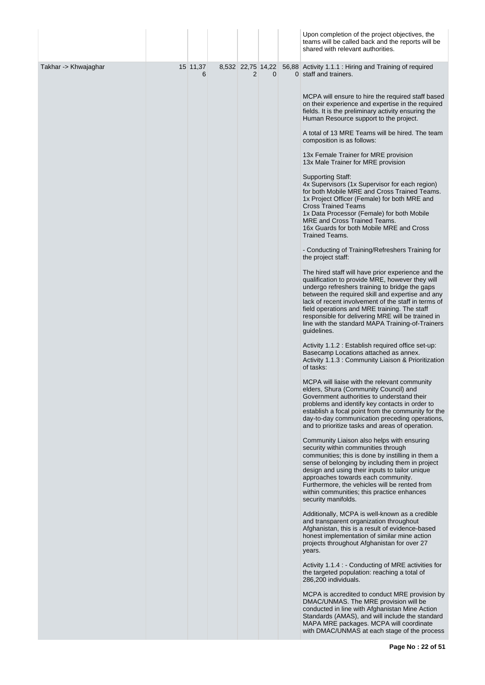|                      |               |                |          | Upon completion of the project objectives, the<br>teams will be called back and the reports will be<br>shared with relevant authorities.                                                                                                                                                                                                                                                                                                   |
|----------------------|---------------|----------------|----------|--------------------------------------------------------------------------------------------------------------------------------------------------------------------------------------------------------------------------------------------------------------------------------------------------------------------------------------------------------------------------------------------------------------------------------------------|
| Takhar -> Khwajaghar | 15 11,37<br>6 | $\overline{2}$ | $\Omega$ | 8,532 22,75 14,22 56,88 Activity 1.1.1 : Hiring and Training of required<br>0 staff and trainers.                                                                                                                                                                                                                                                                                                                                          |
|                      |               |                |          | MCPA will ensure to hire the required staff based<br>on their experience and expertise in the required<br>fields. It is the preliminary activity ensuring the<br>Human Resource support to the project.                                                                                                                                                                                                                                    |
|                      |               |                |          | A total of 13 MRE Teams will be hired. The team<br>composition is as follows:                                                                                                                                                                                                                                                                                                                                                              |
|                      |               |                |          | 13x Female Trainer for MRE provision<br>13x Male Trainer for MRE provision                                                                                                                                                                                                                                                                                                                                                                 |
|                      |               |                |          | <b>Supporting Staff:</b><br>4x Supervisors (1x Supervisor for each region)<br>for both Mobile MRE and Cross Trained Teams.<br>1x Project Officer (Female) for both MRE and<br><b>Cross Trained Teams</b><br>1x Data Processor (Female) for both Mobile<br><b>MRE</b> and Cross Trained Teams.<br>16x Guards for both Mobile MRE and Cross<br><b>Trained Teams.</b>                                                                         |
|                      |               |                |          | - Conducting of Training/Refreshers Training for<br>the project staff:                                                                                                                                                                                                                                                                                                                                                                     |
|                      |               |                |          | The hired staff will have prior experience and the<br>qualification to provide MRE, however they will<br>undergo refreshers training to bridge the gaps<br>between the required skill and expertise and any<br>lack of recent involvement of the staff in terms of<br>field operations and MRE training. The staff<br>responsible for delivering MRE will be trained in<br>line with the standard MAPA Training-of-Trainers<br>guidelines. |
|                      |               |                |          | Activity 1.1.2 : Establish required office set-up:<br>Basecamp Locations attached as annex.<br>Activity 1.1.3 : Community Liaison & Prioritization<br>of tasks:                                                                                                                                                                                                                                                                            |
|                      |               |                |          | MCPA will liaise with the relevant community<br>elders, Shura (Community Council) and<br>Government authorities to understand their<br>problems and identify key contacts in order to<br>establish a focal point from the community for the<br>day-to-day communication preceding operations,<br>and to prioritize tasks and areas of operation.                                                                                           |
|                      |               |                |          | Community Liaison also helps with ensuring<br>security within communities through<br>communities; this is done by instilling in them a<br>sense of belonging by including them in project<br>design and using their inputs to tailor unique<br>approaches towards each community.<br>Furthermore, the vehicles will be rented from<br>within communities; this practice enhances<br>security manifolds.                                    |
|                      |               |                |          | Additionally, MCPA is well-known as a credible<br>and transparent organization throughout<br>Afghanistan, this is a result of evidence-based<br>honest implementation of similar mine action<br>projects throughout Afghanistan for over 27<br>years.                                                                                                                                                                                      |
|                      |               |                |          | Activity 1.1.4 : - Conducting of MRE activities for<br>the targeted population: reaching a total of<br>286,200 individuals.                                                                                                                                                                                                                                                                                                                |
|                      |               |                |          | MCPA is accredited to conduct MRE provision by<br>DMAC/UNMAS. The MRE provision will be<br>conducted in line with Afghanistan Mine Action<br>Standards (AMAS), and will include the standard<br>MAPA MRE packages. MCPA will coordinate<br>with DMAC/UNMAS at each stage of the process                                                                                                                                                    |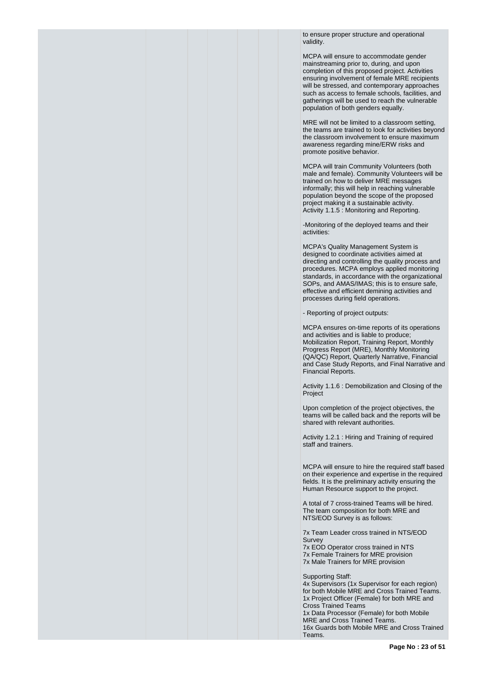to ensure proper structure and operational validity.

MCPA will ensure to accommodate gender mainstreaming prior to, during, and upon completion of this proposed project. Activities ensuring involvement of female MRE recipients will be stressed, and contemporary approaches such as access to female schools, facilities, and gatherings will be used to reach the vulnerable population of both genders equally.

MRE will not be limited to a classroom setting, the teams are trained to look for activities beyond the classroom involvement to ensure maximum awareness regarding mine/ERW risks and promote positive behavior.

MCPA will train Community Volunteers (both male and female). Community Volunteers will be trained on how to deliver MRE messages informally; this will help in reaching vulnerable population beyond the scope of the proposed project making it a sustainable activity. Activity 1.1.5 : Monitoring and Reporting.

-Monitoring of the deployed teams and their activities:

MCPA's Quality Management System is designed to coordinate activities aimed at directing and controlling the quality process and procedures. MCPA employs applied monitoring standards, in accordance with the organizational SOPs, and AMAS/IMAS; this is to ensure safe, effective and efficient demining activities and processes during field operations.

- Reporting of project outputs:

MCPA ensures on-time reports of its operations and activities and is liable to produce; Mobilization Report, Training Report, Monthly Progress Report (MRE), Monthly Monitoring (QA/QC) Report, Quarterly Narrative, Financial and Case Study Reports, and Final Narrative and Financial Reports.

Activity 1.1.6 : Demobilization and Closing of the Project

Upon completion of the project objectives, the teams will be called back and the reports will be shared with relevant authorities.

Activity 1.2.1 : Hiring and Training of required staff and trainers.

MCPA will ensure to hire the required staff based on their experience and expertise in the required fields. It is the preliminary activity ensuring the Human Resource support to the project.

A total of 7 cross-trained Teams will be hired. The team composition for both MRE and NTS/EOD Survey is as follows:

7x Team Leader cross trained in NTS/EOD **Survey** 

7x EOD Operator cross trained in NTS 7x Female Trainers for MRE provision 7x Male Trainers for MRE provision

Supporting Staff:

4x Supervisors (1x Supervisor for each region) for both Mobile MRE and Cross Trained Teams. 1x Project Officer (Female) for both MRE and Cross Trained Teams 1x Data Processor (Female) for both Mobile MRE and Cross Trained Teams. 16x Guards both Mobile MRE and Cross Trained Teams.

**Page No : 23 of 51**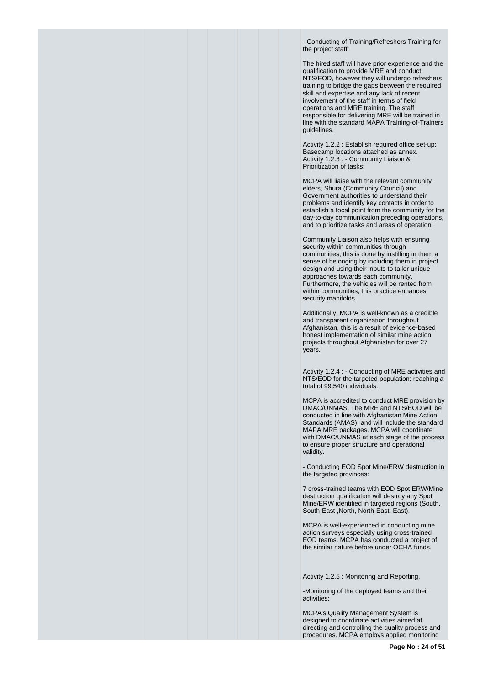- Conducting of Training/Refreshers Training for the project staff:

The hired staff will have prior experience and the qualification to provide MRE and conduct NTS/EOD, however they will undergo refreshers training to bridge the gaps between the required skill and expertise and any lack of recent involvement of the staff in terms of field operations and MRE training. The staff responsible for delivering MRE will be trained in line with the standard MAPA Training-of-Trainers guidelines.

Activity 1.2.2 : Establish required office set-up: Basecamp locations attached as annex. Activity 1.2.3 : - Community Liaison & Prioritization of tasks:

MCPA will liaise with the relevant community elders, Shura (Community Council) and Government authorities to understand their problems and identify key contacts in order to establish a focal point from the community for the day-to-day communication preceding operations, and to prioritize tasks and areas of operation.

Community Liaison also helps with ensuring security within communities through communities; this is done by instilling in them a sense of belonging by including them in project design and using their inputs to tailor unique approaches towards each community. Furthermore, the vehicles will be rented from within communities; this practice enhances security manifolds.

Additionally, MCPA is well-known as a credible and transparent organization throughout Afghanistan, this is a result of evidence-based honest implementation of similar mine action projects throughout Afghanistan for over 27 years.

Activity 1.2.4 : - Conducting of MRE activities and NTS/EOD for the targeted population: reaching a total of 99,540 individuals.

MCPA is accredited to conduct MRE provision by DMAC/UNMAS. The MRE and NTS/EOD will be conducted in line with Afghanistan Mine Action Standards (AMAS), and will include the standard MAPA MRE packages. MCPA will coordinate with DMAC/UNMAS at each stage of the process to ensure proper structure and operational validity.

- Conducting EOD Spot Mine/ERW destruction in the targeted provinces:

7 cross-trained teams with EOD Spot ERW/Mine destruction qualification will destroy any Spot Mine/ERW identified in targeted regions (South, South-East ,North, North-East, East).

MCPA is well-experienced in conducting mine action surveys especially using cross-trained EOD teams. MCPA has conducted a project of the similar nature before under OCHA funds.

Activity 1.2.5 : Monitoring and Reporting.

-Monitoring of the deployed teams and their activities:

MCPA's Quality Management System is designed to coordinate activities aimed at directing and controlling the quality process and procedures. MCPA employs applied monitoring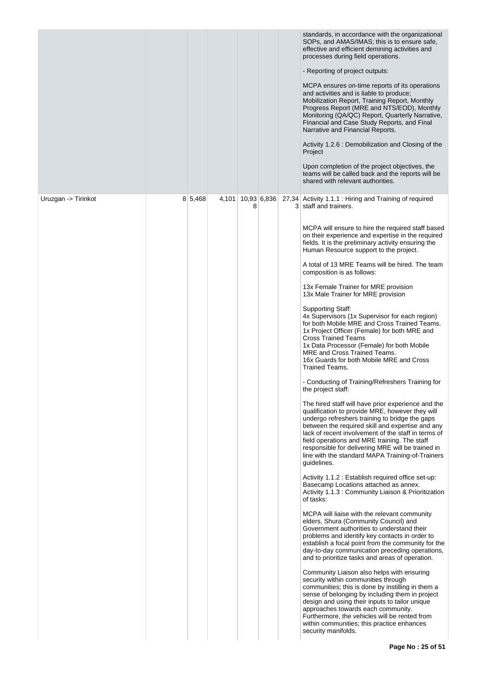|                     |         |       |   |             | standards, in accordance with the organizational<br>SOPs, and AMAS/IMAS; this is to ensure safe,<br>effective and efficient demining activities and<br>processes during field operations.<br>- Reporting of project outputs:<br>MCPA ensures on-time reports of its operations<br>and activities and is liable to produce;<br>Mobilization Report, Training Report, Monthly<br>Progress Report (MRE and NTS/EOD), Monthly<br>Monitoring (QA/QC) Report, Quarterly Narrative,<br>Financial and Case Study Reports, and Final<br>Narrative and Financial Reports.<br>Activity 1.2.6 : Demobilization and Closing of the<br>Project<br>Upon completion of the project objectives, the<br>teams will be called back and the reports will be<br>shared with relevant authorities.                                                                                                                                                                                                                                                                                                                                                                                                                                                                                                                                                                                                                                                                                                                                                                                                                                                                                                                                                                                                                                                                                                                                                                                                                                                                                                                                                                                                                                                                                                       |
|---------------------|---------|-------|---|-------------|------------------------------------------------------------------------------------------------------------------------------------------------------------------------------------------------------------------------------------------------------------------------------------------------------------------------------------------------------------------------------------------------------------------------------------------------------------------------------------------------------------------------------------------------------------------------------------------------------------------------------------------------------------------------------------------------------------------------------------------------------------------------------------------------------------------------------------------------------------------------------------------------------------------------------------------------------------------------------------------------------------------------------------------------------------------------------------------------------------------------------------------------------------------------------------------------------------------------------------------------------------------------------------------------------------------------------------------------------------------------------------------------------------------------------------------------------------------------------------------------------------------------------------------------------------------------------------------------------------------------------------------------------------------------------------------------------------------------------------------------------------------------------------------------------------------------------------------------------------------------------------------------------------------------------------------------------------------------------------------------------------------------------------------------------------------------------------------------------------------------------------------------------------------------------------------------------------------------------------------------------------------------------------|
| Uruzgan -> Tirinkot | 8 5,468 | 4,101 | 8 | 10,93 6,836 | 27,34 Activity 1.1.1 : Hiring and Training of required<br>3 staff and trainers.<br>MCPA will ensure to hire the required staff based<br>on their experience and expertise in the required<br>fields. It is the preliminary activity ensuring the<br>Human Resource support to the project.<br>A total of 13 MRE Teams will be hired. The team<br>composition is as follows:<br>13x Female Trainer for MRE provision<br>13x Male Trainer for MRE provision<br><b>Supporting Staff:</b><br>4x Supervisors (1x Supervisor for each region)<br>for both Mobile MRE and Cross Trained Teams.<br>1x Project Officer (Female) for both MRE and<br><b>Cross Trained Teams</b><br>1x Data Processor (Female) for both Mobile<br>MRE and Cross Trained Teams.<br>16x Guards for both Mobile MRE and Cross<br><b>Trained Teams.</b><br>- Conducting of Training/Refreshers Training for<br>the project staff:<br>The hired staff will have prior experience and the<br>qualification to provide MRE, however they will<br>undergo refreshers training to bridge the gaps<br>between the required skill and expertise and any<br>lack of recent involvement of the staff in terms of<br>field operations and MRE training. The staff<br>responsible for delivering MRE will be trained in<br>line with the standard MAPA Training-of-Trainers<br>guidelines.<br>Activity 1.1.2 : Establish required office set-up:<br>Basecamp Locations attached as annex.<br>Activity 1.1.3 : Community Liaison & Prioritization<br>of tasks:<br>MCPA will liaise with the relevant community<br>elders, Shura (Community Council) and<br>Government authorities to understand their<br>problems and identify key contacts in order to<br>establish a focal point from the community for the<br>day-to-day communication preceding operations,<br>and to prioritize tasks and areas of operation.<br>Community Liaison also helps with ensuring<br>security within communities through<br>communities; this is done by instilling in them a<br>sense of belonging by including them in project<br>design and using their inputs to tailor unique<br>approaches towards each community.<br>Furthermore, the vehicles will be rented from<br>within communities; this practice enhances<br>security manifolds. |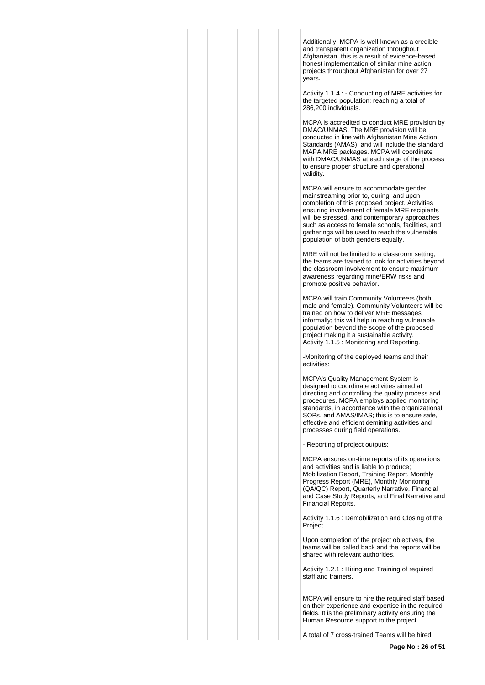Additionally, MCPA is well-known as a credible and transparent organization throughout Afghanistan, this is a result of evidence-based honest implementation of similar mine action projects throughout Afghanistan for over 27 years.

Activity 1.1.4 : - Conducting of MRE activities for the targeted population: reaching a total of 286,200 individuals.

MCPA is accredited to conduct MRE provision by DMAC/UNMAS. The MRE provision will be conducted in line with Afghanistan Mine Action Standards (AMAS), and will include the standard MAPA MRE packages. MCPA will coordinate with DMAC/UNMAS at each stage of the process to ensure proper structure and operational validity.

MCPA will ensure to accommodate gender mainstreaming prior to, during, and upon completion of this proposed project. Activities ensuring involvement of female MRE recipients will be stressed, and contemporary approaches such as access to female schools, facilities, and gatherings will be used to reach the vulnerable population of both genders equally.

MRE will not be limited to a classroom setting, the teams are trained to look for activities beyond the classroom involvement to ensure maximum awareness regarding mine/ERW risks and promote positive behavior.

MCPA will train Community Volunteers (both male and female). Community Volunteers will be trained on how to deliver MRE messages informally; this will help in reaching vulnerable population beyond the scope of the proposed project making it a sustainable activity. Activity 1.1.5 : Monitoring and Reporting.

-Monitoring of the deployed teams and their activities:

MCPA's Quality Management System is designed to coordinate activities aimed at directing and controlling the quality process and procedures. MCPA employs applied monitoring standards, in accordance with the organizational SOPs, and AMAS/IMAS; this is to ensure safe, effective and efficient demining activities and processes during field operations.

- Reporting of project outputs:

MCPA ensures on-time reports of its operations and activities and is liable to produce; Mobilization Report, Training Report, Monthly Progress Report (MRE), Monthly Monitoring (QA/QC) Report, Quarterly Narrative, Financial and Case Study Reports, and Final Narrative and Financial Reports.

Activity 1.1.6 : Demobilization and Closing of the Project

Upon completion of the project objectives, the teams will be called back and the reports will be shared with relevant authorities.

Activity 1.2.1 : Hiring and Training of required staff and trainers.

MCPA will ensure to hire the required staff based on their experience and expertise in the required fields. It is the preliminary activity ensuring the Human Resource support to the project.

A total of 7 cross-trained Teams will be hired.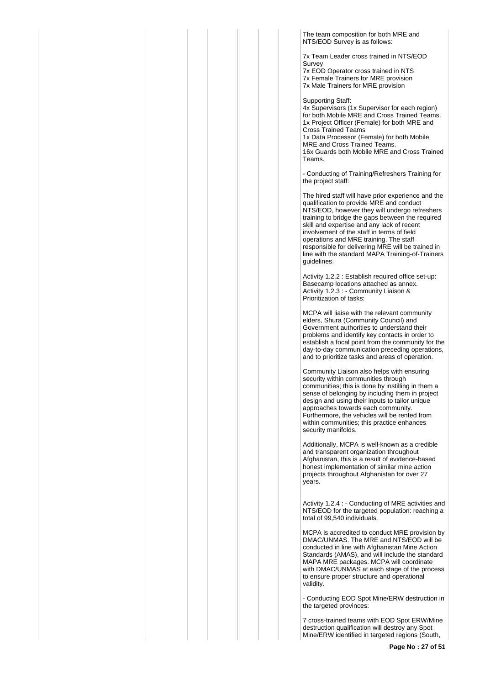The team composition for both MRE and NTS/EOD Survey is as follows:

7x Team Leader cross trained in NTS/EOD Survey

7x EOD Operator cross trained in NTS 7x Female Trainers for MRE provision 7x Male Trainers for MRE provision

Supporting Staff:

Teams.

4x Supervisors (1x Supervisor for each region) for both Mobile MRE and Cross Trained Teams. 1x Project Officer (Female) for both MRE and Cross Trained Teams 1x Data Processor (Female) for both Mobile MRE and Cross Trained Teams. 16x Guards both Mobile MRE and Cross Trained

- Conducting of Training/Refreshers Training for the project staff:

The hired staff will have prior experience and the qualification to provide MRE and conduct NTS/EOD, however they will undergo refreshers training to bridge the gaps between the required skill and expertise and any lack of recent involvement of the staff in terms of field operations and MRE training. The staff responsible for delivering MRE will be trained in line with the standard MAPA Training-of-Trainers guidelines.

Activity 1.2.2 : Establish required office set-up: Basecamp locations attached as annex. Activity 1.2.3 : - Community Liaison & Prioritization of tasks:

MCPA will liaise with the relevant community elders, Shura (Community Council) and Government authorities to understand their problems and identify key contacts in order to establish a focal point from the community for the day-to-day communication preceding operations, and to prioritize tasks and areas of operation.

Community Liaison also helps with ensuring security within communities through communities; this is done by instilling in them a sense of belonging by including them in project design and using their inputs to tailor unique approaches towards each community. Furthermore, the vehicles will be rented from within communities; this practice enhances security manifolds.

Additionally, MCPA is well-known as a credible and transparent organization throughout Afghanistan, this is a result of evidence-based honest implementation of similar mine action projects throughout Afghanistan for over 27 years.

Activity 1.2.4 : - Conducting of MRE activities and NTS/EOD for the targeted population: reaching a total of 99,540 individuals.

MCPA is accredited to conduct MRE provision by DMAC/UNMAS. The MRE and NTS/EOD will be conducted in line with Afghanistan Mine Action Standards (AMAS), and will include the standard MAPA MRE packages. MCPA will coordinate with DMAC/UNMAS at each stage of the process to ensure proper structure and operational validity.

- Conducting EOD Spot Mine/ERW destruction in the targeted provinces:

7 cross-trained teams with EOD Spot ERW/Mine destruction qualification will destroy any Spot Mine/ERW identified in targeted regions (South,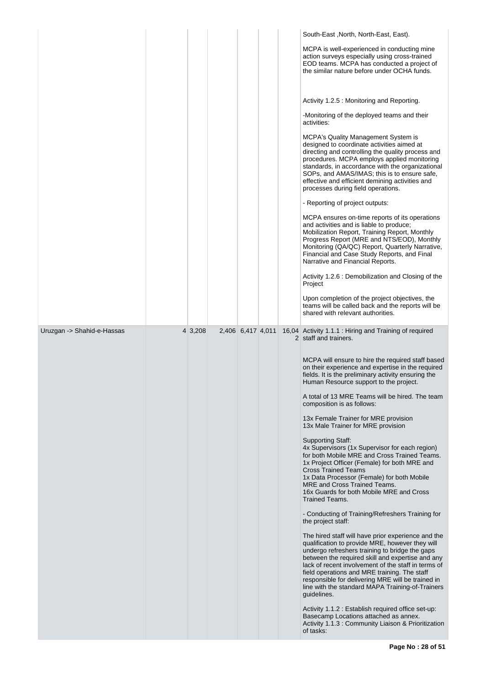|                            |         |                   |  | South-East, North, North-East, East).                                                                                                                                                                                                                                                                                                                                                                                                      |
|----------------------------|---------|-------------------|--|--------------------------------------------------------------------------------------------------------------------------------------------------------------------------------------------------------------------------------------------------------------------------------------------------------------------------------------------------------------------------------------------------------------------------------------------|
|                            |         |                   |  | MCPA is well-experienced in conducting mine<br>action surveys especially using cross-trained<br>EOD teams. MCPA has conducted a project of<br>the similar nature before under OCHA funds.                                                                                                                                                                                                                                                  |
|                            |         |                   |  | Activity 1.2.5 : Monitoring and Reporting.                                                                                                                                                                                                                                                                                                                                                                                                 |
|                            |         |                   |  | -Monitoring of the deployed teams and their<br>activities:                                                                                                                                                                                                                                                                                                                                                                                 |
|                            |         |                   |  | <b>MCPA's Quality Management System is</b><br>designed to coordinate activities aimed at<br>directing and controlling the quality process and<br>procedures. MCPA employs applied monitoring<br>standards, in accordance with the organizational<br>SOPs, and AMAS/IMAS; this is to ensure safe,<br>effective and efficient demining activities and<br>processes during field operations.                                                  |
|                            |         |                   |  | - Reporting of project outputs:                                                                                                                                                                                                                                                                                                                                                                                                            |
|                            |         |                   |  | MCPA ensures on-time reports of its operations<br>and activities and is liable to produce;<br>Mobilization Report, Training Report, Monthly<br>Progress Report (MRE and NTS/EOD), Monthly<br>Monitoring (QA/QC) Report, Quarterly Narrative,<br>Financial and Case Study Reports, and Final<br>Narrative and Financial Reports.                                                                                                            |
|                            |         |                   |  | Activity 1.2.6 : Demobilization and Closing of the<br>Project                                                                                                                                                                                                                                                                                                                                                                              |
|                            |         |                   |  | Upon completion of the project objectives, the<br>teams will be called back and the reports will be<br>shared with relevant authorities.                                                                                                                                                                                                                                                                                                   |
| Uruzgan -> Shahid-e-Hassas | 4 3,208 | 2,406 6,417 4,011 |  | 16,04 Activity 1.1.1 : Hiring and Training of required<br>2 staff and trainers.                                                                                                                                                                                                                                                                                                                                                            |
|                            |         |                   |  | MCPA will ensure to hire the required staff based<br>on their experience and expertise in the required<br>fields. It is the preliminary activity ensuring the<br>Human Resource support to the project.                                                                                                                                                                                                                                    |
|                            |         |                   |  | A total of 13 MRE Teams will be hired. The team<br>composition is as follows:                                                                                                                                                                                                                                                                                                                                                              |
|                            |         |                   |  | 13x Female Trainer for MRE provision<br>13x Male Trainer for MRE provision                                                                                                                                                                                                                                                                                                                                                                 |
|                            |         |                   |  | <b>Supporting Staff:</b><br>4x Supervisors (1x Supervisor for each region)<br>for both Mobile MRE and Cross Trained Teams.<br>1x Project Officer (Female) for both MRE and<br><b>Cross Trained Teams</b><br>1x Data Processor (Female) for both Mobile<br>MRE and Cross Trained Teams.<br>16x Guards for both Mobile MRE and Cross<br><b>Trained Teams.</b>                                                                                |
|                            |         |                   |  | - Conducting of Training/Refreshers Training for<br>the project staff:                                                                                                                                                                                                                                                                                                                                                                     |
|                            |         |                   |  | The hired staff will have prior experience and the<br>qualification to provide MRE, however they will<br>undergo refreshers training to bridge the gaps<br>between the required skill and expertise and any<br>lack of recent involvement of the staff in terms of<br>field operations and MRE training. The staff<br>responsible for delivering MRE will be trained in<br>line with the standard MAPA Training-of-Trainers<br>guidelines. |
|                            |         |                   |  | Activity 1.1.2 : Establish required office set-up:<br>Basecamp Locations attached as annex.<br>Activity 1.1.3 : Community Liaison & Prioritization<br>of tasks:                                                                                                                                                                                                                                                                            |
|                            |         |                   |  |                                                                                                                                                                                                                                                                                                                                                                                                                                            |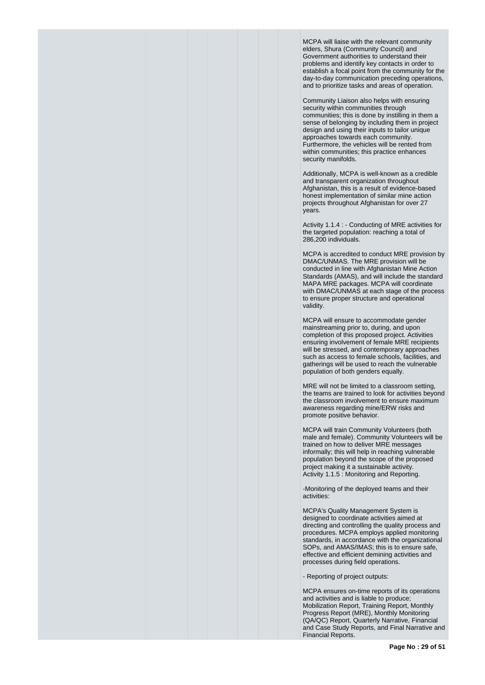MCPA will liaise with the relevant community elders, Shura (Community Council) and Government authorities to understand their problems and identify key contacts in order to establish a focal point from the community for the day-to-day communication preceding operations, and to prioritize tasks and areas of operation.

Community Liaison also helps with ensuring security within communities through communities; this is done by instilling in them a sense of belonging by including them in project design and using their inputs to tailor unique approaches towards each community. Furthermore, the vehicles will be rented from within communities; this practice enhances security manifolds.

Additionally, MCPA is well-known as a credible and transparent organization throughout Afghanistan, this is a result of evidence-based honest implementation of similar mine action projects throughout Afghanistan for over 27 years.

Activity 1.1.4 : - Conducting of MRE activities for the targeted population: reaching a total of 286,200 individuals.

MCPA is accredited to conduct MRE provision by DMAC/UNMAS. The MRE provision will be conducted in line with Afghanistan Mine Action Standards (AMAS), and will include the standard MAPA MRE packages. MCPA will coordinate with DMAC/UNMAS at each stage of the process to ensure proper structure and operational validity.

MCPA will ensure to accommodate gender mainstreaming prior to, during, and upon completion of this proposed project. Activities ensuring involvement of female MRE recipients will be stressed, and contemporary approaches such as access to female schools, facilities, and gatherings will be used to reach the vulnerable population of both genders equally.

MRE will not be limited to a classroom setting, the teams are trained to look for activities beyond the classroom involvement to ensure maximum awareness regarding mine/ERW risks and promote positive behavior.

MCPA will train Community Volunteers (both male and female). Community Volunteers will be trained on how to deliver MRE messages informally; this will help in reaching vulnerable population beyond the scope of the proposed project making it a sustainable activity. Activity 1.1.5 : Monitoring and Reporting.

-Monitoring of the deployed teams and their activities:

MCPA's Quality Management System is designed to coordinate activities aimed at directing and controlling the quality process and procedures. MCPA employs applied monitoring standards, in accordance with the organizational SOPs, and AMAS/IMAS; this is to ensure safe, effective and efficient demining activities and processes during field operations.

- Reporting of project outputs:

MCPA ensures on-time reports of its operations and activities and is liable to produce; Mobilization Report, Training Report, Monthly Progress Report (MRE), Monthly Monitoring (QA/QC) Report, Quarterly Narrative, Financial and Case Study Reports, and Final Narrative and Financial Reports.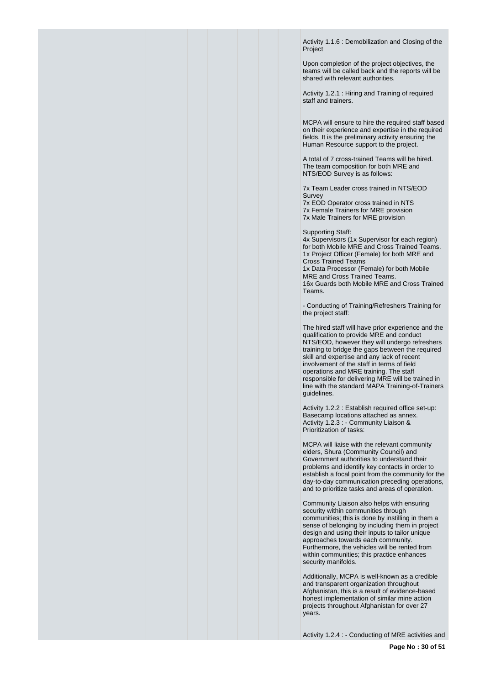Activity 1.1.6 : Demobilization and Closing of the Project

Upon completion of the project objectives, the teams will be called back and the reports will be shared with relevant authorities.

Activity 1.2.1 : Hiring and Training of required staff and trainers.

MCPA will ensure to hire the required staff based on their experience and expertise in the required fields. It is the preliminary activity ensuring the Human Resource support to the project.

A total of 7 cross-trained Teams will be hired. The team composition for both MRE and NTS/EOD Survey is as follows:

7x Team Leader cross trained in NTS/EOD **Survey** 

7x EOD Operator cross trained in NTS 7x Female Trainers for MRE provision 7x Male Trainers for MRE provision

Supporting Staff:

4x Supervisors (1x Supervisor for each region) for both Mobile MRE and Cross Trained Teams. 1x Project Officer (Female) for both MRE and Cross Trained Teams 1x Data Processor (Female) for both Mobile MRE and Cross Trained Teams. 16x Guards both Mobile MRE and Cross Trained Teams.

- Conducting of Training/Refreshers Training for the project staff:

The hired staff will have prior experience and the qualification to provide MRE and conduct NTS/EOD, however they will undergo refreshers training to bridge the gaps between the required skill and expertise and any lack of recent involvement of the staff in terms of field operations and MRE training. The staff responsible for delivering MRE will be trained in line with the standard MAPA Training-of-Trainers guidelines.

Activity 1.2.2 : Establish required office set-up: Basecamp locations attached as annex. Activity 1.2.3 : - Community Liaison & Prioritization of tasks:

MCPA will liaise with the relevant community elders, Shura (Community Council) and Government authorities to understand their problems and identify key contacts in order to establish a focal point from the community for the day-to-day communication preceding operations, and to prioritize tasks and areas of operation.

Community Liaison also helps with ensuring security within communities through communities; this is done by instilling in them a sense of belonging by including them in project design and using their inputs to tailor unique approaches towards each community. Furthermore, the vehicles will be rented from within communities; this practice enhances security manifolds.

Additionally, MCPA is well-known as a credible and transparent organization throughout Afghanistan, this is a result of evidence-based honest implementation of similar mine action projects throughout Afghanistan for over 27 years.

Activity 1.2.4 : - Conducting of MRE activities and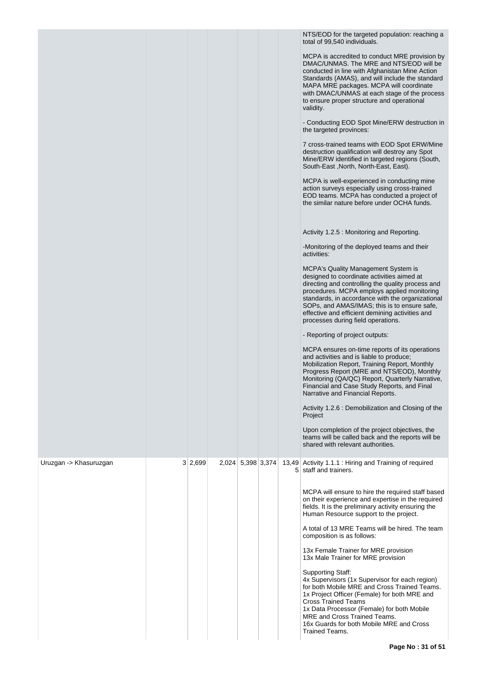|                        |         |                   |  | NTS/EOD for the targeted population: reaching a<br>total of 99,540 individuals.<br>MCPA is accredited to conduct MRE provision by<br>DMAC/UNMAS. The MRE and NTS/EOD will be<br>conducted in line with Afghanistan Mine Action<br>Standards (AMAS), and will include the standard<br>MAPA MRE packages. MCPA will coordinate<br>with DMAC/UNMAS at each stage of the process<br>to ensure proper structure and operational<br>validity.<br>- Conducting EOD Spot Mine/ERW destruction in<br>the targeted provinces:<br>7 cross-trained teams with EOD Spot ERW/Mine<br>destruction qualification will destroy any Spot<br>Mine/ERW identified in targeted regions (South,<br>South-East, North, North-East, East).<br>MCPA is well-experienced in conducting mine<br>action surveys especially using cross-trained<br>EOD teams. MCPA has conducted a project of<br>the similar nature before under OCHA funds.<br>Activity 1.2.5 : Monitoring and Reporting.<br>-Monitoring of the deployed teams and their<br>activities:<br><b>MCPA's Quality Management System is</b><br>designed to coordinate activities aimed at<br>directing and controlling the quality process and<br>procedures. MCPA employs applied monitoring<br>standards, in accordance with the organizational<br>SOPs, and AMAS/IMAS; this is to ensure safe,<br>effective and efficient demining activities and<br>processes during field operations.<br>- Reporting of project outputs:<br>MCPA ensures on-time reports of its operations<br>and activities and is liable to produce;<br>Mobilization Report, Training Report, Monthly<br>Progress Report (MRE and NTS/EOD), Monthly<br>Monitoring (QA/QC) Report, Quarterly Narrative,<br>Financial and Case Study Reports, and Final<br>Narrative and Financial Reports.<br>Activity 1.2.6 : Demobilization and Closing of the<br>Project<br>Upon completion of the project objectives, the<br>teams will be called back and the reports will be |
|------------------------|---------|-------------------|--|------------------------------------------------------------------------------------------------------------------------------------------------------------------------------------------------------------------------------------------------------------------------------------------------------------------------------------------------------------------------------------------------------------------------------------------------------------------------------------------------------------------------------------------------------------------------------------------------------------------------------------------------------------------------------------------------------------------------------------------------------------------------------------------------------------------------------------------------------------------------------------------------------------------------------------------------------------------------------------------------------------------------------------------------------------------------------------------------------------------------------------------------------------------------------------------------------------------------------------------------------------------------------------------------------------------------------------------------------------------------------------------------------------------------------------------------------------------------------------------------------------------------------------------------------------------------------------------------------------------------------------------------------------------------------------------------------------------------------------------------------------------------------------------------------------------------------------------------------------------------------------------------------------------------------------------------------------------------|
| Uruzgan -> Khasuruzgan | 3 2,699 | 2,024 5,398 3,374 |  | shared with relevant authorities.<br>13,49 Activity 1.1.1 : Hiring and Training of required<br>5 staff and trainers.<br>MCPA will ensure to hire the required staff based                                                                                                                                                                                                                                                                                                                                                                                                                                                                                                                                                                                                                                                                                                                                                                                                                                                                                                                                                                                                                                                                                                                                                                                                                                                                                                                                                                                                                                                                                                                                                                                                                                                                                                                                                                                              |
|                        |         |                   |  | on their experience and expertise in the required<br>fields. It is the preliminary activity ensuring the<br>Human Resource support to the project.<br>A total of 13 MRE Teams will be hired. The team                                                                                                                                                                                                                                                                                                                                                                                                                                                                                                                                                                                                                                                                                                                                                                                                                                                                                                                                                                                                                                                                                                                                                                                                                                                                                                                                                                                                                                                                                                                                                                                                                                                                                                                                                                  |
|                        |         |                   |  | composition is as follows:<br>13x Female Trainer for MRE provision<br>13x Male Trainer for MRE provision                                                                                                                                                                                                                                                                                                                                                                                                                                                                                                                                                                                                                                                                                                                                                                                                                                                                                                                                                                                                                                                                                                                                                                                                                                                                                                                                                                                                                                                                                                                                                                                                                                                                                                                                                                                                                                                               |
|                        |         |                   |  | <b>Supporting Staff:</b><br>4x Supervisors (1x Supervisor for each region)<br>for both Mobile MRE and Cross Trained Teams.<br>1x Project Officer (Female) for both MRE and<br><b>Cross Trained Teams</b><br>1x Data Processor (Female) for both Mobile<br>MRE and Cross Trained Teams.<br>16x Guards for both Mobile MRE and Cross<br>Trained Teams.                                                                                                                                                                                                                                                                                                                                                                                                                                                                                                                                                                                                                                                                                                                                                                                                                                                                                                                                                                                                                                                                                                                                                                                                                                                                                                                                                                                                                                                                                                                                                                                                                   |
|                        |         |                   |  |                                                                                                                                                                                                                                                                                                                                                                                                                                                                                                                                                                                                                                                                                                                                                                                                                                                                                                                                                                                                                                                                                                                                                                                                                                                                                                                                                                                                                                                                                                                                                                                                                                                                                                                                                                                                                                                                                                                                                                        |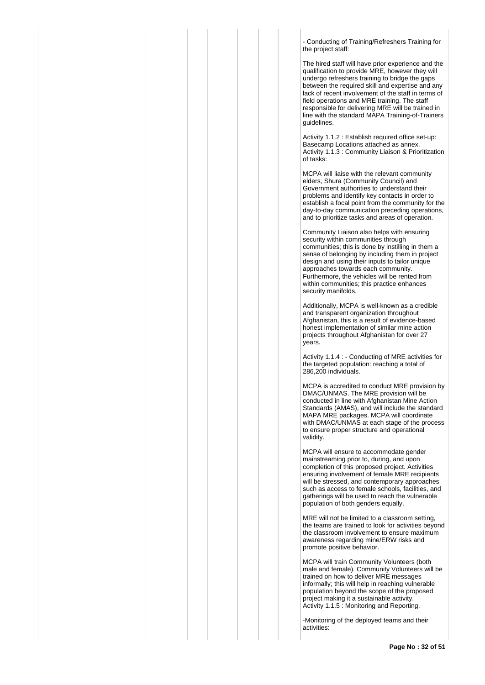- Conducting of Training/Refreshers Training for the project staff:

The hired staff will have prior experience and the qualification to provide MRE, however they will undergo refreshers training to bridge the gaps between the required skill and expertise and any lack of recent involvement of the staff in terms of field operations and MRE training. The staff responsible for delivering MRE will be trained in line with the standard MAPA Training-of-Trainers guidelines.

Activity 1.1.2 : Establish required office set-up: Basecamp Locations attached as annex. Activity 1.1.3 : Community Liaison & Prioritization of tasks:

MCPA will liaise with the relevant community elders, Shura (Community Council) and Government authorities to understand their problems and identify key contacts in order to establish a focal point from the community for the day-to-day communication preceding operations, and to prioritize tasks and areas of operation.

Community Liaison also helps with ensuring security within communities through communities; this is done by instilling in them a sense of belonging by including them in project design and using their inputs to tailor unique approaches towards each community. Furthermore, the vehicles will be rented from within communities; this practice enhances security manifolds.

Additionally, MCPA is well-known as a credible and transparent organization throughout Afghanistan, this is a result of evidence-based honest implementation of similar mine action projects throughout Afghanistan for over 27 years.

Activity 1.1.4 : - Conducting of MRE activities for the targeted population: reaching a total of 286,200 individuals.

MCPA is accredited to conduct MRE provision by DMAC/UNMAS. The MRE provision will be conducted in line with Afghanistan Mine Action Standards (AMAS), and will include the standard MAPA MRE packages. MCPA will coordinate with DMAC/UNMAS at each stage of the process to ensure proper structure and operational validity.

MCPA will ensure to accommodate gender mainstreaming prior to, during, and upon completion of this proposed project. Activities ensuring involvement of female MRE recipients will be stressed, and contemporary approaches such as access to female schools, facilities, and gatherings will be used to reach the vulnerable population of both genders equally.

MRE will not be limited to a classroom setting, the teams are trained to look for activities beyond the classroom involvement to ensure maximum awareness regarding mine/ERW risks and promote positive behavior.

MCPA will train Community Volunteers (both male and female). Community Volunteers will be trained on how to deliver MRE messages informally; this will help in reaching vulnerable population beyond the scope of the proposed project making it a sustainable activity. Activity 1.1.5 : Monitoring and Reporting.

-Monitoring of the deployed teams and their activities: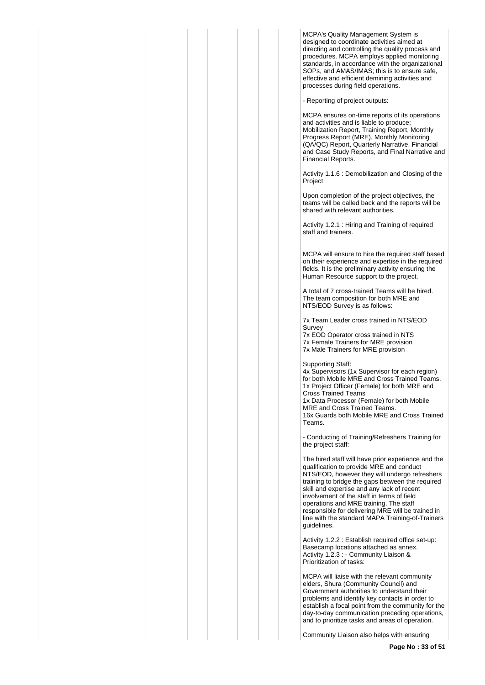MCPA's Quality Management System is designed to coordinate activities aimed at directing and controlling the quality process and procedures. MCPA employs applied monitoring standards, in accordance with the organizational SOPs, and AMAS/IMAS; this is to ensure safe, effective and efficient demining activities and processes during field operations.

- Reporting of project outputs:

MCPA ensures on-time reports of its operations and activities and is liable to produce; Mobilization Report, Training Report, Monthly Progress Report (MRE), Monthly Monitoring (QA/QC) Report, Quarterly Narrative, Financial and Case Study Reports, and Final Narrative and Financial Reports.

Activity 1.1.6 : Demobilization and Closing of the Project

Upon completion of the project objectives, the teams will be called back and the reports will be shared with relevant authorities.

Activity 1.2.1 : Hiring and Training of required staff and trainers.

MCPA will ensure to hire the required staff based on their experience and expertise in the required fields. It is the preliminary activity ensuring the Human Resource support to the project.

A total of 7 cross-trained Teams will be hired. The team composition for both MRE and NTS/EOD Survey is as follows:

7x Team Leader cross trained in NTS/EOD Survey

7x EOD Operator cross trained in NTS 7x Female Trainers for MRE provision 7x Male Trainers for MRE provision

Supporting Staff:

4x Supervisors (1x Supervisor for each region) for both Mobile MRE and Cross Trained Teams. 1x Project Officer (Female) for both MRE and Cross Trained Teams 1x Data Processor (Female) for both Mobile MRE and Cross Trained Teams. 16x Guards both Mobile MRE and Cross Trained Teams.

- Conducting of Training/Refreshers Training for the project staff:

The hired staff will have prior experience and the qualification to provide MRE and conduct NTS/EOD, however they will undergo refreshers training to bridge the gaps between the required skill and expertise and any lack of recent involvement of the staff in terms of field operations and MRE training. The staff responsible for delivering MRE will be trained in line with the standard MAPA Training-of-Trainers guidelines.

Activity 1.2.2 : Establish required office set-up: Basecamp locations attached as annex. Activity 1.2.3 : - Community Liaison & Prioritization of tasks:

MCPA will liaise with the relevant community elders, Shura (Community Council) and Government authorities to understand their problems and identify key contacts in order to establish a focal point from the community for the day-to-day communication preceding operations, and to prioritize tasks and areas of operation.

Community Liaison also helps with ensuring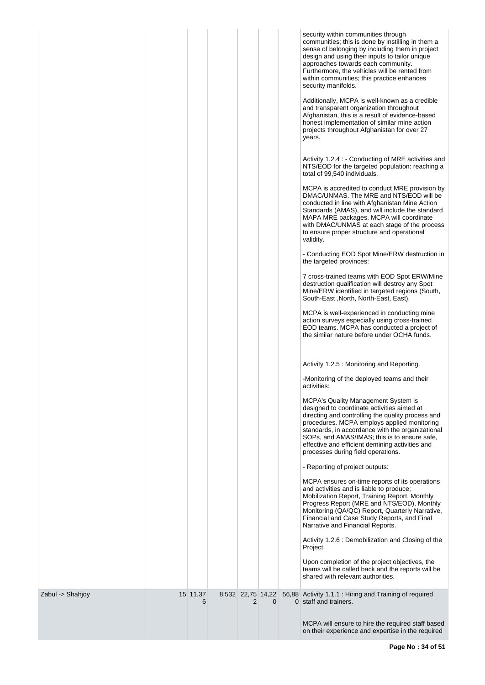|                  |               |   |              | security within communities through<br>communities; this is done by instilling in them a<br>sense of belonging by including them in project<br>design and using their inputs to tailor unique<br>approaches towards each community.<br>Furthermore, the vehicles will be rented from<br>within communities; this practice enhances<br>security manifolds.<br>Additionally, MCPA is well-known as a credible<br>and transparent organization throughout<br>Afghanistan, this is a result of evidence-based<br>honest implementation of similar mine action<br>projects throughout Afghanistan for over 27<br>years.<br>Activity 1.2.4 : - Conducting of MRE activities and<br>NTS/EOD for the targeted population: reaching a<br>total of 99,540 individuals. |
|------------------|---------------|---|--------------|--------------------------------------------------------------------------------------------------------------------------------------------------------------------------------------------------------------------------------------------------------------------------------------------------------------------------------------------------------------------------------------------------------------------------------------------------------------------------------------------------------------------------------------------------------------------------------------------------------------------------------------------------------------------------------------------------------------------------------------------------------------|
|                  |               |   |              | MCPA is accredited to conduct MRE provision by<br>DMAC/UNMAS. The MRE and NTS/EOD will be<br>conducted in line with Afghanistan Mine Action<br>Standards (AMAS), and will include the standard<br>MAPA MRE packages. MCPA will coordinate<br>with DMAC/UNMAS at each stage of the process<br>to ensure proper structure and operational<br>validity.                                                                                                                                                                                                                                                                                                                                                                                                         |
|                  |               |   |              | - Conducting EOD Spot Mine/ERW destruction in<br>the targeted provinces:<br>7 cross-trained teams with EOD Spot ERW/Mine<br>destruction qualification will destroy any Spot                                                                                                                                                                                                                                                                                                                                                                                                                                                                                                                                                                                  |
|                  |               |   |              | Mine/ERW identified in targeted regions (South,<br>South-East, North, North-East, East).<br>MCPA is well-experienced in conducting mine.<br>action surveys especially using cross-trained<br>EOD teams. MCPA has conducted a project of<br>the similar nature before under OCHA funds.                                                                                                                                                                                                                                                                                                                                                                                                                                                                       |
|                  |               |   |              | Activity 1.2.5 : Monitoring and Reporting.                                                                                                                                                                                                                                                                                                                                                                                                                                                                                                                                                                                                                                                                                                                   |
|                  |               |   |              | -Monitoring of the deployed teams and their<br>activities:                                                                                                                                                                                                                                                                                                                                                                                                                                                                                                                                                                                                                                                                                                   |
|                  |               |   |              | <b>MCPA's Quality Management System is</b><br>designed to coordinate activities aimed at<br>directing and controlling the quality process and<br>procedures. MCPA employs applied monitoring<br>standards, in accordance with the organizational<br>SOPs, and AMAS/IMAS; this is to ensure safe,<br>effective and efficient demining activities and<br>processes during field operations.                                                                                                                                                                                                                                                                                                                                                                    |
|                  |               |   |              | - Reporting of project outputs:                                                                                                                                                                                                                                                                                                                                                                                                                                                                                                                                                                                                                                                                                                                              |
|                  |               |   |              | MCPA ensures on-time reports of its operations<br>and activities and is liable to produce;<br>Mobilization Report, Training Report, Monthly<br>Progress Report (MRE and NTS/EOD), Monthly<br>Monitoring (QA/QC) Report, Quarterly Narrative,<br>Financial and Case Study Reports, and Final<br>Narrative and Financial Reports.                                                                                                                                                                                                                                                                                                                                                                                                                              |
|                  |               |   |              | Activity 1.2.6 : Demobilization and Closing of the<br>Project                                                                                                                                                                                                                                                                                                                                                                                                                                                                                                                                                                                                                                                                                                |
|                  |               |   |              | Upon completion of the project objectives, the<br>teams will be called back and the reports will be<br>shared with relevant authorities.                                                                                                                                                                                                                                                                                                                                                                                                                                                                                                                                                                                                                     |
| Zabul -> Shahjoy | 15 11,37<br>6 | 2 | $\mathbf{0}$ | 8,532 22,75 14,22 56,88 Activity 1.1.1 : Hiring and Training of required<br>0 staff and trainers.                                                                                                                                                                                                                                                                                                                                                                                                                                                                                                                                                                                                                                                            |
|                  |               |   |              | MCPA will ensure to hire the required staff based<br>on their experience and expertise in the required                                                                                                                                                                                                                                                                                                                                                                                                                                                                                                                                                                                                                                                       |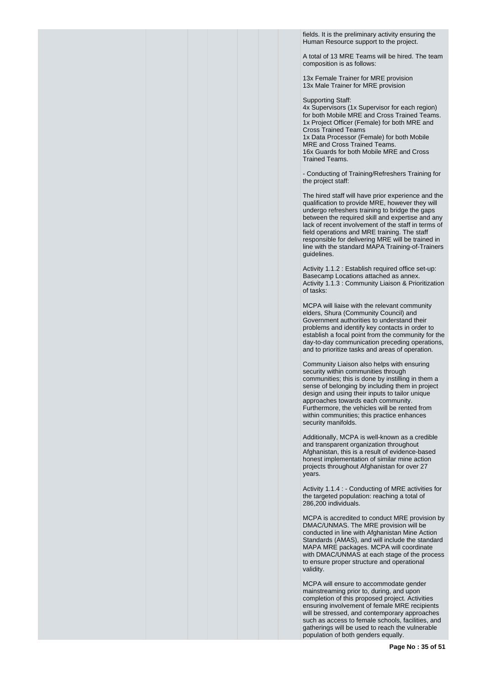fields. It is the preliminary activity ensuring the Human Resource support to the project.

A total of 13 MRE Teams will be hired. The team composition is as follows:

13x Female Trainer for MRE provision 13x Male Trainer for MRE provision

Supporting Staff:

4x Supervisors (1x Supervisor for each region) for both Mobile MRE and Cross Trained Teams. 1x Project Officer (Female) for both MRE and Cross Trained Teams 1x Data Processor (Female) for both Mobile MRE and Cross Trained Teams. 16x Guards for both Mobile MRE and Cross Trained Teams.

- Conducting of Training/Refreshers Training for the project staff:

The hired staff will have prior experience and the qualification to provide MRE, however they will undergo refreshers training to bridge the gaps between the required skill and expertise and any lack of recent involvement of the staff in terms of field operations and MRE training. The staff responsible for delivering MRE will be trained in line with the standard MAPA Training-of-Trainers guidelines.

Activity 1.1.2 : Establish required office set-up: Basecamp Locations attached as annex. Activity 1.1.3 : Community Liaison & Prioritization of tasks:

MCPA will liaise with the relevant community elders, Shura (Community Council) and Government authorities to understand their problems and identify key contacts in order to establish a focal point from the community for the day-to-day communication preceding operations, and to prioritize tasks and areas of operation.

Community Liaison also helps with ensuring security within communities through communities; this is done by instilling in them a sense of belonging by including them in project design and using their inputs to tailor unique approaches towards each community. Furthermore, the vehicles will be rented from within communities; this practice enhances security manifolds.

Additionally, MCPA is well-known as a credible and transparent organization throughout Afghanistan, this is a result of evidence-based honest implementation of similar mine action projects throughout Afghanistan for over 27 years.

Activity 1.1.4 : - Conducting of MRE activities for the targeted population: reaching a total of 286,200 individuals.

MCPA is accredited to conduct MRE provision by DMAC/UNMAS. The MRE provision will be conducted in line with Afghanistan Mine Action Standards (AMAS), and will include the standard MAPA MRE packages. MCPA will coordinate with DMAC/UNMAS at each stage of the process to ensure proper structure and operational validity.

MCPA will ensure to accommodate gender mainstreaming prior to, during, and upon completion of this proposed project. Activities ensuring involvement of female MRE recipients will be stressed, and contemporary approaches such as access to female schools, facilities, and gatherings will be used to reach the vulnerable population of both genders equally.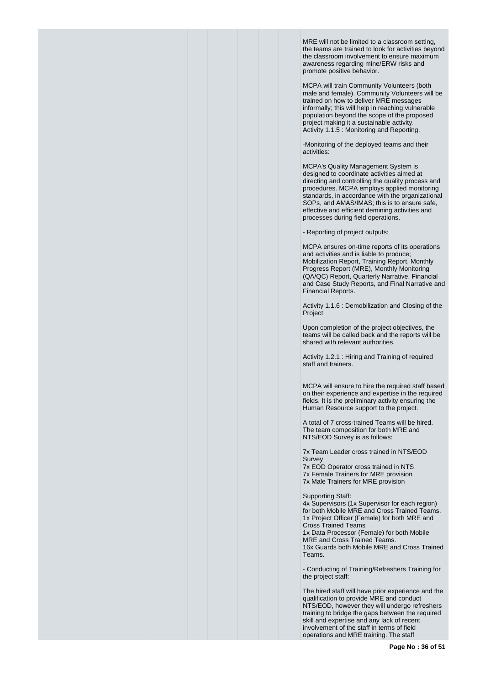MRE will not be limited to a classroom setting, the teams are trained to look for activities beyond the classroom involvement to ensure maximum awareness regarding mine/ERW risks and promote positive behavior.

MCPA will train Community Volunteers (both male and female). Community Volunteers will be trained on how to deliver MRE messages informally; this will help in reaching vulnerable population beyond the scope of the proposed project making it a sustainable activity. Activity 1.1.5 : Monitoring and Reporting.

-Monitoring of the deployed teams and their activities:

MCPA's Quality Management System is designed to coordinate activities aimed at directing and controlling the quality process and procedures. MCPA employs applied monitoring standards, in accordance with the organizational SOPs, and AMAS/IMAS; this is to ensure safe, effective and efficient demining activities and processes during field operations.

- Reporting of project outputs:

MCPA ensures on-time reports of its operations and activities and is liable to produce; Mobilization Report, Training Report, Monthly Progress Report (MRE), Monthly Monitoring (QA/QC) Report, Quarterly Narrative, Financial and Case Study Reports, and Final Narrative and Financial Reports.

Activity 1.1.6 : Demobilization and Closing of the Project

Upon completion of the project objectives, the teams will be called back and the reports will be shared with relevant authorities.

Activity 1.2.1 : Hiring and Training of required staff and trainers.

MCPA will ensure to hire the required staff based on their experience and expertise in the required fields. It is the preliminary activity ensuring the Human Resource support to the project.

A total of 7 cross-trained Teams will be hired. The team composition for both MRE and NTS/EOD Survey is as follows:

7x Team Leader cross trained in NTS/EOD Survey

7x EOD Operator cross trained in NTS 7x Female Trainers for MRE provision 7x Male Trainers for MRE provision

Supporting Staff:

4x Supervisors (1x Supervisor for each region) for both Mobile MRE and Cross Trained Teams. 1x Project Officer (Female) for both MRE and Cross Trained Teams 1x Data Processor (Female) for both Mobile MRE and Cross Trained Teams. 16x Guards both Mobile MRE and Cross Trained Teams.

- Conducting of Training/Refreshers Training for the project staff:

The hired staff will have prior experience and the qualification to provide MRE and conduct NTS/EOD, however they will undergo refreshers training to bridge the gaps between the required skill and expertise and any lack of recent involvement of the staff in terms of field operations and MRE training. The staff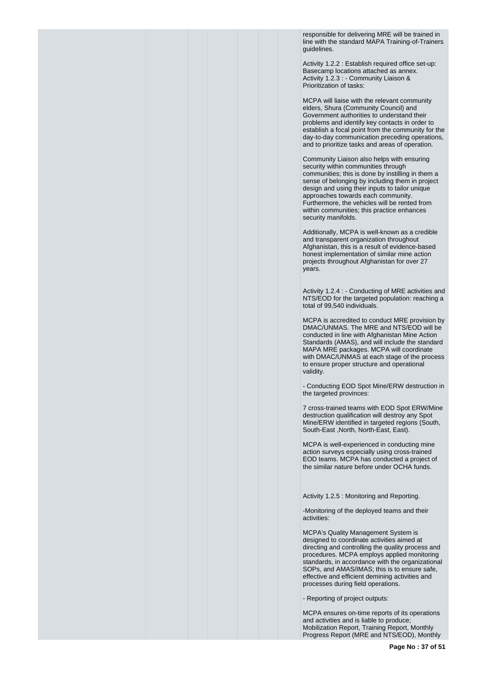responsible for delivering MRE will be trained in line with the standard MAPA Training-of-Trainers guidelines.

Activity 1.2.2 : Establish required office set-up: Basecamp locations attached as annex. Activity 1.2.3 : - Community Liaison & Prioritization of tasks:

MCPA will liaise with the relevant community elders, Shura (Community Council) and Government authorities to understand their problems and identify key contacts in order to establish a focal point from the community for the day-to-day communication preceding operations, and to prioritize tasks and areas of operation.

Community Liaison also helps with ensuring security within communities through communities; this is done by instilling in them a sense of belonging by including them in project design and using their inputs to tailor unique approaches towards each community. Furthermore, the vehicles will be rented from within communities; this practice enhances security manifolds.

Additionally, MCPA is well-known as a credible and transparent organization throughout Afghanistan, this is a result of evidence-based honest implementation of similar mine action projects throughout Afghanistan for over 27 years.

Activity 1.2.4 : - Conducting of MRE activities and NTS/EOD for the targeted population: reaching a total of 99,540 individuals.

MCPA is accredited to conduct MRE provision by DMAC/UNMAS. The MRE and NTS/EOD will be conducted in line with Afghanistan Mine Action Standards (AMAS), and will include the standard MAPA MRE packages. MCPA will coordinate with DMAC/UNMAS at each stage of the process to ensure proper structure and operational validity.

- Conducting EOD Spot Mine/ERW destruction in the targeted provinces:

7 cross-trained teams with EOD Spot ERW/Mine destruction qualification will destroy any Spot Mine/ERW identified in targeted regions (South, South-East ,North, North-East, East).

MCPA is well-experienced in conducting mine action surveys especially using cross-trained EOD teams. MCPA has conducted a project of the similar nature before under OCHA funds.

Activity 1.2.5 : Monitoring and Reporting.

-Monitoring of the deployed teams and their activities:

MCPA's Quality Management System is designed to coordinate activities aimed at directing and controlling the quality process and procedures. MCPA employs applied monitoring standards, in accordance with the organizational SOPs, and AMAS/IMAS; this is to ensure safe, effective and efficient demining activities and processes during field operations.

- Reporting of project outputs:

MCPA ensures on-time reports of its operations and activities and is liable to produce; Mobilization Report, Training Report, Monthly Progress Report (MRE and NTS/EOD), Monthly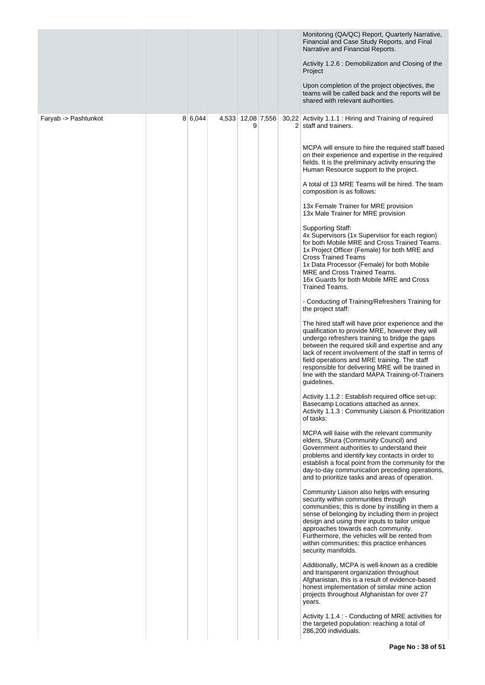|                      |         |                        |  | Monitoring (QA/QC) Report, Quarterly Narrative,<br>Financial and Case Study Reports, and Final<br>Narrative and Financial Reports.                                                                                                                                                                                                                                                                                                         |
|----------------------|---------|------------------------|--|--------------------------------------------------------------------------------------------------------------------------------------------------------------------------------------------------------------------------------------------------------------------------------------------------------------------------------------------------------------------------------------------------------------------------------------------|
|                      |         |                        |  | Activity 1.2.6 : Demobilization and Closing of the<br>Project                                                                                                                                                                                                                                                                                                                                                                              |
|                      |         |                        |  | Upon completion of the project objectives, the<br>teams will be called back and the reports will be<br>shared with relevant authorities.                                                                                                                                                                                                                                                                                                   |
| Faryab -> Pashtunkot | 8 6,044 | 4,533 12,08 7,556<br>9 |  | 30,22 Activity 1.1.1 : Hiring and Training of required<br>2 staff and trainers.                                                                                                                                                                                                                                                                                                                                                            |
|                      |         |                        |  | MCPA will ensure to hire the required staff based<br>on their experience and expertise in the required<br>fields. It is the preliminary activity ensuring the<br>Human Resource support to the project.                                                                                                                                                                                                                                    |
|                      |         |                        |  | A total of 13 MRE Teams will be hired. The team<br>composition is as follows:                                                                                                                                                                                                                                                                                                                                                              |
|                      |         |                        |  | 13x Female Trainer for MRE provision<br>13x Male Trainer for MRE provision                                                                                                                                                                                                                                                                                                                                                                 |
|                      |         |                        |  | <b>Supporting Staff:</b><br>4x Supervisors (1x Supervisor for each region)<br>for both Mobile MRE and Cross Trained Teams.<br>1x Project Officer (Female) for both MRE and<br><b>Cross Trained Teams</b><br>1x Data Processor (Female) for both Mobile<br>MRE and Cross Trained Teams.<br>16x Guards for both Mobile MRE and Cross<br>Trained Teams.                                                                                       |
|                      |         |                        |  | - Conducting of Training/Refreshers Training for<br>the project staff:                                                                                                                                                                                                                                                                                                                                                                     |
|                      |         |                        |  | The hired staff will have prior experience and the<br>qualification to provide MRE, however they will<br>undergo refreshers training to bridge the gaps<br>between the required skill and expertise and any<br>lack of recent involvement of the staff in terms of<br>field operations and MRE training. The staff<br>responsible for delivering MRE will be trained in<br>line with the standard MAPA Training-of-Trainers<br>guidelines. |
|                      |         |                        |  | Activity 1.1.2 : Establish required office set-up:<br>Basecamp Locations attached as annex.<br>Activity 1.1.3 : Community Liaison & Prioritization<br>of tasks:                                                                                                                                                                                                                                                                            |
|                      |         |                        |  | MCPA will liaise with the relevant community<br>elders, Shura (Community Council) and<br>Government authorities to understand their<br>problems and identify key contacts in order to<br>establish a focal point from the community for the<br>day-to-day communication preceding operations,<br>and to prioritize tasks and areas of operation.                                                                                           |
|                      |         |                        |  | Community Liaison also helps with ensuring<br>security within communities through<br>communities; this is done by instilling in them a<br>sense of belonging by including them in project<br>design and using their inputs to tailor unique<br>approaches towards each community.<br>Furthermore, the vehicles will be rented from<br>within communities; this practice enhances<br>security manifolds.                                    |
|                      |         |                        |  | Additionally, MCPA is well-known as a credible<br>and transparent organization throughout<br>Afghanistan, this is a result of evidence-based<br>honest implementation of similar mine action<br>projects throughout Afghanistan for over 27<br>years.                                                                                                                                                                                      |
|                      |         |                        |  | Activity 1.1.4 : - Conducting of MRE activities for<br>the targeted population: reaching a total of<br>286,200 individuals.                                                                                                                                                                                                                                                                                                                |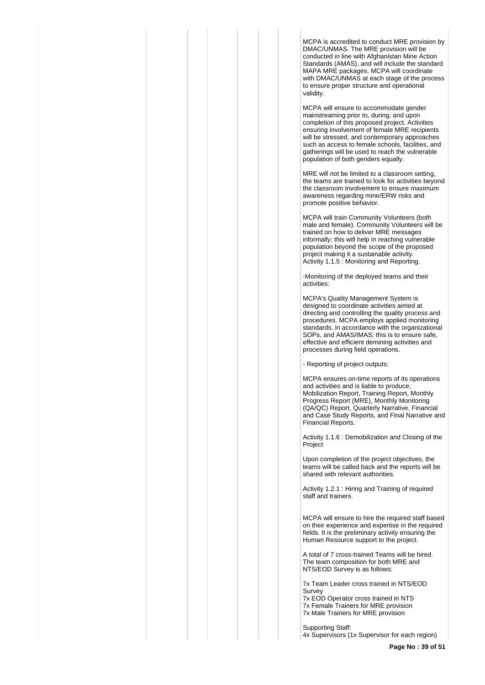MCPA is accredited to conduct MRE provision by DMAC/UNMAS. The MRE provision will be conducted in line with Afghanistan Mine Action Standards (AMAS), and will include the standard MAPA MRE packages. MCPA will coordinate with DMAC/UNMAS at each stage of the process to ensure proper structure and operational validity.

MCPA will ensure to accommodate gender mainstreaming prior to, during, and upon completion of this proposed project. Activities ensuring involvement of female MRE recipients will be stressed, and contemporary approaches such as access to female schools, facilities, and gatherings will be used to reach the vulnerable population of both genders equally.

MRE will not be limited to a classroom setting, the teams are trained to look for activities beyond the classroom involvement to ensure maximum awareness regarding mine/ERW risks and promote positive behavior.

MCPA will train Community Volunteers (both male and female). Community Volunteers will be trained on how to deliver MRE messages informally; this will help in reaching vulnerable population beyond the scope of the proposed project making it a sustainable activity. Activity 1.1.5 : Monitoring and Reporting.

-Monitoring of the deployed teams and their activities:

MCPA's Quality Management System is designed to coordinate activities aimed at directing and controlling the quality process and procedures. MCPA employs applied monitoring standards, in accordance with the organizational SOPs, and AMAS/IMAS; this is to ensure safe, effective and efficient demining activities and processes during field operations.

- Reporting of project outputs:

MCPA ensures on-time reports of its operations and activities and is liable to produce; Mobilization Report, Training Report, Monthly Progress Report (MRE), Monthly Monitoring (QA/QC) Report, Quarterly Narrative, Financial and Case Study Reports, and Final Narrative and Financial Reports.

Activity 1.1.6 : Demobilization and Closing of the Project

Upon completion of the project objectives, the teams will be called back and the reports will be shared with relevant authorities.

Activity 1.2.1 : Hiring and Training of required staff and trainers.

MCPA will ensure to hire the required staff based on their experience and expertise in the required fields. It is the preliminary activity ensuring the Human Resource support to the project.

A total of 7 cross-trained Teams will be hired. The team composition for both MRE and NTS/EOD Survey is as follows:

7x Team Leader cross trained in NTS/EOD Survey

7x EOD Operator cross trained in NTS 7x Female Trainers for MRE provision 7x Male Trainers for MRE provision

Supporting Staff: 4x Supervisors (1x Supervisor for each region)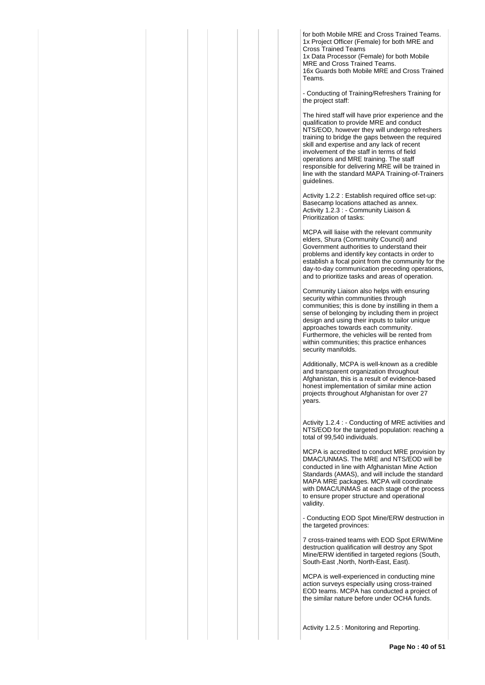for both Mobile MRE and Cross Trained Teams. 1x Project Officer (Female) for both MRE and Cross Trained Teams 1x Data Processor (Female) for both Mobile MRE and Cross Trained Teams. 16x Guards both Mobile MRE and Cross Trained Teams.

- Conducting of Training/Refreshers Training for the project staff:

The hired staff will have prior experience and the qualification to provide MRE and conduct NTS/EOD, however they will undergo refreshers training to bridge the gaps between the required skill and expertise and any lack of recent involvement of the staff in terms of field operations and MRE training. The staff responsible for delivering MRE will be trained in line with the standard MAPA Training-of-Trainers guidelines.

Activity 1.2.2 : Establish required office set-up: Basecamp locations attached as annex. Activity 1.2.3 : - Community Liaison & Prioritization of tasks:

MCPA will liaise with the relevant community elders, Shura (Community Council) and Government authorities to understand their problems and identify key contacts in order to establish a focal point from the community for the day-to-day communication preceding operations, and to prioritize tasks and areas of operation.

Community Liaison also helps with ensuring security within communities through communities; this is done by instilling in them a sense of belonging by including them in project design and using their inputs to tailor unique approaches towards each community. Furthermore, the vehicles will be rented from within communities; this practice enhances security manifolds.

Additionally, MCPA is well-known as a credible and transparent organization throughout Afghanistan, this is a result of evidence-based honest implementation of similar mine action projects throughout Afghanistan for over 27 years.

Activity 1.2.4 : - Conducting of MRE activities and NTS/EOD for the targeted population: reaching a total of 99,540 individuals.

MCPA is accredited to conduct MRE provision by DMAC/UNMAS. The MRE and NTS/EOD will be conducted in line with Afghanistan Mine Action Standards (AMAS), and will include the standard MAPA MRE packages. MCPA will coordinate with DMAC/UNMAS at each stage of the process to ensure proper structure and operational validity.

- Conducting EOD Spot Mine/ERW destruction in the targeted provinces:

7 cross-trained teams with EOD Spot ERW/Mine destruction qualification will destroy any Spot Mine/ERW identified in targeted regions (South, South-East ,North, North-East, East).

MCPA is well-experienced in conducting mine action surveys especially using cross-trained EOD teams. MCPA has conducted a project of the similar nature before under OCHA funds.

Activity 1.2.5 : Monitoring and Reporting.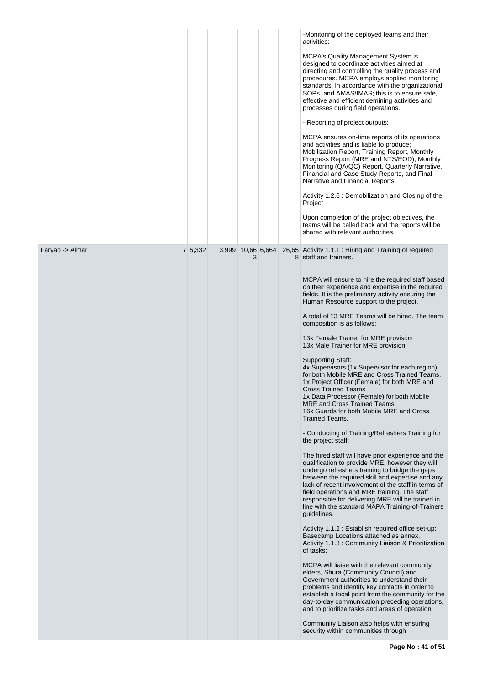|                 |         |                        |  | -Monitoring of the deployed teams and their<br>activities:<br><b>MCPA's Quality Management System is</b><br>designed to coordinate activities aimed at<br>directing and controlling the quality process and<br>procedures. MCPA employs applied monitoring<br>standards, in accordance with the organizational<br>SOPs, and AMAS/IMAS; this is to ensure safe,<br>effective and efficient demining activities and<br>processes during field operations.<br>- Reporting of project outputs:<br>MCPA ensures on-time reports of its operations                                                                                                                                                                                                                                                                                                                                                                                                                                                                                                                                                                                                                                                                                                                                                                                                                                                                                                                                                                                                                                                                                                                                                                                                                                                                                                                                                                   |
|-----------------|---------|------------------------|--|----------------------------------------------------------------------------------------------------------------------------------------------------------------------------------------------------------------------------------------------------------------------------------------------------------------------------------------------------------------------------------------------------------------------------------------------------------------------------------------------------------------------------------------------------------------------------------------------------------------------------------------------------------------------------------------------------------------------------------------------------------------------------------------------------------------------------------------------------------------------------------------------------------------------------------------------------------------------------------------------------------------------------------------------------------------------------------------------------------------------------------------------------------------------------------------------------------------------------------------------------------------------------------------------------------------------------------------------------------------------------------------------------------------------------------------------------------------------------------------------------------------------------------------------------------------------------------------------------------------------------------------------------------------------------------------------------------------------------------------------------------------------------------------------------------------------------------------------------------------------------------------------------------------|
|                 |         |                        |  | and activities and is liable to produce;<br>Mobilization Report, Training Report, Monthly<br>Progress Report (MRE and NTS/EOD), Monthly<br>Monitoring (QA/QC) Report, Quarterly Narrative,<br>Financial and Case Study Reports, and Final<br>Narrative and Financial Reports.<br>Activity 1.2.6 : Demobilization and Closing of the<br>Project                                                                                                                                                                                                                                                                                                                                                                                                                                                                                                                                                                                                                                                                                                                                                                                                                                                                                                                                                                                                                                                                                                                                                                                                                                                                                                                                                                                                                                                                                                                                                                 |
|                 |         |                        |  | Upon completion of the project objectives, the<br>teams will be called back and the reports will be<br>shared with relevant authorities.                                                                                                                                                                                                                                                                                                                                                                                                                                                                                                                                                                                                                                                                                                                                                                                                                                                                                                                                                                                                                                                                                                                                                                                                                                                                                                                                                                                                                                                                                                                                                                                                                                                                                                                                                                       |
| Faryab -> Almar | 7 5,332 | 3,999 10,66 6,664<br>3 |  | 26,65 Activity 1.1.1 : Hiring and Training of required<br>8 staff and trainers.<br>MCPA will ensure to hire the required staff based<br>on their experience and expertise in the required<br>fields. It is the preliminary activity ensuring the<br>Human Resource support to the project.<br>A total of 13 MRE Teams will be hired. The team<br>composition is as follows:<br>13x Female Trainer for MRE provision<br>13x Male Trainer for MRE provision<br><b>Supporting Staff:</b><br>4x Supervisors (1x Supervisor for each region)<br>for both Mobile MRE and Cross Trained Teams.<br>1x Project Officer (Female) for both MRE and<br><b>Cross Trained Teams</b><br>1x Data Processor (Female) for both Mobile<br>MRE and Cross Trained Teams.<br>16x Guards for both Mobile MRE and Cross<br>Trained Teams.<br>- Conducting of Training/Refreshers Training for<br>the project staff:<br>The hired staff will have prior experience and the<br>qualification to provide MRE, however they will<br>undergo refreshers training to bridge the gaps<br>between the required skill and expertise and any<br>lack of recent involvement of the staff in terms of<br>field operations and MRE training. The staff<br>responsible for delivering MRE will be trained in<br>line with the standard MAPA Training-of-Trainers<br>guidelines.<br>Activity 1.1.2 : Establish required office set-up:<br>Basecamp Locations attached as annex.<br>Activity 1.1.3 : Community Liaison & Prioritization<br>of tasks:<br>MCPA will liaise with the relevant community<br>elders, Shura (Community Council) and<br>Government authorities to understand their<br>problems and identify key contacts in order to<br>establish a focal point from the community for the<br>day-to-day communication preceding operations,<br>and to prioritize tasks and areas of operation.<br>Community Liaison also helps with ensuring |
|                 |         |                        |  | security within communities through                                                                                                                                                                                                                                                                                                                                                                                                                                                                                                                                                                                                                                                                                                                                                                                                                                                                                                                                                                                                                                                                                                                                                                                                                                                                                                                                                                                                                                                                                                                                                                                                                                                                                                                                                                                                                                                                            |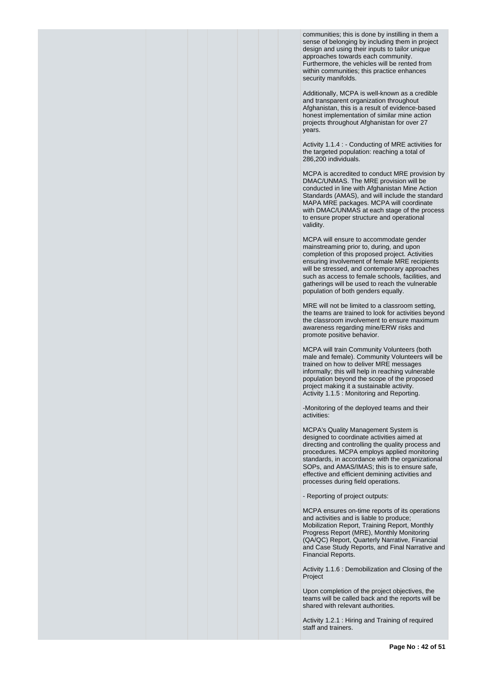communities; this is done by instilling in them a sense of belonging by including them in project design and using their inputs to tailor unique approaches towards each community. Furthermore, the vehicles will be rented from within communities; this practice enhances security manifolds.

Additionally, MCPA is well-known as a credible and transparent organization throughout Afghanistan, this is a result of evidence-based honest implementation of similar mine action projects throughout Afghanistan for over 27 years.

Activity 1.1.4 : - Conducting of MRE activities for the targeted population: reaching a total of 286,200 individuals.

MCPA is accredited to conduct MRE provision by DMAC/UNMAS. The MRE provision will be conducted in line with Afghanistan Mine Action Standards (AMAS), and will include the standard MAPA MRE packages. MCPA will coordinate with DMAC/UNMAS at each stage of the process to ensure proper structure and operational validity.

MCPA will ensure to accommodate gender mainstreaming prior to, during, and upon completion of this proposed project. Activities ensuring involvement of female MRE recipients will be stressed, and contemporary approaches such as access to female schools, facilities, and gatherings will be used to reach the vulnerable population of both genders equally.

MRE will not be limited to a classroom setting, the teams are trained to look for activities beyond the classroom involvement to ensure maximum awareness regarding mine/ERW risks and promote positive behavior.

MCPA will train Community Volunteers (both male and female). Community Volunteers will be trained on how to deliver MRE messages informally; this will help in reaching vulnerable population beyond the scope of the proposed project making it a sustainable activity. Activity 1.1.5 : Monitoring and Reporting.

-Monitoring of the deployed teams and their activities:

MCPA's Quality Management System is designed to coordinate activities aimed at directing and controlling the quality process and procedures. MCPA employs applied monitoring standards, in accordance with the organizational SOPs, and AMAS/IMAS; this is to ensure safe, effective and efficient demining activities and processes during field operations.

- Reporting of project outputs:

MCPA ensures on-time reports of its operations and activities and is liable to produce; Mobilization Report, Training Report, Monthly Progress Report (MRE), Monthly Monitoring (QA/QC) Report, Quarterly Narrative, Financial and Case Study Reports, and Final Narrative and Financial Reports.

Activity 1.1.6 : Demobilization and Closing of the Project

Upon completion of the project objectives, the teams will be called back and the reports will be shared with relevant authorities.

Activity 1.2.1 : Hiring and Training of required staff and trainers.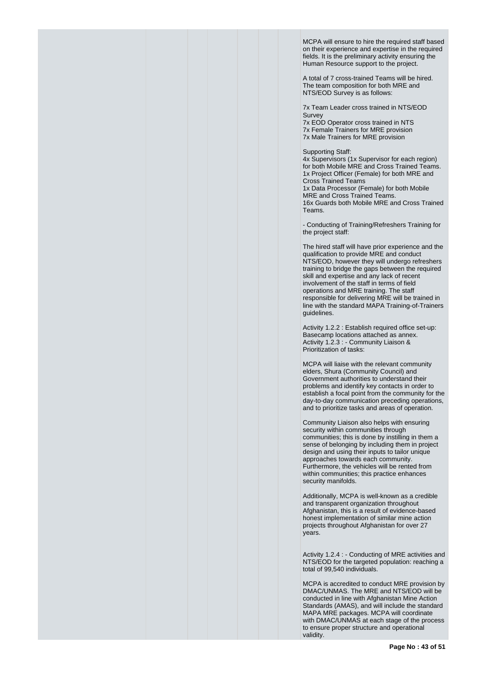MCPA will ensure to hire the required staff based on their experience and expertise in the required fields. It is the preliminary activity ensuring the Human Resource support to the project.

A total of 7 cross-trained Teams will be hired. The team composition for both MRE and NTS/EOD Survey is as follows:

7x Team Leader cross trained in NTS/EOD Survey 7x EOD Operator cross trained in NTS

7x Female Trainers for MRE provision 7x Male Trainers for MRE provision

Supporting Staff:

4x Supervisors (1x Supervisor for each region) for both Mobile MRE and Cross Trained Teams. 1x Project Officer (Female) for both MRE and Cross Trained Teams 1x Data Processor (Female) for both Mobile MRE and Cross Trained Teams. 16x Guards both Mobile MRE and Cross Trained Teams.

- Conducting of Training/Refreshers Training for the project staff:

The hired staff will have prior experience and the qualification to provide MRE and conduct NTS/EOD, however they will undergo refreshers training to bridge the gaps between the required skill and expertise and any lack of recent involvement of the staff in terms of field operations and MRE training. The staff responsible for delivering MRE will be trained in line with the standard MAPA Training-of-Trainers guidelines.

Activity 1.2.2 : Establish required office set-up: Basecamp locations attached as annex. Activity 1.2.3 : - Community Liaison & Prioritization of tasks:

MCPA will liaise with the relevant community elders, Shura (Community Council) and Government authorities to understand their problems and identify key contacts in order to establish a focal point from the community for the day-to-day communication preceding operations, and to prioritize tasks and areas of operation.

Community Liaison also helps with ensuring security within communities through communities; this is done by instilling in them a sense of belonging by including them in project design and using their inputs to tailor unique approaches towards each community. Furthermore, the vehicles will be rented from within communities; this practice enhances security manifolds.

Additionally, MCPA is well-known as a credible and transparent organization throughout Afghanistan, this is a result of evidence-based honest implementation of similar mine action projects throughout Afghanistan for over 27 years.

Activity 1.2.4 : - Conducting of MRE activities and NTS/EOD for the targeted population: reaching a total of 99,540 individuals.

MCPA is accredited to conduct MRE provision by DMAC/UNMAS. The MRE and NTS/EOD will be conducted in line with Afghanistan Mine Action Standards (AMAS), and will include the standard MAPA MRE packages. MCPA will coordinate with DMAC/UNMAS at each stage of the process to ensure proper structure and operational validity.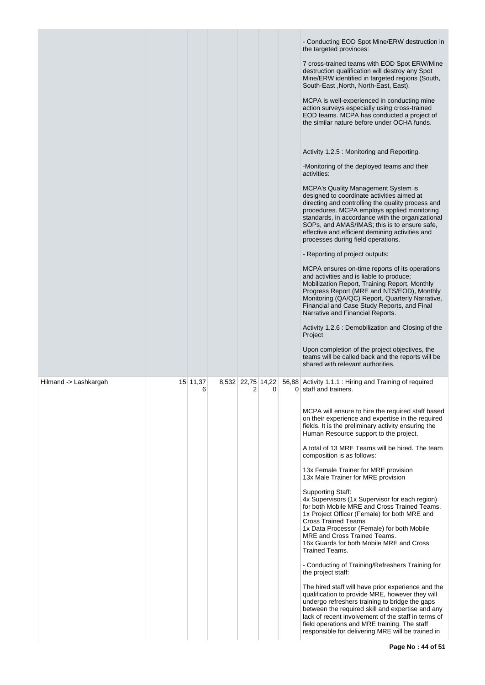|                       |               |                        |   | - Conducting EOD Spot Mine/ERW destruction in<br>the targeted provinces:<br>7 cross-trained teams with EOD Spot ERW/Mine<br>destruction qualification will destroy any Spot<br>Mine/ERW identified in targeted regions (South,<br>South-East, North, North-East, East).<br>MCPA is well-experienced in conducting mine<br>action surveys especially using cross-trained<br>EOD teams. MCPA has conducted a project of<br>the similar nature before under OCHA funds.<br>Activity 1.2.5 : Monitoring and Reporting.<br>-Monitoring of the deployed teams and their<br>activities:<br><b>MCPA's Quality Management System is</b><br>designed to coordinate activities aimed at<br>directing and controlling the quality process and<br>procedures. MCPA employs applied monitoring<br>standards, in accordance with the organizational<br>SOPs, and AMAS/IMAS; this is to ensure safe,<br>effective and efficient demining activities and<br>processes during field operations.<br>- Reporting of project outputs:<br>MCPA ensures on-time reports of its operations<br>and activities and is liable to produce;<br>Mobilization Report, Training Report, Monthly<br>Progress Report (MRE and NTS/EOD), Monthly<br>Monitoring (QA/QC) Report, Quarterly Narrative,<br>Financial and Case Study Reports, and Final<br>Narrative and Financial Reports.<br>Activity 1.2.6 : Demobilization and Closing of the<br>Project<br>Upon completion of the project objectives, the<br>teams will be called back and the reports will be<br>shared with relevant authorities. |
|-----------------------|---------------|------------------------|---|------------------------------------------------------------------------------------------------------------------------------------------------------------------------------------------------------------------------------------------------------------------------------------------------------------------------------------------------------------------------------------------------------------------------------------------------------------------------------------------------------------------------------------------------------------------------------------------------------------------------------------------------------------------------------------------------------------------------------------------------------------------------------------------------------------------------------------------------------------------------------------------------------------------------------------------------------------------------------------------------------------------------------------------------------------------------------------------------------------------------------------------------------------------------------------------------------------------------------------------------------------------------------------------------------------------------------------------------------------------------------------------------------------------------------------------------------------------------------------------------------------------------------------------------------------------|
| Hilmand -> Lashkargah | 15 11,37<br>6 | 8,532 22,75 14,22<br>2 | 0 | 56,88 Activity 1.1.1 : Hiring and Training of required<br>0 staff and trainers.<br>MCPA will ensure to hire the required staff based<br>on their experience and expertise in the required<br>fields. It is the preliminary activity ensuring the<br>Human Resource support to the project.<br>A total of 13 MRE Teams will be hired. The team<br>composition is as follows:<br>13x Female Trainer for MRE provision<br>13x Male Trainer for MRE provision<br>Supporting Staff:<br>4x Supervisors (1x Supervisor for each region)<br>for both Mobile MRE and Cross Trained Teams.<br>1x Project Officer (Female) for both MRE and<br><b>Cross Trained Teams</b><br>1x Data Processor (Female) for both Mobile<br>MRE and Cross Trained Teams.<br>16x Guards for both Mobile MRE and Cross<br>Trained Teams.<br>- Conducting of Training/Refreshers Training for<br>the project staff:<br>The hired staff will have prior experience and the<br>qualification to provide MRE, however they will<br>undergo refreshers training to bridge the gaps<br>between the required skill and expertise and any<br>lack of recent involvement of the staff in terms of<br>field operations and MRE training. The staff<br>responsible for delivering MRE will be trained in                                                                                                                                                                                                                                                                                                  |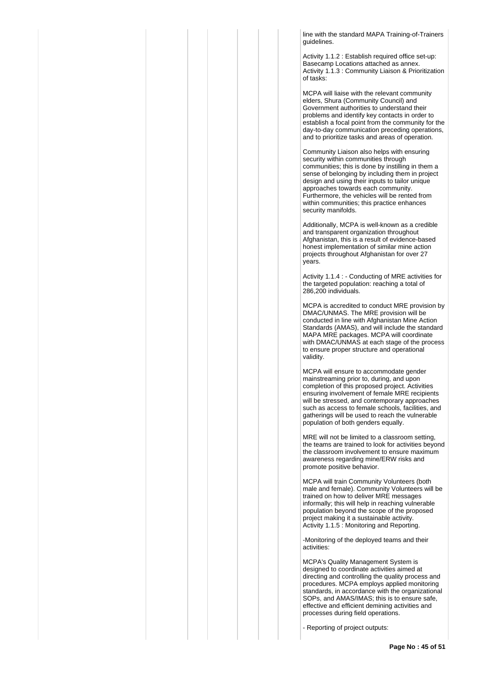line with the standard MAPA Training-of-Trainers guidelines.

Activity 1.1.2 : Establish required office set-up: Basecamp Locations attached as annex. Activity 1.1.3 : Community Liaison & Prioritization of tasks:

MCPA will liaise with the relevant community elders, Shura (Community Council) and Government authorities to understand their problems and identify key contacts in order to establish a focal point from the community for the day-to-day communication preceding operations, and to prioritize tasks and areas of operation.

Community Liaison also helps with ensuring security within communities through communities; this is done by instilling in them a sense of belonging by including them in project design and using their inputs to tailor unique approaches towards each community. Furthermore, the vehicles will be rented from within communities; this practice enhances security manifolds.

Additionally, MCPA is well-known as a credible and transparent organization throughout Afghanistan, this is a result of evidence-based honest implementation of similar mine action projects throughout Afghanistan for over 27 years.

Activity 1.1.4 : - Conducting of MRE activities for the targeted population: reaching a total of 286,200 individuals.

MCPA is accredited to conduct MRE provision by DMAC/UNMAS. The MRE provision will be conducted in line with Afghanistan Mine Action Standards (AMAS), and will include the standard MAPA MRE packages. MCPA will coordinate with DMAC/UNMAS at each stage of the process to ensure proper structure and operational validity.

MCPA will ensure to accommodate gender mainstreaming prior to, during, and upon completion of this proposed project. Activities ensuring involvement of female MRE recipients will be stressed, and contemporary approaches such as access to female schools, facilities, and gatherings will be used to reach the vulnerable population of both genders equally.

MRE will not be limited to a classroom setting, the teams are trained to look for activities beyond the classroom involvement to ensure maximum awareness regarding mine/ERW risks and promote positive behavior.

MCPA will train Community Volunteers (both male and female). Community Volunteers will be trained on how to deliver MRE messages informally; this will help in reaching vulnerable population beyond the scope of the proposed project making it a sustainable activity. Activity 1.1.5 : Monitoring and Reporting.

-Monitoring of the deployed teams and their activities:

MCPA's Quality Management System is designed to coordinate activities aimed at directing and controlling the quality process and procedures. MCPA employs applied monitoring standards, in accordance with the organizational SOPs, and AMAS/IMAS; this is to ensure safe, effective and efficient demining activities and processes during field operations.

- Reporting of project outputs: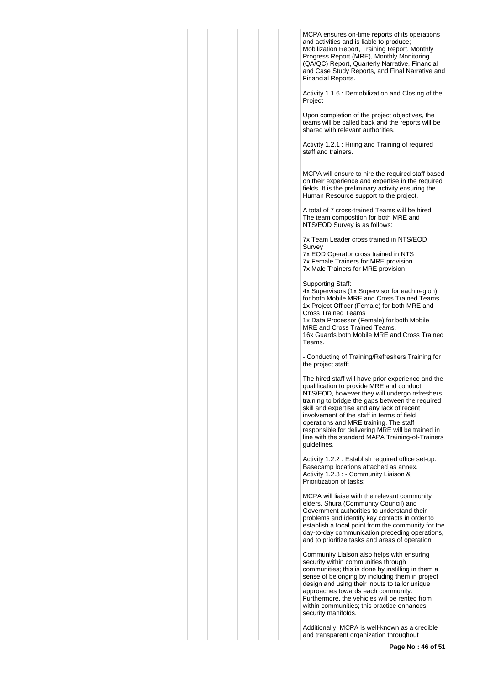MCPA ensures on-time reports of its operations and activities and is liable to produce; Mobilization Report, Training Report, Monthly Progress Report (MRE), Monthly Monitoring (QA/QC) Report, Quarterly Narrative, Financial and Case Study Reports, and Final Narrative and Financial Reports.

Activity 1.1.6 : Demobilization and Closing of the Project

Upon completion of the project objectives, the teams will be called back and the reports will be shared with relevant authorities.

Activity 1.2.1 : Hiring and Training of required staff and trainers.

MCPA will ensure to hire the required staff based on their experience and expertise in the required fields. It is the preliminary activity ensuring the Human Resource support to the project.

A total of 7 cross-trained Teams will be hired. The team composition for both MRE and NTS/EOD Survey is as follows:

7x Team Leader cross trained in NTS/EOD **Survey** 7x EOD Operator cross trained in NTS

7x Female Trainers for MRE provision 7x Male Trainers for MRE provision

Supporting Staff: 4x Supervisors (1x Supervisor for each region) for both Mobile MRE and Cross Trained Teams. 1x Project Officer (Female) for both MRE and Cross Trained Teams 1x Data Processor (Female) for both Mobile MRE and Cross Trained Teams. 16x Guards both Mobile MRE and Cross Trained Teams.

- Conducting of Training/Refreshers Training for the project staff:

The hired staff will have prior experience and the qualification to provide MRE and conduct NTS/EOD, however they will undergo refreshers training to bridge the gaps between the required skill and expertise and any lack of recent involvement of the staff in terms of field operations and MRE training. The staff responsible for delivering MRE will be trained in line with the standard MAPA Training-of-Trainers guidelines.

Activity 1.2.2 : Establish required office set-up: Basecamp locations attached as annex. Activity 1.2.3 : - Community Liaison & Prioritization of tasks:

MCPA will liaise with the relevant community elders, Shura (Community Council) and Government authorities to understand their problems and identify key contacts in order to establish a focal point from the community for the day-to-day communication preceding operations, and to prioritize tasks and areas of operation.

Community Liaison also helps with ensuring security within communities through communities; this is done by instilling in them a sense of belonging by including them in project design and using their inputs to tailor unique approaches towards each community. Furthermore, the vehicles will be rented from within communities; this practice enhances security manifolds.

Additionally, MCPA is well-known as a credible and transparent organization throughout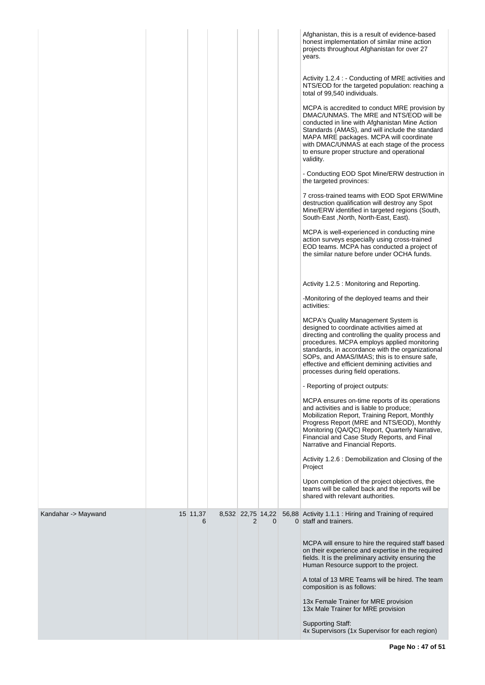|                     |               |                        |          | Afghanistan, this is a result of evidence-based<br>honest implementation of similar mine action<br>projects throughout Afghanistan for over 27<br>years.                                                                                                                                                                                                                           |
|---------------------|---------------|------------------------|----------|------------------------------------------------------------------------------------------------------------------------------------------------------------------------------------------------------------------------------------------------------------------------------------------------------------------------------------------------------------------------------------|
|                     |               |                        |          | Activity 1.2.4 : - Conducting of MRE activities and<br>NTS/EOD for the targeted population: reaching a<br>total of 99,540 individuals.                                                                                                                                                                                                                                             |
|                     |               |                        |          | MCPA is accredited to conduct MRE provision by<br>DMAC/UNMAS. The MRE and NTS/EOD will be<br>conducted in line with Afghanistan Mine Action<br>Standards (AMAS), and will include the standard<br>MAPA MRE packages. MCPA will coordinate<br>with DMAC/UNMAS at each stage of the process<br>to ensure proper structure and operational<br>validity.                               |
|                     |               |                        |          | - Conducting EOD Spot Mine/ERW destruction in<br>the targeted provinces:                                                                                                                                                                                                                                                                                                           |
|                     |               |                        |          | 7 cross-trained teams with EOD Spot ERW/Mine<br>destruction qualification will destroy any Spot<br>Mine/ERW identified in targeted regions (South,<br>South-East, North, North-East, East).                                                                                                                                                                                        |
|                     |               |                        |          | MCPA is well-experienced in conducting mine<br>action surveys especially using cross-trained<br>EOD teams. MCPA has conducted a project of<br>the similar nature before under OCHA funds.                                                                                                                                                                                          |
|                     |               |                        |          | Activity 1.2.5 : Monitoring and Reporting.                                                                                                                                                                                                                                                                                                                                         |
|                     |               |                        |          | -Monitoring of the deployed teams and their<br>activities:                                                                                                                                                                                                                                                                                                                         |
|                     |               |                        |          | MCPA's Quality Management System is<br>designed to coordinate activities aimed at<br>directing and controlling the quality process and<br>procedures. MCPA employs applied monitoring<br>standards, in accordance with the organizational<br>SOPs, and AMAS/IMAS; this is to ensure safe,<br>effective and efficient demining activities and<br>processes during field operations. |
|                     |               |                        |          | - Reporting of project outputs:                                                                                                                                                                                                                                                                                                                                                    |
|                     |               |                        |          | MCPA ensures on-time reports of its operations<br>and activities and is liable to produce;<br>Mobilization Report, Training Report, Monthly<br>Progress Report (MRE and NTS/EOD), Monthly<br>Monitoring (QA/QC) Report, Quarterly Narrative,<br>Financial and Case Study Reports, and Final<br>Narrative and Financial Reports.                                                    |
|                     |               |                        |          | Activity 1.2.6 : Demobilization and Closing of the<br>Project                                                                                                                                                                                                                                                                                                                      |
|                     |               |                        |          | Upon completion of the project objectives, the<br>teams will be called back and the reports will be<br>shared with relevant authorities.                                                                                                                                                                                                                                           |
| Kandahar -> Maywand | 15 11,37<br>6 | 8,532 22,75 14,22<br>2 | $\Omega$ | 56,88 Activity 1.1.1 : Hiring and Training of required<br>0 staff and trainers.                                                                                                                                                                                                                                                                                                    |
|                     |               |                        |          | MCPA will ensure to hire the required staff based<br>on their experience and expertise in the required<br>fields. It is the preliminary activity ensuring the<br>Human Resource support to the project.                                                                                                                                                                            |
|                     |               |                        |          | A total of 13 MRE Teams will be hired. The team<br>composition is as follows:                                                                                                                                                                                                                                                                                                      |
|                     |               |                        |          | 13x Female Trainer for MRE provision<br>13x Male Trainer for MRE provision                                                                                                                                                                                                                                                                                                         |
|                     |               |                        |          | Supporting Staff:<br>4x Supervisors (1x Supervisor for each region)                                                                                                                                                                                                                                                                                                                |

**Page No : 47 of 51**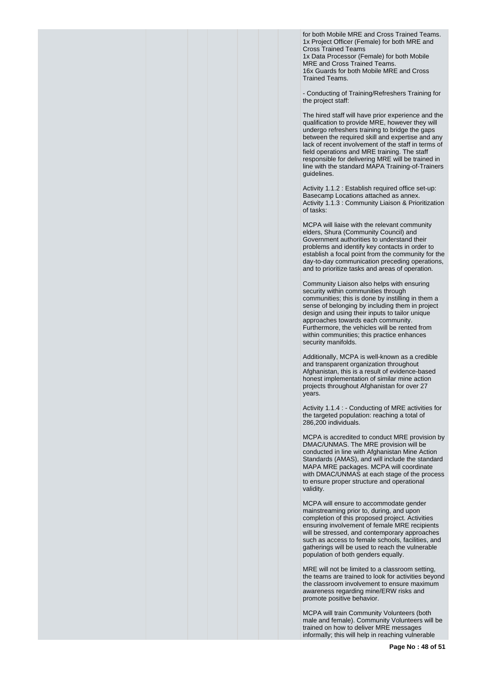for both Mobile MRE and Cross Trained Teams. 1x Project Officer (Female) for both MRE and Cross Trained Teams 1x Data Processor (Female) for both Mobile MRE and Cross Trained Teams. 16x Guards for both Mobile MRE and Cross Trained Teams.

- Conducting of Training/Refreshers Training for the project staff:

The hired staff will have prior experience and the qualification to provide MRE, however they will undergo refreshers training to bridge the gaps between the required skill and expertise and any lack of recent involvement of the staff in terms of field operations and MRE training. The staff responsible for delivering MRE will be trained in line with the standard MAPA Training-of-Trainers guidelines.

Activity 1.1.2 : Establish required office set-up: Basecamp Locations attached as annex. Activity 1.1.3 : Community Liaison & Prioritization of tasks:

MCPA will liaise with the relevant community elders, Shura (Community Council) and Government authorities to understand their problems and identify key contacts in order to establish a focal point from the community for the day-to-day communication preceding operations, and to prioritize tasks and areas of operation.

Community Liaison also helps with ensuring security within communities through communities; this is done by instilling in them a sense of belonging by including them in project design and using their inputs to tailor unique approaches towards each community. Furthermore, the vehicles will be rented from within communities; this practice enhances security manifolds.

Additionally, MCPA is well-known as a credible and transparent organization throughout Afghanistan, this is a result of evidence-based honest implementation of similar mine action projects throughout Afghanistan for over 27 years.

Activity 1.1.4 : - Conducting of MRE activities for the targeted population: reaching a total of 286,200 individuals.

MCPA is accredited to conduct MRE provision by DMAC/UNMAS. The MRE provision will be conducted in line with Afghanistan Mine Action Standards (AMAS), and will include the standard MAPA MRE packages. MCPA will coordinate with DMAC/UNMAS at each stage of the process to ensure proper structure and operational validity.

MCPA will ensure to accommodate gender mainstreaming prior to, during, and upon completion of this proposed project. Activities ensuring involvement of female MRE recipients will be stressed, and contemporary approaches such as access to female schools, facilities, and gatherings will be used to reach the vulnerable population of both genders equally.

MRE will not be limited to a classroom setting, the teams are trained to look for activities beyond the classroom involvement to ensure maximum awareness regarding mine/ERW risks and promote positive behavior.

MCPA will train Community Volunteers (both male and female). Community Volunteers will be trained on how to deliver MRE messages informally; this will help in reaching vulnerable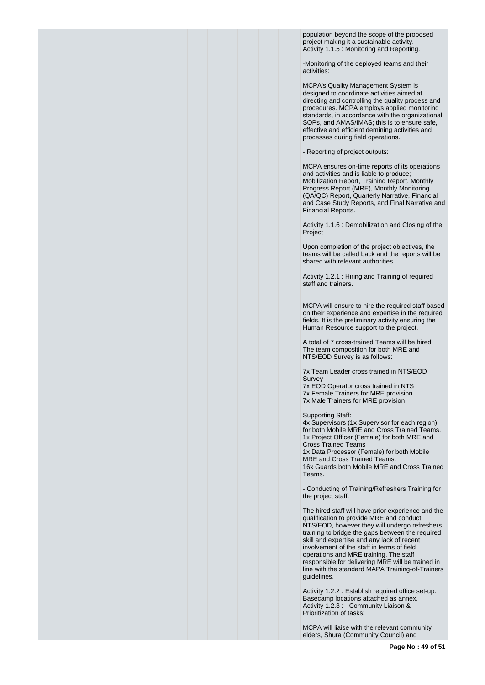population beyond the scope of the proposed project making it a sustainable activity. Activity 1.1.5 : Monitoring and Reporting.

-Monitoring of the deployed teams and their activities:

MCPA's Quality Management System is designed to coordinate activities aimed at directing and controlling the quality process and procedures. MCPA employs applied monitoring standards, in accordance with the organizational SOPs, and AMAS/IMAS; this is to ensure safe, effective and efficient demining activities and processes during field operations.

- Reporting of project outputs:

MCPA ensures on-time reports of its operations and activities and is liable to produce; Mobilization Report, Training Report, Monthly Progress Report (MRE), Monthly Monitoring (QA/QC) Report, Quarterly Narrative, Financial and Case Study Reports, and Final Narrative and Financial Reports.

Activity 1.1.6 : Demobilization and Closing of the Project

Upon completion of the project objectives, the teams will be called back and the reports will be shared with relevant authorities.

Activity 1.2.1 : Hiring and Training of required staff and trainers.

MCPA will ensure to hire the required staff based on their experience and expertise in the required fields. It is the preliminary activity ensuring the Human Resource support to the project.

A total of 7 cross-trained Teams will be hired. The team composition for both MRE and NTS/EOD Survey is as follows:

7x Team Leader cross trained in NTS/EOD Survey

7x EOD Operator cross trained in NTS 7x Female Trainers for MRE provision 7x Male Trainers for MRE provision

Supporting Staff:

4x Supervisors (1x Supervisor for each region) for both Mobile MRE and Cross Trained Teams. 1x Project Officer (Female) for both MRE and Cross Trained Teams 1x Data Processor (Female) for both Mobile MRE and Cross Trained Teams. 16x Guards both Mobile MRE and Cross Trained Teams.

- Conducting of Training/Refreshers Training for the project staff:

The hired staff will have prior experience and the qualification to provide MRE and conduct NTS/EOD, however they will undergo refreshers training to bridge the gaps between the required skill and expertise and any lack of recent involvement of the staff in terms of field operations and MRE training. The staff responsible for delivering MRE will be trained in line with the standard MAPA Training-of-Trainers guidelines.

Activity 1.2.2 : Establish required office set-up: Basecamp locations attached as annex. Activity 1.2.3 : - Community Liaison & Prioritization of tasks:

MCPA will liaise with the relevant community elders, Shura (Community Council) and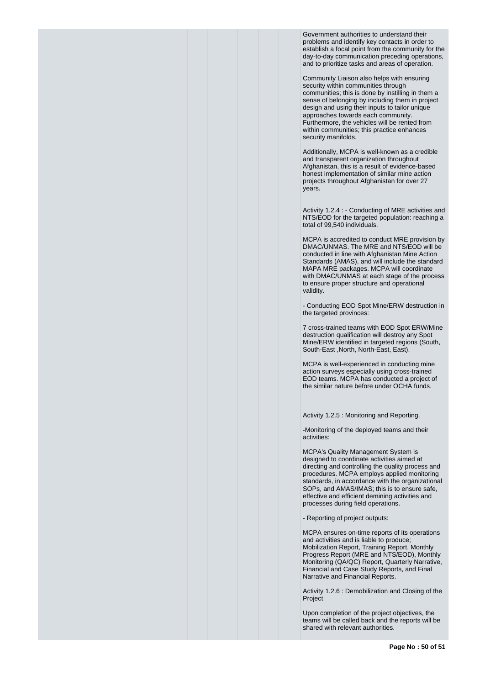Government authorities to understand their problems and identify key contacts in order to establish a focal point from the community for the day-to-day communication preceding operations, and to prioritize tasks and areas of operation.

Community Liaison also helps with ensuring security within communities through communities; this is done by instilling in them a sense of belonging by including them in project design and using their inputs to tailor unique approaches towards each community. Furthermore, the vehicles will be rented from within communities; this practice enhances security manifolds.

Additionally, MCPA is well-known as a credible and transparent organization throughout Afghanistan, this is a result of evidence-based honest implementation of similar mine action projects throughout Afghanistan for over 27 years.

Activity 1.2.4 : - Conducting of MRE activities and NTS/EOD for the targeted population: reaching a total of 99,540 individuals.

MCPA is accredited to conduct MRE provision by DMAC/UNMAS. The MRE and NTS/EOD will be conducted in line with Afghanistan Mine Action Standards (AMAS), and will include the standard MAPA MRE packages. MCPA will coordinate with DMAC/UNMAS at each stage of the process to ensure proper structure and operational validity.

- Conducting EOD Spot Mine/ERW destruction in the targeted provinces:

7 cross-trained teams with EOD Spot ERW/Mine destruction qualification will destroy any Spot Mine/ERW identified in targeted regions (South, South-East ,North, North-East, East).

MCPA is well-experienced in conducting mine action surveys especially using cross-trained EOD teams. MCPA has conducted a project of the similar nature before under OCHA funds.

Activity 1.2.5 : Monitoring and Reporting.

-Monitoring of the deployed teams and their activities:

MCPA's Quality Management System is designed to coordinate activities aimed at directing and controlling the quality process and procedures. MCPA employs applied monitoring standards, in accordance with the organizational SOPs, and AMAS/IMAS; this is to ensure safe, effective and efficient demining activities and processes during field operations.

- Reporting of project outputs:

MCPA ensures on-time reports of its operations and activities and is liable to produce; Mobilization Report, Training Report, Monthly Progress Report (MRE and NTS/EOD), Monthly Monitoring (QA/QC) Report, Quarterly Narrative, Financial and Case Study Reports, and Final Narrative and Financial Reports.

Activity 1.2.6 : Demobilization and Closing of the Project

Upon completion of the project objectives, the teams will be called back and the reports will be shared with relevant authorities.